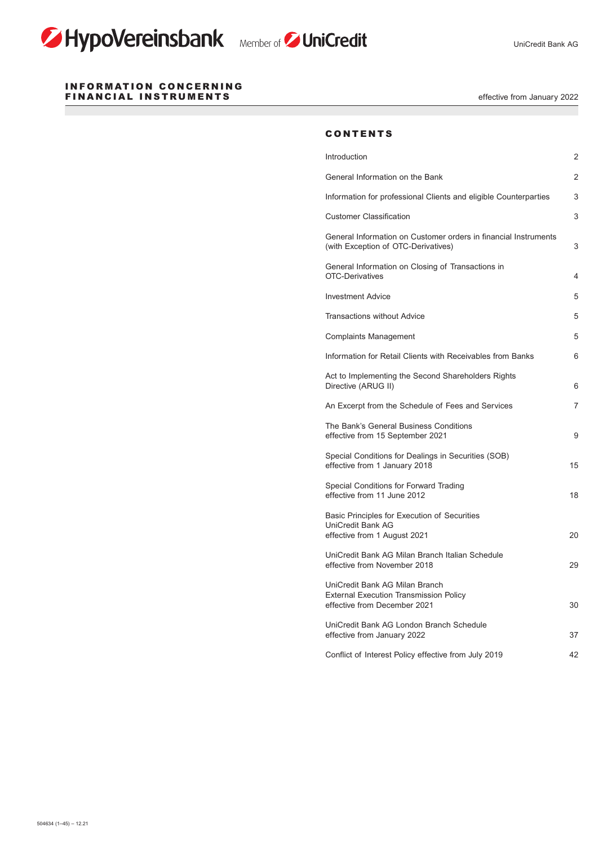



UniCredit Bank AG

### INFORMATION CONCERNING FINANCIAL INSTRUMENTS

### CONTENTS

| Introduction                                                                                                    | 2  |
|-----------------------------------------------------------------------------------------------------------------|----|
| General Information on the Bank                                                                                 | 2  |
| Information for professional Clients and eligible Counterparties                                                | 3  |
| <b>Customer Classification</b>                                                                                  | 3  |
| General Information on Customer orders in financial Instruments<br>(with Exception of OTC-Derivatives)          | 3  |
| General Information on Closing of Transactions in<br><b>OTC-Derivatives</b>                                     | 4  |
| <b>Investment Advice</b>                                                                                        | 5  |
| <b>Transactions without Advice</b>                                                                              | 5  |
| <b>Complaints Management</b>                                                                                    | 5  |
| Information for Retail Clients with Receivables from Banks                                                      | 6  |
| Act to Implementing the Second Shareholders Rights<br>Directive (ARUG II)                                       | 6  |
| An Excerpt from the Schedule of Fees and Services                                                               | 7  |
| The Bank's General Business Conditions<br>effective from 15 September 2021                                      | 9  |
| Special Conditions for Dealings in Securities (SOB)<br>effective from 1 January 2018                            | 15 |
| Special Conditions for Forward Trading<br>effective from 11 June 2012                                           | 18 |
| Basic Principles for Execution of Securities<br><b>UniCredit Bank AG</b><br>effective from 1 August 2021        | 20 |
| UniCredit Bank AG Milan Branch Italian Schedule<br>effective from November 2018                                 | 29 |
| UniCredit Bank AG Milan Branch<br><b>External Execution Transmission Policy</b><br>effective from December 2021 | 30 |
| UniCredit Bank AG London Branch Schedule<br>effective from January 2022                                         | 37 |
| Conflict of Interest Policy effective from July 2019                                                            | 42 |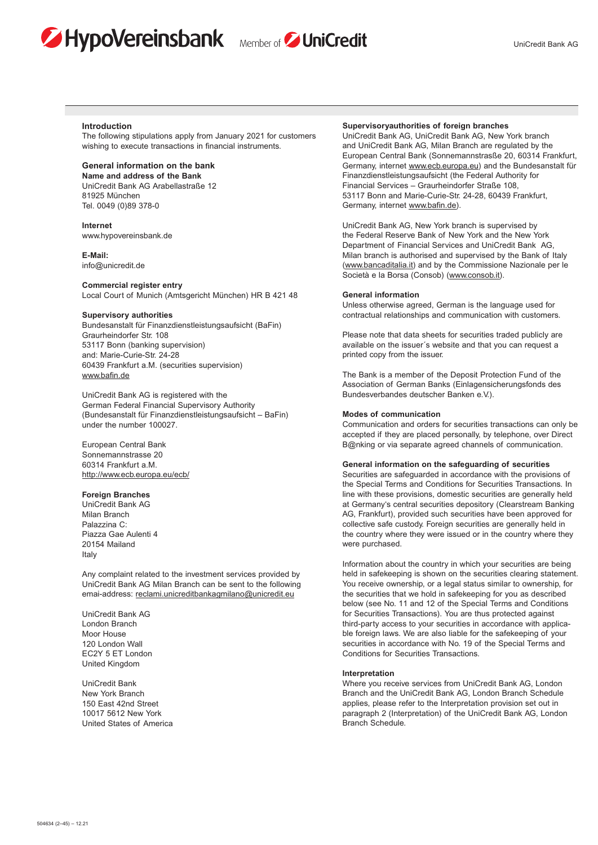

#### **Introduction**

 The following stipulations apply from January 2021 for customers wishing to execute transactions in financial instruments.

#### **General information on the bank**

 **Name and address of the Bank**  UniCredit Bank AG Arabellastraße 12 81925 München Tel. 0049 (0)89 378-0

 **Internet** www.hypovereinsbank.de

#### **E-Mail:** info@unicredit.de

#### **Commercial register entry**

Local Court of Munich (Amtsgericht München) HR B 421 48

#### **Supervisory authorities**

 Bundesanstalt für Finanzdienstleistungsaufsicht (BaFin) Graurheindorfer Str. 108 53117 Bonn (banking supervision) and: Marie-Curie-Str. 24-28 60439 Frankfurt a.M. (securities supervision) www.bafin.de

 UniCredit Bank AG is registered with the German Federal Financial Supervisory Authority (Bundesanstalt für Finanzdienstleistungsaufsicht – BaFin) under the number 100027.

 European Central Bank Sonnemannstrasse 20 60314 Frankfurt a.M. http://www.ecb.europa.eu/ecb/

#### **Foreign Branches**

 UniCredit Bank AG Milan Branch Palazzina C: Piazza Gae Aulenti 4 20154 Mailand Italy

 Any complaint related to the investment services provided by UniCredit Bank AG Milan Branch can be sent to the following emai-address: reclami.unicreditbankagmilano@unicredit.eu

 UniCredit Bank AG London Branch Moor House 120 London Wall EC2Y 5 ET London United Kingdom

 UniCredit Bank New York Branch 150 East 42nd Street 10017 5612 New York United States of America

#### **Supervisoryauthorities of foreign branches**

 UniCredit Bank AG, UniCredit Bank AG, New York branch and UniCredit Bank AG, Milan Branch are regulated by the European Central Bank (Sonnemannstrasße 20, 60314 Frankfurt, Germany, internet www.ecb.europa.eu) and the Bundesanstalt für Finanzdienstleistungsaufsicht (the Federal Authority for Financial Services – Graurheindorfer Straße 108, 53117 Bonn and Marie-Curie-Str. 24-28, 60439 Frankfurt, Germany, internet www.bafin.de).

 UniCredit Bank AG, New York branch is supervised by the Federal Reserve Bank of New York and the New York Department of Financial Services and UniCredit Bank AG, Milan branch is authorised and supervised by the Bank of Italy (www.bancaditalia.it) and by the Commissione Nazionale per le Società e la Borsa (Consob) (www.consob.it).

#### **General information**

 Unless otherwise agreed, German is the language used for contractual relationships and communication with customers.

 Please note that data sheets for securities traded publicly are available on the issuer´s website and that you can request a printed copy from the issuer.

 The Bank is a member of the Deposit Protection Fund of the Association of German Banks (Einlagensicherungsfonds des Bundesverbandes deutscher Banken e.V.).

#### **Modes of communication**

 Communication and orders for securities transactions can only be accepted if they are placed personally, by telephone, over Direct B@nking or via separate agreed channels of communication.

#### **General information on the safeguarding of securities**

 Securities are safeguarded in accordance with the provisions of the Special Terms and Conditions for Securities Transactions. In line with these provisions, domestic securities are generally held at Germany's central securities depository (Clearstream Banking AG, Frankfurt), provided such securities have been approved for collective safe custody. Foreign securities are generally held in the country where they were issued or in the country where they were purchased.

 Information about the country in which your securities are being held in safekeeping is shown on the securities clearing statement. You receive ownership, or a legal status similar to ownership, for the securities that we hold in safekeeping for you as described below (see No. 11 and 12 of the Special Terms and Conditions for Securities Transactions). You are thus protected against third-party access to your securities in accordance with applicable foreign laws. We are also liable for the safekeeping of your securities in accordance with No. 19 of the Special Terms and Conditions for Securities Transactions.

#### **Interpretation**

 Where you receive services from UniCredit Bank AG, London Branch and the UniCredit Bank AG, London Branch Schedule applies, please refer to the Interpretation provision set out in paragraph 2 (Interpretation) of the UniCredit Bank AG, London Branch Schedule.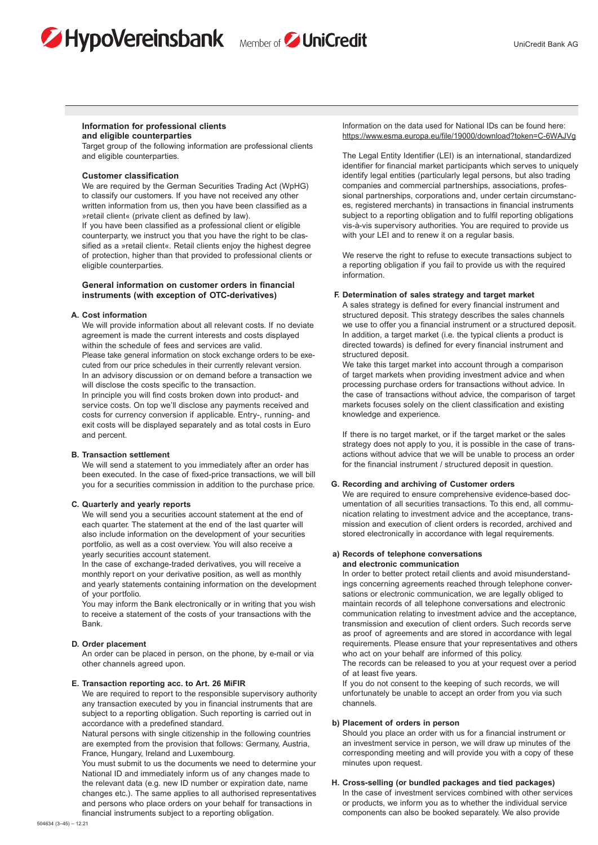

#### **Information for professional clients**

**and eligible counterparties**

 Target group of the following information are professional clients and eligible counterparties.

#### **Customer classification**

 We are required by the German Securities Trading Act (WpHG) to classify our customers. If you have not received any other written information from us, then you have been classified as a »retail client« (private client as defined by law). If you have been classified as a professional client or eligible counterparty, we instruct you that you have the right to be classified as a »retail client«. Retail clients enjoy the highest degree of protection, higher than that provided to professional clients or eligible counterparties.

#### **General information on customer orders in financial instruments (with exception of OTC-derivatives)**

#### **A. Cost information**

 We will provide information about all relevant costs. If no deviate agreement is made the current interests and costs displayed within the schedule of fees and services are valid. Please take general information on stock exchange orders to be executed from our price schedules in their currently relevant version. In an advisory discussion or on demand before a transaction we will disclose the costs specific to the transaction. In principle you will find costs broken down into product- and service costs. On top we'll disclose any payments received and costs for currency conversion if applicable. Entry-, running- and exit costs will be displayed separately and as total costs in Euro and percent.

#### **B. Transaction settlement**

 We will send a statement to you immediately after an order has been executed. In the case of fixed-price transactions, we will bill you for a securities commission in addition to the purchase price.

#### **C. Quarterly and yearly reports**

 We will send you a securities account statement at the end of each quarter. The statement at the end of the last quarter will also include information on the development of your securities portfolio, as well as a cost overview. You will also receive a yearly securities account statement.

 In the case of exchange-traded derivatives, you will receive a monthly report on your derivative position, as well as monthly and yearly statements containing information on the development of your portfolio.

 You may inform the Bank electronically or in writing that you wish to receive a statement of the costs of your transactions with the **Bank** 

#### **D. Order placement**

 An order can be placed in person, on the phone, by e-mail or via other channels agreed upon.

#### **E. Transaction reporting acc. to Art. 26 MiFIR**

 We are required to report to the responsible supervisory authority any transaction executed by you in financial instruments that are subject to a reporting obligation. Such reporting is carried out in accordance with a predefined standard.

 Natural persons with single citizenship in the following countries are exempted from the provision that follows: Germany, Austria, France, Hungary, Ireland and Luxembourg.

 You must submit to us the documents we need to determine your National ID and immediately inform us of any changes made to the relevant data (e.g. new ID number or expiration date, name changes etc.). The same applies to all authorised representatives and persons who place orders on your behalf for transactions in financial instruments subject to a reporting obligation.

 Information on the data used for National IDs can be found here: https://www.esma.europa.eu/file/19000/download?token=C-6WAJVg

 The Legal Entity Identifier (LEI) is an international, standardized identifier for financial market participants which serves to uniquely identify legal entities (particularly legal persons, but also trading companies and commercial partnerships, associations, professional partnerships, corporations and, under certain circumstances, registered merchants) in transactions in financial instruments subject to a reporting obligation and to fulfil reporting obligations vis-à-vis supervisory authorities. You are required to provide us with your LEI and to renew it on a regular basis.

 We reserve the right to refuse to execute transactions subject to a reporting obligation if you fail to provide us with the required information.

#### **F. Determination of sales strategy and target market**

 A sales strategy is defined for every financial instrument and structured deposit. This strategy describes the sales channels we use to offer you a financial instrument or a structured deposit. In addition, a target market (i.e. the typical clients a product is directed towards) is defined for every financial instrument and structured deposit.

 We take this target market into account through a comparison of target markets when providing investment advice and when processing purchase orders for transactions without advice. In the case of transactions without advice, the comparison of target markets focuses solely on the client classification and existing knowledge and experience.

 If there is no target market, or if the target market or the sales strategy does not apply to you, it is possible in the case of transactions without advice that we will be unable to process an order for the financial instrument / structured deposit in question.

#### **G. Recording and archiving of Customer orders**

 We are required to ensure comprehensive evidence-based documentation of all securities transactions. To this end, all communication relating to investment advice and the acceptance, transmission and execution of client orders is recorded, archived and stored electronically in accordance with legal requirements.

#### **a) Records of telephone conversations and electronic communication**

 In order to better protect retail clients and avoid misunderstandings concerning agreements reached through telephone conversations or electronic communication, we are legally obliged to maintain records of all telephone conversations and electronic communication relating to investment advice and the acceptance, transmission and execution of client orders. Such records serve as proof of agreements and are stored in accordance with legal requirements. Please ensure that your representatives and others who act on your behalf are informed of this policy.

 The records can be released to you at your request over a period of at least five years.

 If you do not consent to the keeping of such records, we will unfortunately be unable to accept an order from you via such channels.

#### **b) Placement of orders in person**

 Should you place an order with us for a financial instrument or an investment service in person, we will draw up minutes of the corresponding meeting and will provide you with a copy of these minutes upon request.

#### **H. Cross-selling (or bundled packages and tied packages)**

 In the case of investment services combined with other services or products, we inform you as to whether the individual service components can also be booked separately. We also provide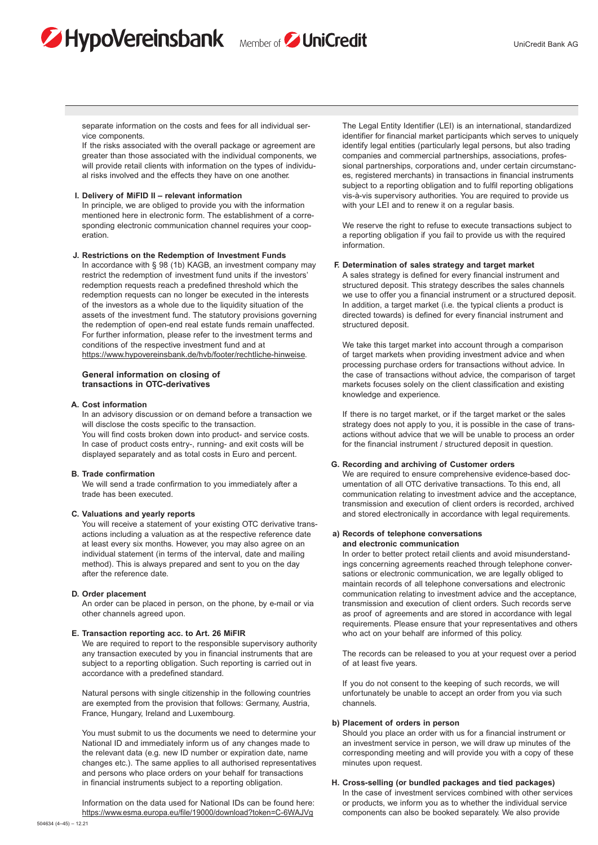separate information on the costs and fees for all individual service components.

 If the risks associated with the overall package or agreement are greater than those associated with the individual components, we will provide retail clients with information on the types of individual risks involved and the effects they have on one another.

#### **I. Delivery of MiFID II – relevant information**

 In principle, we are obliged to provide you with the information mentioned here in electronic form. The establishment of a corresponding electronic communication channel requires your cooperation.

#### **J. Restrictions on the Redemption of Investment Funds**

 In accordance with § 98 (1b) KAGB, an investment company may restrict the redemption of investment fund units if the investors' redemption requests reach a predefined threshold which the redemption requests can no longer be executed in the interests of the investors as a whole due to the liquidity situation of the assets of the investment fund. The statutory provisions governing the redemption of open-end real estate funds remain unaffected. For further information, please refer to the investment terms and conditions of the respective investment fund and at https://www.hypovereinsbank.de/hvb/footer/rechtliche-hinweise.

#### **General information on closing of transactions in OTC-derivatives**

#### **A. Cost information**

 In an advisory discussion or on demand before a transaction we will disclose the costs specific to the transaction. You will find costs broken down into product- and service costs. In case of product costs entry-, running- and exit costs will be displayed separately and as total costs in Euro and percent.

#### **B. Trade confirmation**

 We will send a trade confirmation to you immediately after a trade has been executed.

#### **C. Valuations and yearly reports**

 You will receive a statement of your existing OTC derivative transactions including a valuation as at the respective reference date at least every six months. However, you may also agree on an individual statement (in terms of the interval, date and mailing method). This is always prepared and sent to you on the day after the reference date.

#### **D. Order placement**

 An order can be placed in person, on the phone, by e-mail or via other channels agreed upon.

#### **E. Transaction reporting acc. to Art. 26 MiFIR**

 We are required to report to the responsible supervisory authority any transaction executed by you in financial instruments that are subject to a reporting obligation. Such reporting is carried out in accordance with a predefined standard.

 Natural persons with single citizenship in the following countries are exempted from the provision that follows: Germany, Austria, France, Hungary, Ireland and Luxembourg.

 You must submit to us the documents we need to determine your National ID and immediately inform us of any changes made to the relevant data (e.g. new ID number or expiration date, name changes etc.). The same applies to all authorised representatives and persons who place orders on your behalf for transactions in financial instruments subject to a reporting obligation.

 Information on the data used for National IDs can be found here: https://www.esma.europa.eu/file/19000/download?token=C-6WAJVg

 The Legal Entity Identifier (LEI) is an international, standardized identifier for financial market participants which serves to uniquely identify legal entities (particularly legal persons, but also trading companies and commercial partnerships, associations, professional partnerships, corporations and, under certain circumstances, registered merchants) in transactions in financial instruments subject to a reporting obligation and to fulfil reporting obligations vis-à-vis supervisory authorities. You are required to provide us with your LEI and to renew it on a regular basis.

 We reserve the right to refuse to execute transactions subject to a reporting obligation if you fail to provide us with the required information.

#### **F. Determination of sales strategy and target market**

 A sales strategy is defined for every financial instrument and structured deposit. This strategy describes the sales channels we use to offer you a financial instrument or a structured deposit. In addition, a target market (i.e. the typical clients a product is directed towards) is defined for every financial instrument and structured deposit.

 We take this target market into account through a comparison of target markets when providing investment advice and when processing purchase orders for transactions without advice. In the case of transactions without advice, the comparison of target markets focuses solely on the client classification and existing knowledge and experience.

 If there is no target market, or if the target market or the sales strategy does not apply to you, it is possible in the case of transactions without advice that we will be unable to process an order for the financial instrument / structured deposit in question.

#### **G. Recording and archiving of Customer orders**

 We are required to ensure comprehensive evidence-based documentation of all OTC derivative transactions. To this end, all communication relating to investment advice and the acceptance, transmission and execution of client orders is recorded, archived and stored electronically in accordance with legal requirements.

#### **a) Records of telephone conversations**

**and electronic communication** In order to better protect retail clients and avoid misunderstandings concerning agreements reached through telephone conversations or electronic communication, we are legally obliged to maintain records of all telephone conversations and electronic communication relating to investment advice and the acceptance, transmission and execution of client orders. Such records serve as proof of agreements and are stored in accordance with legal requirements. Please ensure that your representatives and others who act on your behalf are informed of this policy.

 The records can be released to you at your request over a period of at least five years.

 If you do not consent to the keeping of such records, we will unfortunately be unable to accept an order from you via such channels.

#### **b) Placement of orders in person**

 Should you place an order with us for a financial instrument or an investment service in person, we will draw up minutes of the corresponding meeting and will provide you with a copy of these minutes upon request.

#### **H. Cross-selling (or bundled packages and tied packages)**

 In the case of investment services combined with other services or products, we inform you as to whether the individual service components can also be booked separately. We also provide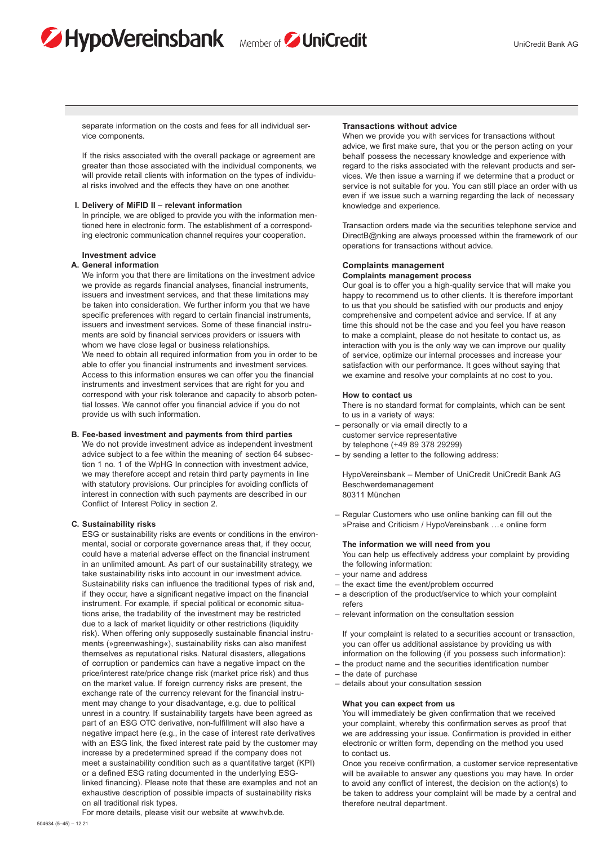separate information on the costs and fees for all individual service components.

 If the risks associated with the overall package or agreement are greater than those associated with the individual components, we will provide retail clients with information on the types of individual risks involved and the effects they have on one another.

#### **I. Delivery of MiFID II – relevant information**

 In principle, we are obliged to provide you with the information mentioned here in electronic form. The establishment of a corresponding electronic communication channel requires your cooperation.

#### **Investment advice**

#### **A. General information**

 We inform you that there are limitations on the investment advice we provide as regards financial analyses, financial instruments, issuers and investment services, and that these limitations may be taken into consideration. We further inform you that we have specific preferences with regard to certain financial instruments, issuers and investment services. Some of these financial instruments are sold by financial services providers or issuers with whom we have close legal or business relationships. We need to obtain all required information from you in order to be able to offer you financial instruments and investment services. Access to this information ensures we can offer you the financial instruments and investment services that are right for you and correspond with your risk tolerance and capacity to absorb potential losses. We cannot offer you financial advice if you do not provide us with such information.

#### **B. Fee-based investment and payments from third parties**

 We do not provide investment advice as independent investment advice subject to a fee within the meaning of section 64 subsection 1 no. 1 of the WpHG In connection with investment advice, we may therefore accept and retain third party payments in line with statutory provisions. Our principles for avoiding conflicts of interest in connection with such payments are described in our Conflict of Interest Policy in section 2.

#### **C. Sustainability risks**

 ESG or sustainability risks are events or conditions in the environmental, social or corporate governance areas that, if they occur, could have a material adverse effect on the financial instrument in an unlimited amount. As part of our sustainability strategy, we take sustainability risks into account in our investment advice. Sustainability risks can influence the traditional types of risk and, if they occur, have a significant negative impact on the financial instrument. For example, if special political or economic situations arise, the tradability of the investment may be restricted due to a lack of market liquidity or other restrictions (liquidity risk). When offering only supposedly sustainable financial instruments (»greenwashing«), sustainability risks can also manifest themselves as reputational risks. Natural disasters, allegations of corruption or pandemics can have a negative impact on the price/interest rate/price change risk (market price risk) and thus on the market value. If foreign currency risks are present, the exchange rate of the currency relevant for the financial instrument may change to your disadvantage, e.g. due to political unrest in a country. If sustainability targets have been agreed as part of an ESG OTC derivative, non-fulfillment will also have a negative impact here (e.g., in the case of interest rate derivatives with an ESG link, the fixed interest rate paid by the customer may increase by a predetermined spread if the company does not meet a sustainability condition such as a quantitative target (KPI) or a defined ESG rating documented in the underlying ESGlinked financing). Please note that these are examples and not an exhaustive description of possible impacts of sustainability risks on all traditional risk types.

### **Transactions without advice**

 When we provide you with services for transactions without advice, we first make sure, that you or the person acting on your behalf possess the necessary knowledge and experience with regard to the risks associated with the relevant products and services. We then issue a warning if we determine that a product or service is not suitable for you. You can still place an order with us even if we issue such a warning regarding the lack of necessary knowledge and experience.

 Transaction orders made via the securities telephone service and DirectB@nking are always processed within the framework of our operations for transactions without advice.

#### **Complaints management**

#### **Complaints management process**

 Our goal is to offer you a high-quality service that will make you happy to recommend us to other clients. It is therefore important to us that you should be satisfied with our products and enjoy comprehensive and competent advice and service. If at any time this should not be the case and you feel you have reason to make a complaint, please do not hesitate to contact us, as interaction with you is the only way we can improve our quality of service, optimize our internal processes and increase your satisfaction with our performance. It goes without saying that we examine and resolve your complaints at no cost to you.

#### **How to contact us**

 There is no standard format for complaints, which can be sent to us in a variety of ways:

- personally or via email directly to a customer service representative by telephone (+49 89 378 29299)
- 
- by sending a letter to the following address:

 HypoVereinsbank – Member of UniCredit UniCredit Bank AG Beschwerdemanagement 80311 München

– Regular Customers who use online banking can fill out the »Praise and Criticism / HypoVereinsbank …« online form

#### **The information we will need from you**

 You can help us effectively address your complaint by providing the following information:

- your name and address
- the exact time the event/problem occurred
- a description of the product/service to which your complaint refers
- relevant information on the consultation session

 If your complaint is related to a securities account or transaction, you can offer us additional assistance by providing us with information on the following (if you possess such information):

- the product name and the securities identification number
- the date of purchase
- details about your consultation session

#### **What you can expect from us**

 You will immediately be given confirmation that we received your complaint, whereby this confirmation serves as proof that we are addressing your issue. Confirmation is provided in either electronic or written form, depending on the method you used to contact us.

 Once you receive confirmation, a customer service representative will be available to answer any questions you may have. In order to avoid any conflict of interest, the decision on the action(s) to be taken to address your complaint will be made by a central and therefore neutral department.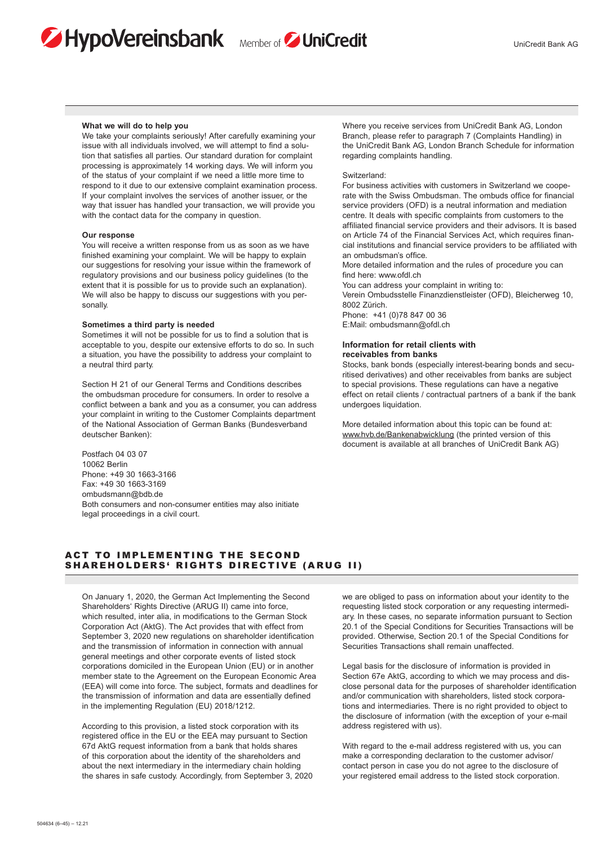

#### **What we will do to help you**

 We take your complaints seriously! After carefully examining your issue with all individuals involved, we will attempt to find a solution that satisfies all parties. Our standard duration for complaint processing is approximately 14 working days. We will inform you of the status of your complaint if we need a little more time to respond to it due to our extensive complaint examination process. If your complaint involves the services of another issuer, or the way that issuer has handled your transaction, we will provide you with the contact data for the company in question.

#### **Our response**

 You will receive a written response from us as soon as we have finished examining your complaint. We will be happy to explain our suggestions for resolving your issue within the framework of regulatory provisions and our business policy guidelines (to the extent that it is possible for us to provide such an explanation). We will also be happy to discuss our suggestions with you personally.

#### **Sometimes a third party is needed**

 Sometimes it will not be possible for us to find a solution that is acceptable to you, despite our extensive efforts to do so. In such a situation, you have the possibility to address your complaint to a neutral third party.

 Section H 21 of our General Terms and Conditions describes the ombudsman procedure for consumers. In order to resolve a conflict between a bank and you as a consumer, you can address your complaint in writing to the Customer Complaints department of the National Association of German Banks (Bundesverband deutscher Banken):

 Postfach 04 03 07 10062 Berlin Phone: +49 30 1663-3166 Fax: +49 30 1663-3169 ombudsmann@bdb.de Both consumers and non-consumer entities may also initiate legal proceedings in a civil court.

#### **ACT TO IMPLEMENTING THE SECOND** SHAREHOLDERS' RIGHTS DIRECTIVE (ARUG II)

 On January 1, 2020, the German Act Implementing the Second Shareholders' Rights Directive (ARUG II) came into force, which resulted, inter alia, in modifications to the German Stock Corporation Act (AktG). The Act provides that with effect from September 3, 2020 new regulations on shareholder identification and the transmission of information in connection with annual general meetings and other corporate events of listed stock corporations domiciled in the European Union (EU) or in another member state to the Agreement on the European Economic Area (EEA) will come into force. The subject, formats and deadlines for the transmission of information and data are essentially defined in the implementing Regulation (EU) 2018/1212.

 According to this provision, a listed stock corporation with its registered office in the EU or the EEA may pursuant to Section 67d AktG request information from a bank that holds shares of this corporation about the identity of the shareholders and about the next intermediary in the intermediary chain holding the shares in safe custody. Accordingly, from September 3, 2020  Where you receive services from UniCredit Bank AG, London Branch, please refer to paragraph 7 (Complaints Handling) in the UniCredit Bank AG, London Branch Schedule for information regarding complaints handling.

#### Switzerland:

 For business activities with customers in Switzerland we cooperate with the Swiss Ombudsman. The ombuds office for financial service providers (OFD) is a neutral information and mediation centre. It deals with specific complaints from customers to the affiliated financial service providers and their advisors. It is based on Article 74 of the Financial Services Act, which requires financial institutions and financial service providers to be affiliated with an ombudsman's office.

 More detailed information and the rules of procedure you can find here: www.ofdl.ch

 You can address your complaint in writing to: Verein Ombudsstelle Finanzdienstleister (OFD), Bleicherweg 10, 8002 Zürich. Phone: +41 (0)78 847 00 36 E:Mail: ombudsmann@ofdl.ch

#### **Information for retail clients with receivables from banks**

 Stocks, bank bonds (especially interest-bearing bonds and securitised derivatives) and other receivables from banks are subject to special provisions. These regulations can have a negative effect on retail clients / contractual partners of a bank if the bank undergoes liquidation.

 More detailed information about this topic can be found at: www.hvb.de/Bankenabwicklung (the printed version of this document is available at all branches of UniCredit Bank AG)

we are obliged to pass on information about your identity to the requesting listed stock corporation or any requesting intermediary. In these cases, no separate information pursuant to Section 20.1 of the Special Conditions for Securities Transactions will be provided. Otherwise, Section 20.1 of the Special Conditions for Securities Transactions shall remain unaffected.

 Legal basis for the disclosure of information is provided in Section 67e AktG, according to which we may process and disclose personal data for the purposes of shareholder identification and/or communication with shareholders, listed stock corporations and intermediaries. There is no right provided to object to the disclosure of information (with the exception of your e-mail address registered with us).

 With regard to the e-mail address registered with us, you can make a corresponding declaration to the customer advisor/ contact person in case you do not agree to the disclosure of your registered email address to the listed stock corporation.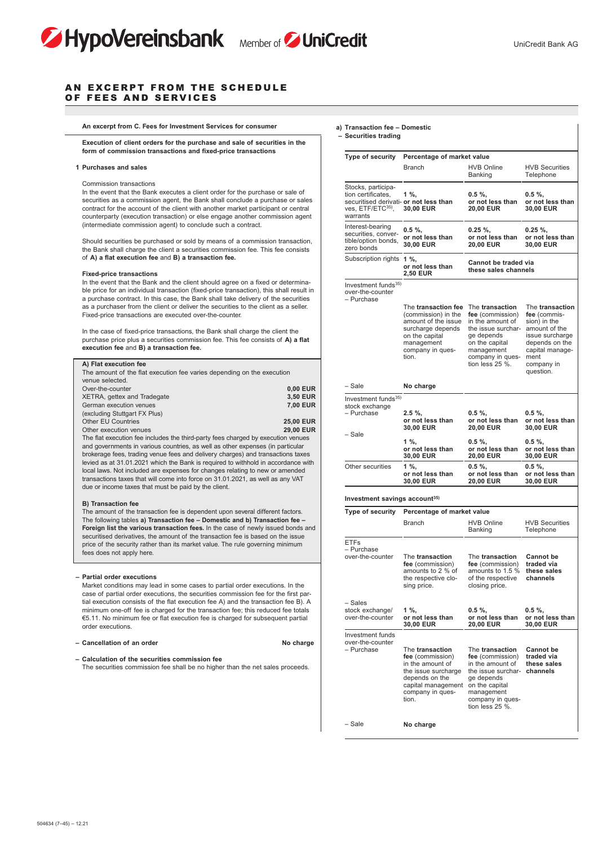#### AN EXCERPT FROM THE SCHEDULE OF FEES AND SERVICES

#### **An excerpt from C. Fees for Investment Services for consumer**

 **Execution of client orders for the purchase and sale of securities in the form of commission transactions and fixed-price transactions**

#### **1 Purchases and sales**

Commission transactions

In the event that the Bank executes a client order for the purchase or sale of securities as a commission agent, the Bank shall conclude a purchase or sales contract for the account of the client with another market participant or central counterparty (execution transaction) or else engage another commission agent (intermediate commission agent) to conclude such a contract.

 Should securities be purchased or sold by means of a commission transaction, the Bank shall charge the client a securities commission fee. This fee consists of **A) a flat execution fee** and **B) a transaction fee.** 

#### **Fixed-price transactions**

In the event that the Bank and the client should agree on a fixed or determinable price for an individual transaction (fixed-price transaction), this shall result in a purchase contract. In this case, the Bank shall take delivery of the securities as a purchaser from the client or deliver the securities to the client as a seller. Fixed-price transactions are executed over-the-counter.

 In the case of fixed-price transactions, the Bank shall charge the client the purchase price plus a securities commission fee. This fee consists of **A) a flat execution fee** and **B) a transaction fee.**

| A) Flat execution fee                                                             |                  |
|-----------------------------------------------------------------------------------|------------------|
| The amount of the flat execution fee varies depending on the execution            |                  |
| venue selected.                                                                   |                  |
| Over-the-counter                                                                  | 0.00 EUR         |
| XETRA, gettex and Tradegate                                                       | 3.50 EUR         |
| German execution venues                                                           | <b>7.00 EUR</b>  |
| (excluding Stuttgart FX Plus)                                                     |                  |
| Other EU Countries                                                                | <b>25.00 EUR</b> |
| Other execution venues                                                            | 29.00 EUR        |
| The flat execution fee includes the third-party fees charged by execution venues  |                  |
| and governments in various countries, as well as other expenses (in particular    |                  |
| brokerage fees, trading venue fees and delivery charges) and transactions taxes   |                  |
| levied as at 31.01.2021 which the Bank is required to withhold in accordance with |                  |
| local laws. Not included are expenses for changes relating to new or amended      |                  |
| transactions taxes that will come into force on 31.01.2021, as well as any VAT    |                  |
| due or income taxes that must be paid by the client.                              |                  |

#### **B) Transaction fee**

 The amount of the transaction fee is dependent upon several different factors. The following tables **a) Transaction fee – Domestic and b) Transaction fee – Foreign list the various transaction fees.** In the case of newly issued bonds and securitised derivatives, the amount of the transaction fee is based on the issue price of the security rather than its market value. The rule governing minimum fees does not apply here.

#### **– Partial order executions**

 Market conditions may lead in some cases to partial order executions. In the case of partial order executions, the securities commission fee for the first partial execution consists of the flat execution fee A) and the transaction fee B). A minimum one-off fee is charged for the transaction fee; this reduced fee totals €5.11. No minimum fee or flat execution fee is charged for subsequent partial order executions.

#### **– Cancellation of an order No charge**

**– Calculation of the securities commission fee** The securities commission fee shall be no higher than the net sales proceeds. **a) Transaction fee – Domestic – Securities trading**

| Type of security                                                                                                                | Percentage of market value                                                                                                                          |                                                                                                                                                                    |                                                                                                                          |
|---------------------------------------------------------------------------------------------------------------------------------|-----------------------------------------------------------------------------------------------------------------------------------------------------|--------------------------------------------------------------------------------------------------------------------------------------------------------------------|--------------------------------------------------------------------------------------------------------------------------|
|                                                                                                                                 | <b>Branch</b>                                                                                                                                       | <b>HVB Online</b><br>Banking                                                                                                                                       | <b>HVB Securities</b><br>Telephone                                                                                       |
| Stocks, participa-<br>tion certificates.<br>securitised derivati- or not less than<br>ves, ETF/ETC <sup>35)</sup> ,<br>warrants | 1 %,<br>30,00 EUR                                                                                                                                   | $0.5 \%$<br>or not less than<br>20,00 EUR                                                                                                                          | $0.5 \%$ .<br>or not less than<br>30,00 EUR                                                                              |
| Interest-bearing<br>securities, conver-<br>tible/option bonds,<br>zero bonds                                                    | $0.5 \%$<br>or not less than<br>30,00 EUR                                                                                                           | $0.25 \%$<br>or not less than<br>20,00 EUR                                                                                                                         | $0.25 \%$<br>or not less than<br>30.00 EUR                                                                               |
| Subscription rights 1 %,                                                                                                        | or not less than<br><b>2,50 EUR</b>                                                                                                                 | Cannot be traded via<br>these sales channels                                                                                                                       |                                                                                                                          |
| Investment funds <sup>35)</sup><br>over-the-counter<br>- Purchase                                                               | The transaction fee<br>(commission) in the                                                                                                          | The transaction<br>fee (commission)                                                                                                                                | The transaction<br>fee (commis-                                                                                          |
|                                                                                                                                 | amount of the issue<br>surcharge depends<br>on the capital<br>management<br>company in ques-<br>tion.                                               | in the amount of<br>the issue surchar-<br>ge depends<br>on the capital<br>management<br>company in ques-<br>tion less 25 %.                                        | sion) in the<br>amount of the<br>issue surcharge<br>depends on the<br>capital manage-<br>ment<br>company in<br>question. |
| - Sale                                                                                                                          | No charge                                                                                                                                           |                                                                                                                                                                    |                                                                                                                          |
| Investment funds <sup>35)</sup><br>stock exchange<br>- Purchase                                                                 | $2.5 \%$<br>or not less than<br>30,00 EUR                                                                                                           | $0.5 \%$<br>or not less than<br><b>20,00 EUR</b>                                                                                                                   | $0.5 \%$ .<br>or not less than<br>30,00 EUR                                                                              |
| - Sale                                                                                                                          | 1 %,<br>or not less than<br>30,00 EUR                                                                                                               | $0.5 \%$<br>or not less than<br>20,00 EUR                                                                                                                          | $0.5 \%$<br>or not less than<br><b>30,00 EUR</b>                                                                         |
| Other securities                                                                                                                | 1 %,<br>or not less than<br>30,00 EUR                                                                                                               | $0.5 \%$<br>or not less than<br>20,00 EUR                                                                                                                          | $0.5 \%$<br>or not less than<br>30,00 EUR                                                                                |
| Investment savings account <sup>35)</sup>                                                                                       |                                                                                                                                                     |                                                                                                                                                                    |                                                                                                                          |
| Type of security                                                                                                                | Percentage of market value                                                                                                                          |                                                                                                                                                                    |                                                                                                                          |
|                                                                                                                                 | <b>Branch</b>                                                                                                                                       | <b>HVB Online</b><br>Banking                                                                                                                                       | <b>HVB Securities</b><br>Telephone                                                                                       |
| <b>ETFs</b>                                                                                                                     |                                                                                                                                                     |                                                                                                                                                                    |                                                                                                                          |
| – Purchase<br>over-the-counter                                                                                                  | The transaction<br>fee (commission)<br>amounts to 2 % of<br>the respective clo-<br>sing price.                                                      | The transaction<br>fee (commission)<br>amounts to 1.5 %<br>of the respective<br>closing price.                                                                     | <b>Cannot</b> be<br>traded via<br>these sales<br>channels                                                                |
| - Sales<br>stock exchange/<br>over-the-counter                                                                                  | 1 %,<br>or not less than<br>30,00 EUR                                                                                                               | $0.5 \%$<br>or not less than<br>20.00 EUR                                                                                                                          | $0.5 \%$<br>or not less than<br><b>30,00 EUR</b>                                                                         |
| Investment funds<br>over-the-counter<br>- Purchase                                                                              | The transaction<br>fee (commission)<br>in the amount of<br>the issue surcharge<br>depends on the<br>capital management<br>company in ques-<br>tion. | The transaction<br>fee (commission)<br>in the amount of<br>the issue surchar-<br>ge depends<br>on the capital<br>management<br>company in ques-<br>tion less 25 %. | <b>Cannot</b> be<br>traded via<br>these sales<br>channels                                                                |
| - Sale                                                                                                                          | No charge                                                                                                                                           |                                                                                                                                                                    |                                                                                                                          |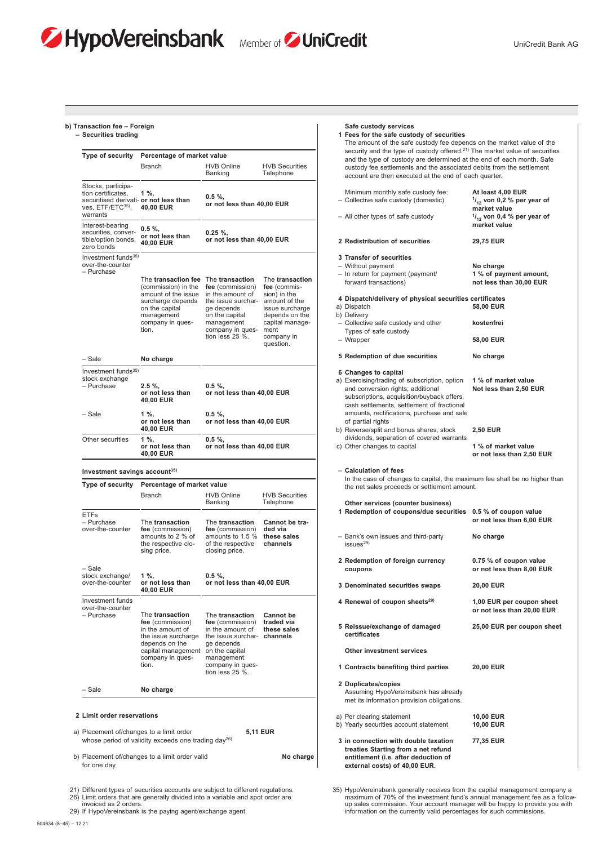#### **b) Transaction fee – Foreign – Securities trading Type of security Percentage of market value** Branch HVB Online Banking HVB Securities Telephone Stocks, participa-tion certificates, securitised derivati-**1 %, or not less than**  ves, ETF/ETC35), warrants **40,00 EUR 0.5 %, or not less than 40,00 EUR** Interest-bearing securities, conver-tible/option bonds, zero bonds **0.5 %, or not less than 40,00 EUR 0.25 %, or not less than 40,00 EUR** Investment funds<sup>35</sup> over-the-counter – Purchase The **transaction fee** (commission) in the amount of the issue surcharge depends on the capital management company in question. The **transaction fee** (commission) in the amount of the issue surcharge depends on the capital management company in question less 25 %. The **transaction fee** (commission) in the amount of the issue surcharge depends on the capital manage-ment company in question. – Sale **No charge** Investment funds<sup>35)</sup> stock exchange – Purchase – Sale **2.5 %, or not less than 40,00 EUR 1 %, or not less than 40,00 EUR 0.5 %, or not less than 40,00 EUR 0.5 %, or not less than 40,00 EUR** Other securities **1 %, or not less than 40,00 EUR 0.5 %, or not less than 40,00 EUR Investment savings account35) Type of security Percentage of market value** Branch HVB Online Banking HVB Securities **Telephone** ETFs – Purchase over-the-counter The **transaction fee** (commission) amounts to 2 % of the respective closing price. The **transaction fee** (commission) amounts to  $1.5\%$ of the respective closing price. **Cannot be traded via these sales channels** Sale stock exchange/ over-the-counter **1 %, or not less than 40,00 EUR 0.5 %, or not less than 40,00 EUR** Investment funds over-the-counter – Purchase The **transaction fee** (commission) in the amount of the issue surcharge depends on the capital management company in question. The **transaction fee** (commission) in the amount of the issue surcharge depends on the capital management company in question less 25 %. **Cannot be traded via these sales channels** – Sale **No charge 2 Limit order reservations** a) Placement of/changes to a limit order **5,11 EUR** whose period of validity exceeds one trading day<sup>26)</sup>

b) Placement of/changes to a limit order valid **No charge** for one day

21) Different types of securities accounts are subject to different regulations. 26) Limit orders that are generally divided into a variable and spot order are

invoiced as 2 orders. 29) If HypoVereinsbank is the paying agent/exchange agent.

#### **Safe custody services 1 Fees for the safe custody of securities** The amount of the safe custody fee depends on the market value of the security and the type of custody offered.21) The market value of securities and the type of custody are determined at the end of each month. Safe custody fee settlements and the associated debits from the settlement account are then executed at the end of each quarter. Minimum monthly safe custody fee: **At least 4,00 EUR** – Collective safe custody (domestic) **1/ <sup>12</sup> von 0,2 % per year of market value** – All other types of safe custody **1/ <sup>12</sup> von 0,4 % per year of market value 2 Redistribution of securities 29,75 EUR 3 Transfer of securities** Without payment<br>
In return for payment (payment/
1<sup>9</sup> of payment amount. – In return for payment (payment/<br>forward transactions) forward transactions) **not less than 30,00 EUR 4 Dispatch/delivery of physical securities certificates** a) Dispatch **58,00 EUR** b) Delivery – Collective safe custody and other **kostenfrei** Types of safe custody – Wrapper **58,00 EUR 5 Redemption of due securities No charge 6 Changes to capital** a) Exercising/trading of subscription, option **1 % of market value** and conversion rights; additional subscriptions, acquisition/buyback offers, cash settlements, settlement of fractional amounts, rectifications, purchase and sale of partial rights b) Reverse/split and bonus shares, stock **2,50 EUR** dividends, separation of covered warrants c) Other changes to capital **1 % of market value or not less than 2,50 EUR** – **Calculation of fees** In the case of changes to capital, the maximum fee shall be no higher than the net sales proceeds or settlement amount.  **Other services (counter business) 1 Redemption of coupons/due securities 0.5 % of coupon value or not less than 6,00 EUR** – Bank's own issues and third-party **No charge**  $i$ ssues $29$ **2 Redemption of foreign currency 0.75 % of coupon value** or not less than 8,00 EUR **3 Denominated securities swaps 20,00 EUR 4 Renewal of coupon sheets29) 1,00 EUR per coupon sheet or not less than 20,00 EUR 5 Reissue/exchange of damaged 25,00 EUR per coupon sheet certificates Other investment services 1 Contracts benefiting third parties 20,00 EUR 2 Duplicates/copies** Assuming HypoVereinsbank has already met its information provision obligations. a) Per clearing statement **10,00 EUR**<br>b) Yearly securities account statement **10.00 EUR** b) Yearly securities account statement **3 in connection with double taxation 77,35 EUR treaties Starting from a net refund entitlement (i.e. after deduction of**

35) HypoVereinsbank generally receives from the capital management company a maximum of 70% of the investment fund's annual management fee as a followup sales commission. Your account manager will be happy to provide you with information on the currently valid percentages for such commissions.

**external costs) of 40,00 EUR.**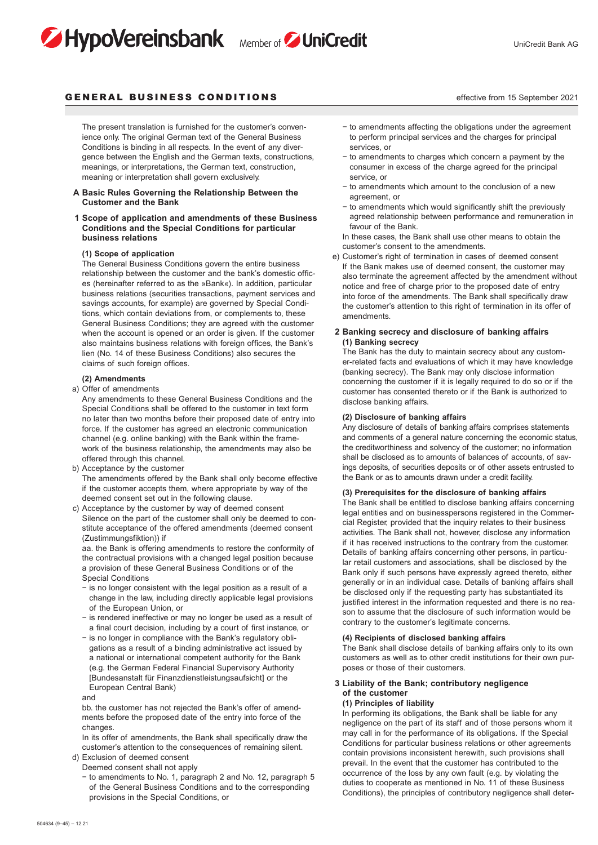

#### GENERAL BUSINESS CONDITIONS **Example 2021** the effective from 15 September 2021

 The present translation is furnished for the customer's convenience only. The original German text of the General Business Conditions is binding in all respects. In the event of any divergence between the English and the German texts, constructions, meanings, or interpretations, the German text, construction, meaning or interpretation shall govern exclusively.

**A Basic Rules Governing the Relationship Between the Customer and the Bank**

#### **1 Scope of application and amendments of these Business Conditions and the Special Conditions for particular business relations**

#### **(1) Scope of application**

 The General Business Conditions govern the entire business relationship between the customer and the bank's domestic offices (hereinafter referred to as the »Bank«). In addition, particular business relations (securities transactions, payment services and savings accounts, for example) are governed by Special Conditions, which contain deviations from, or complements to, these General Business Conditions; they are agreed with the customer when the account is opened or an order is given. If the customer also maintains business relations with foreign offices, the Bank's lien (No. 14 of these Business Conditions) also secures the claims of such foreign offices.

#### **(2) Amendments**

a) Offer of amendments

 Any amendments to these General Business Conditions and the Special Conditions shall be offered to the customer in text form no later than two months before their proposed date of entry into force. If the customer has agreed an electronic communication channel (e.g. online banking) with the Bank within the framework of the business relationship, the amendments may also be offered through this channel.

- b) Acceptance by the customer The amendments offered by the Bank shall only become effective if the customer accepts them, where appropriate by way of the deemed consent set out in the following clause.
- c) Acceptance by the customer by way of deemed consent Silence on the part of the customer shall only be deemed to constitute acceptance of the offered amendments (deemed consent (Zustimmungsfiktion)) if

 aa. the Bank is offering amendments to restore the conformity of the contractual provisions with a changed legal position because a provision of these General Business Conditions or of the Special Conditions

- − is no longer consistent with the legal position as a result of a change in the law, including directly applicable legal provisions of the European Union, or
- − is rendered ineffective or may no longer be used as a result of a final court decision, including by a court of first instance, or
- − is no longer in compliance with the Bank's regulatory obligations as a result of a binding administrative act issued by a national or international competent authority for the Bank (e.g. the German Federal Financial Supervisory Authority [Bundesanstalt für Finanzdienstleistungsaufsicht] or the European Central Bank)

#### and

 bb. the customer has not rejected the Bank's offer of amendments before the proposed date of the entry into force of the changes.

 In its offer of amendments, the Bank shall specifically draw the customer's attention to the consequences of remaining silent. d) Exclusion of deemed consent

- Deemed consent shall not apply
	- − to amendments to No. 1, paragraph 2 and No. 12, paragraph 5 of the General Business Conditions and to the corresponding provisions in the Special Conditions, or
- − to amendments affecting the obligations under the agreement to perform principal services and the charges for principal services, or
- − to amendments to charges which concern a payment by the consumer in excess of the charge agreed for the principal service, or
- − to amendments which amount to the conclusion of a new agreement, or
- − to amendments which would significantly shift the previously agreed relationship between performance and remuneration in favour of the Bank.

 In these cases, the Bank shall use other means to obtain the customer's consent to the amendments.

e) Customer's right of termination in cases of deemed consent If the Bank makes use of deemed consent, the customer may also terminate the agreement affected by the amendment without notice and free of charge prior to the proposed date of entry into force of the amendments. The Bank shall specifically draw the customer's attention to this right of termination in its offer of amendments.

#### **2 Banking secrecy and disclosure of banking affairs (1) Banking secrecy**

 The Bank has the duty to maintain secrecy about any customer-related facts and evaluations of which it may have knowledge (banking secrecy). The Bank may only disclose information concerning the customer if it is legally required to do so or if the customer has consented thereto or if the Bank is authorized to disclose banking affairs.

#### **(2) Disclosure of banking affairs**

 Any disclosure of details of banking affairs comprises statements and comments of a general nature concerning the economic status, the creditworthiness and solvency of the customer; no information shall be disclosed as to amounts of balances of accounts, of savings deposits, of securities deposits or of other assets entrusted to the Bank or as to amounts drawn under a credit facility.

#### **(3) Prerequisites for the disclosure of banking affairs**

 The Bank shall be entitled to disclose banking affairs concerning legal entities and on businesspersons registered in the Commercial Register, provided that the inquiry relates to their business activities. The Bank shall not, however, disclose any information if it has received instructions to the contrary from the customer. Details of banking affairs concerning other persons, in particular retail customers and associations, shall be disclosed by the Bank only if such persons have expressly agreed thereto, either generally or in an individual case. Details of banking affairs shall be disclosed only if the requesting party has substantiated its justified interest in the information requested and there is no reason to assume that the disclosure of such information would be contrary to the customer's legitimate concerns.

#### **(4) Recipients of disclosed banking affairs**

 The Bank shall disclose details of banking affairs only to its own customers as well as to other credit institutions for their own purposes or those of their customers.

#### **3 Liability of the Bank; contributory negligence of the customer**

#### **(1) Principles of liability**

 In performing its obligations, the Bank shall be liable for any negligence on the part of its staff and of those persons whom it may call in for the performance of its obligations. If the Special Conditions for particular business relations or other agreements contain provisions inconsistent herewith, such provisions shall prevail. In the event that the customer has contributed to the occurrence of the loss by any own fault (e.g. by violating the duties to cooperate as mentioned in No. 11 of these Business Conditions), the principles of contributory negligence shall deter-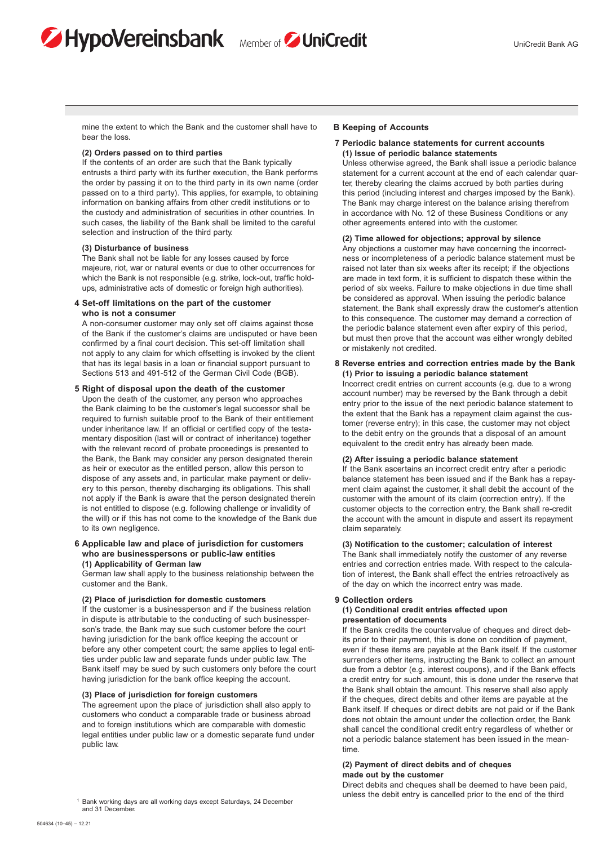mine the extent to which the Bank and the customer shall have to bear the loss.

#### **(2) Orders passed on to third parties**

 If the contents of an order are such that the Bank typically entrusts a third party with its further execution, the Bank performs the order by passing it on to the third party in its own name (order passed on to a third party). This applies, for example, to obtaining information on banking affairs from other credit institutions or to the custody and administration of securities in other countries. In such cases, the liability of the Bank shall be limited to the careful selection and instruction of the third party.

#### **(3) Disturbance of business**

 The Bank shall not be liable for any losses caused by force majeure, riot, war or natural events or due to other occurrences for which the Bank is not responsible (e.g. strike, lock-out, traffic holdups, administrative acts of domestic or foreign high authorities).

#### **4 Set-off limitations on the part of the customer who is not a consumer**

 A non-consumer customer may only set off claims against those of the Bank if the customer's claims are undisputed or have been confirmed by a final court decision. This set-off limitation shall not apply to any claim for which offsetting is invoked by the client that has its legal basis in a loan or financial support pursuant to Sections 513 and 491-512 of the German Civil Code (BGB).

#### **5 Right of disposal upon the death of the customer**

 Upon the death of the customer, any person who approaches the Bank claiming to be the customer's legal successor shall be required to furnish suitable proof to the Bank of their entitlement under inheritance law. If an official or certified copy of the testamentary disposition (last will or contract of inheritance) together with the relevant record of probate proceedings is presented to the Bank, the Bank may consider any person designated therein as heir or executor as the entitled person, allow this person to dispose of any assets and, in particular, make payment or delivery to this person, thereby discharging its obligations. This shall not apply if the Bank is aware that the person designated therein is not entitled to dispose (e.g. following challenge or invalidity of the will) or if this has not come to the knowledge of the Bank due to its own negligence.

#### **6 Applicable law and place of jurisdiction for customers who are businesspersons or public-law entities (1) Applicability of German law**

 German law shall apply to the business relationship between the customer and the Bank.

#### **(2) Place of jurisdiction for domestic customers**

 If the customer is a businessperson and if the business relation in dispute is attributable to the conducting of such businessperson's trade, the Bank may sue such customer before the court having jurisdiction for the bank office keeping the account or before any other competent court; the same applies to legal entities under public law and separate funds under public law. The Bank itself may be sued by such customers only before the court having jurisdiction for the bank office keeping the account.

#### **(3) Place of jurisdiction for foreign customers**

 The agreement upon the place of jurisdiction shall also apply to customers who conduct a comparable trade or business abroad and to foreign institutions which are comparable with domestic legal entities under public law or a domestic separate fund under public law.

#### **B Keeping of Accounts**

#### **7 Periodic balance statements for current accounts (1) Issue of periodic balance statements**

 Unless otherwise agreed, the Bank shall issue a periodic balance statement for a current account at the end of each calendar quarter, thereby clearing the claims accrued by both parties during this period (including interest and charges imposed by the Bank). The Bank may charge interest on the balance arising therefrom in accordance with No. 12 of these Business Conditions or any other agreements entered into with the customer.

#### **(2) Time allowed for objections; approval by silence**

 Any objections a customer may have concerning the incorrectness or incompleteness of a periodic balance statement must be raised not later than six weeks after its receipt; if the objections are made in text form, it is sufficient to dispatch these within the period of six weeks. Failure to make objections in due time shall be considered as approval. When issuing the periodic balance statement, the Bank shall expressly draw the customer's attention to this consequence. The customer may demand a correction of the periodic balance statement even after expiry of this period, but must then prove that the account was either wrongly debited or mistakenly not credited.

#### **8 Reverse entries and correction entries made by the Bank (1) Prior to issuing a periodic balance statement**

 Incorrect credit entries on current accounts (e.g. due to a wrong account number) may be reversed by the Bank through a debit entry prior to the issue of the next periodic balance statement to the extent that the Bank has a repayment claim against the customer (reverse entry); in this case, the customer may not object to the debit entry on the grounds that a disposal of an amount equivalent to the credit entry has already been made.

#### **(2) After issuing a periodic balance statement**

 If the Bank ascertains an incorrect credit entry after a periodic balance statement has been issued and if the Bank has a repayment claim against the customer, it shall debit the account of the customer with the amount of its claim (correction entry). If the customer objects to the correction entry, the Bank shall re-credit the account with the amount in dispute and assert its repayment claim separately.

#### **(3) Notification to the customer; calculation of interest**

 The Bank shall immediately notify the customer of any reverse entries and correction entries made. With respect to the calculation of interest, the Bank shall effect the entries retroactively as of the day on which the incorrect entry was made.

#### **9 Collection orders**

#### **(1) Conditional credit entries effected upon presentation of documents**

 If the Bank credits the countervalue of cheques and direct debits prior to their payment, this is done on condition of payment, even if these items are payable at the Bank itself. If the customer surrenders other items, instructing the Bank to collect an amount due from a debtor (e.g. interest coupons), and if the Bank effects a credit entry for such amount, this is done under the reserve that the Bank shall obtain the amount. This reserve shall also apply if the cheques, direct debits and other items are payable at the Bank itself. If cheques or direct debits are not paid or if the Bank does not obtain the amount under the collection order, the Bank shall cancel the conditional credit entry regardless of whether or not a periodic balance statement has been issued in the meantime.

### **(2) Payment of direct debits and of cheques**

### **made out by the customer**

 Direct debits and cheques shall be deemed to have been paid, <sup>1</sup> Bank working days are all working days except Saturdays, 24 December unless the debit entry is cancelled prior to the end of the third

and 31 December.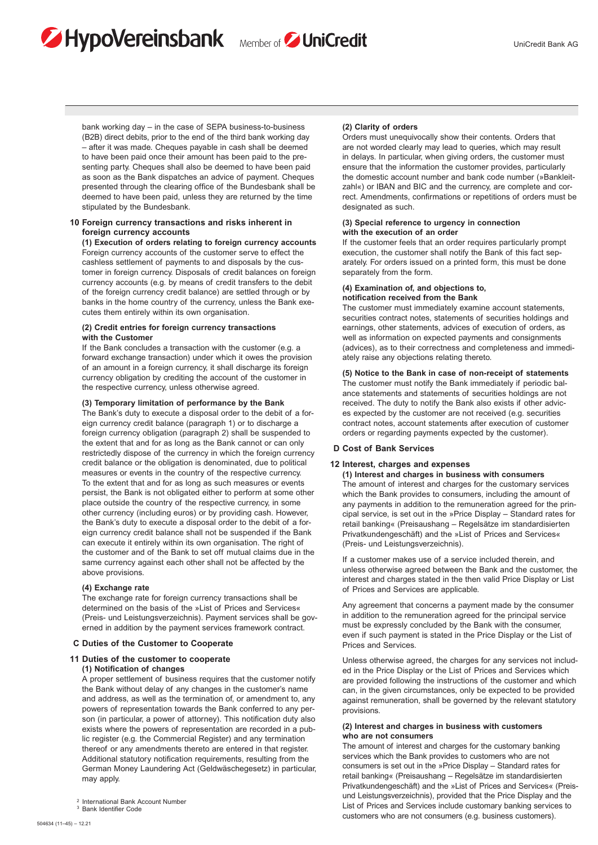

bank working day – in the case of SEPA business-to-business (B2B) direct debits, prior to the end of the third bank working day – after it was made. Cheques payable in cash shall be deemed to have been paid once their amount has been paid to the presenting party. Cheques shall also be deemed to have been paid as soon as the Bank dispatches an advice of payment. Cheques presented through the clearing office of the Bundesbank shall be deemed to have been paid, unless they are returned by the time stipulated by the Bundesbank.

#### **10 Foreign currency transactions and risks inherent in foreign currency accounts**

 **(1) Execution of orders relating to foreign currency accounts**  Foreign currency accounts of the customer serve to effect the cashless settlement of payments to and disposals by the customer in foreign currency. Disposals of credit balances on foreign currency accounts (e.g. by means of credit transfers to the debit of the foreign currency credit balance) are settled through or by banks in the home country of the currency, unless the Bank executes them entirely within its own organisation.

#### **(2) Credit entries for foreign currency transactions with the Customer**

 If the Bank concludes a transaction with the customer (e.g. a forward exchange transaction) under which it owes the provision of an amount in a foreign currency, it shall discharge its foreign currency obligation by crediting the account of the customer in the respective currency, unless otherwise agreed.

#### **(3) Temporary limitation of performance by the Bank**

 The Bank's duty to execute a disposal order to the debit of a foreign currency credit balance (paragraph 1) or to discharge a foreign currency obligation (paragraph 2) shall be suspended to the extent that and for as long as the Bank cannot or can only restrictedly dispose of the currency in which the foreign currency credit balance or the obligation is denominated, due to political measures or events in the country of the respective currency. To the extent that and for as long as such measures or events persist, the Bank is not obligated either to perform at some other place outside the country of the respective currency, in some other currency (including euros) or by providing cash. However, the Bank's duty to execute a disposal order to the debit of a foreign currency credit balance shall not be suspended if the Bank can execute it entirely within its own organisation. The right of the customer and of the Bank to set off mutual claims due in the same currency against each other shall not be affected by the above provisions.

#### **(4) Exchange rate**

 The exchange rate for foreign currency transactions shall be determined on the basis of the »List of Prices and Services« (Preis- und Leistungsverzeichnis). Payment services shall be governed in addition by the payment services framework contract.

#### **C Duties of the Customer to Cooperate**

### **11 Duties of the customer to cooperate**

#### **(1) Notification of changes**

 A proper settlement of business requires that the customer notify the Bank without delay of any changes in the customer's name and address, as well as the termination of, or amendment to, any powers of representation towards the Bank conferred to any person (in particular, a power of attorney). This notification duty also exists where the powers of representation are recorded in a public register (e.g. the Commercial Register) and any termination thereof or any amendments thereto are entered in that register. Additional statutory notification requirements, resulting from the German Money Laundering Act (Geldwäschegesetz) in particular, may apply.

#### **(2) Clarity of orders**

 Orders must unequivocally show their contents. Orders that are not worded clearly may lead to queries, which may result in delays. In particular, when giving orders, the customer must ensure that the information the customer provides, particularly the domestic account number and bank code number (»Bankleitzahl«) or IBAN and BIC and the currency, are complete and correct. Amendments, confirmations or repetitions of orders must be designated as such.

#### **(3) Special reference to urgency in connection with the execution of an order**

 If the customer feels that an order requires particularly prompt execution, the customer shall notify the Bank of this fact separately. For orders issued on a printed form, this must be done separately from the form.

#### **(4) Examination of, and objections to, notification received from the Bank**

 The customer must immediately examine account statements, securities contract notes, statements of securities holdings and earnings, other statements, advices of execution of orders, as well as information on expected payments and consignments (advices), as to their correctness and completeness and immediately raise any objections relating thereto.

#### **(5) Notice to the Bank in case of non-receipt of statements**

 The customer must notify the Bank immediately if periodic balance statements and statements of securities holdings are not received. The duty to notify the Bank also exists if other advices expected by the customer are not received (e.g. securities contract notes, account statements after execution of customer orders or regarding payments expected by the customer).

#### **D Cost of Bank Services**

#### **12 Interest, charges and expenses**

 **(1) Interest and charges in business with consumers** The amount of interest and charges for the customary services which the Bank provides to consumers, including the amount of any payments in addition to the remuneration agreed for the principal service, is set out in the »Price Display – Standard rates for retail banking« (Preisaushang – Regelsätze im standardisierten Privatkundengeschäft) and the »List of Prices and Services« (Preis- und Leistungsverzeichnis).

 If a customer makes use of a service included therein, and unless otherwise agreed between the Bank and the customer, the interest and charges stated in the then valid Price Display or List of Prices and Services are applicable.

 Any agreement that concerns a payment made by the consumer in addition to the remuneration agreed for the principal service must be expressly concluded by the Bank with the consumer, even if such payment is stated in the Price Display or the List of Prices and Services.

 Unless otherwise agreed, the charges for any services not included in the Price Display or the List of Prices and Services which are provided following the instructions of the customer and which can, in the given circumstances, only be expected to be provided against remuneration, shall be governed by the relevant statutory provisions.

#### **(2) Interest and charges in business with customers who are not consumers**

 The amount of interest and charges for the customary banking services which the Bank provides to customers who are not consumers is set out in the »Price Display – Standard rates for retail banking« (Preisaushang – Regelsätze im standardisierten Privatkundengeschäft) and the »List of Prices and Services« (Preisund Leistungsverzeichnis), provided that the Price Display and the List of Prices and Services include customary banking services to customers who are not consumers (e.g. business customers).

<sup>2</sup> International Bank Account Number 3 Bank Identifier Code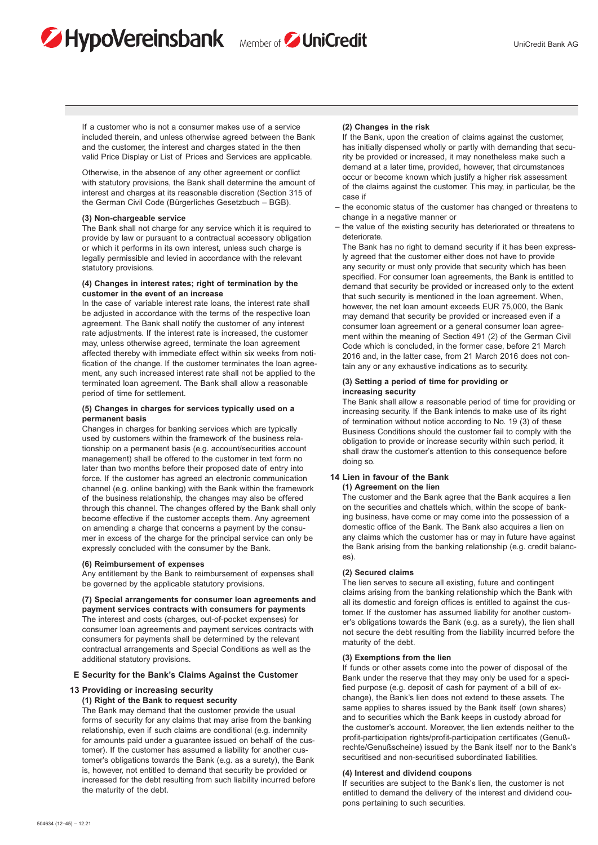If a customer who is not a consumer makes use of a service included therein, and unless otherwise agreed between the Bank and the customer, the interest and charges stated in the then valid Price Display or List of Prices and Services are applicable.

 Otherwise, in the absence of any other agreement or conflict with statutory provisions, the Bank shall determine the amount of interest and charges at its reasonable discretion (Section 315 of the German Civil Code (Bürgerliches Gesetzbuch – BGB).

#### **(3) Non-chargeable service**

 The Bank shall not charge for any service which it is required to provide by law or pursuant to a contractual accessory obligation or which it performs in its own interest, unless such charge is legally permissible and levied in accordance with the relevant statutory provisions.

#### **(4) Changes in interest rates; right of termination by the customer in the event of an increase**

 In the case of variable interest rate loans, the interest rate shall be adjusted in accordance with the terms of the respective loan agreement. The Bank shall notify the customer of any interest rate adjustments. If the interest rate is increased, the customer may, unless otherwise agreed, terminate the loan agreement affected thereby with immediate effect within six weeks from notification of the change. If the customer terminates the loan agreement, any such increased interest rate shall not be applied to the terminated loan agreement. The Bank shall allow a reasonable period of time for settlement.

#### **(5) Changes in charges for services typically used on a permanent basis**

 Changes in charges for banking services which are typically used by customers within the framework of the business relationship on a permanent basis (e.g. account/securities account management) shall be offered to the customer in text form no later than two months before their proposed date of entry into force. If the customer has agreed an electronic communication channel (e.g. online banking) with the Bank within the framework of the business relationship, the changes may also be offered through this channel. The changes offered by the Bank shall only become effective if the customer accepts them. Any agreement on amending a charge that concerns a payment by the consumer in excess of the charge for the principal service can only be expressly concluded with the consumer by the Bank.

#### **(6) Reimbursement of expenses**

 Any entitlement by the Bank to reimbursement of expenses shall be governed by the applicable statutory provisions.

 **(7) Special arrangements for consumer loan agreements and payment services contracts with consumers for payments**  The interest and costs (charges, out-of-pocket expenses) for consumer loan agreements and payment services contracts with consumers for payments shall be determined by the relevant contractual arrangements and Special Conditions as well as the additional statutory provisions.

#### **E Security for the Bank's Claims Against the Customer**

#### **13 Providing or increasing security**

#### **(1) Right of the Bank to request security**

 The Bank may demand that the customer provide the usual forms of security for any claims that may arise from the banking relationship, even if such claims are conditional (e.g. indemnity for amounts paid under a guarantee issued on behalf of the customer). If the customer has assumed a liability for another customer's obligations towards the Bank (e.g. as a surety), the Bank is, however, not entitled to demand that security be provided or increased for the debt resulting from such liability incurred before the maturity of the debt.

#### **(2) Changes in the risk**

 If the Bank, upon the creation of claims against the customer, has initially dispensed wholly or partly with demanding that security be provided or increased, it may nonetheless make such a demand at a later time, provided, however, that circumstances occur or become known which justify a higher risk assessment of the claims against the customer. This may, in particular, be the case if

- the economic status of the customer has changed or threatens to change in a negative manner or
- the value of the existing security has deteriorated or threatens to deteriorate.

 The Bank has no right to demand security if it has been expressly agreed that the customer either does not have to provide any security or must only provide that security which has been specified. For consumer loan agreements, the Bank is entitled to demand that security be provided or increased only to the extent that such security is mentioned in the loan agreement. When, however, the net loan amount exceeds EUR 75,000, the Bank may demand that security be provided or increased even if a consumer loan agreement or a general consumer loan agreement within the meaning of Section 491 (2) of the German Civil Code which is concluded, in the former case, before 21 March 2016 and, in the latter case, from 21 March 2016 does not contain any or any exhaustive indications as to security.

#### **(3) Setting a period of time for providing or increasing security**

 The Bank shall allow a reasonable period of time for providing or increasing security. If the Bank intends to make use of its right of termination without notice according to No. 19 (3) of these Business Conditions should the customer fail to comply with the obligation to provide or increase security within such period, it shall draw the customer's attention to this consequence before doing so.

#### **14 Lien in favour of the Bank (1) Agreement on the lien**

 The customer and the Bank agree that the Bank acquires a lien on the securities and chattels which, within the scope of banking business, have come or may come into the possession of a domestic office of the Bank. The Bank also acquires a lien on any claims which the customer has or may in future have against the Bank arising from the banking relationship (e.g. credit balances).

#### **(2) Secured claims**

 The lien serves to secure all existing, future and contingent claims arising from the banking relationship which the Bank with all its domestic and foreign offices is entitled to against the customer. If the customer has assumed liability for another customer's obligations towards the Bank (e.g. as a surety), the lien shall not secure the debt resulting from the liability incurred before the maturity of the debt.

#### **(3) Exemptions from the lien**

 If funds or other assets come into the power of disposal of the Bank under the reserve that they may only be used for a specified purpose (e.g. deposit of cash for payment of a bill of exchange), the Bank's lien does not extend to these assets. The same applies to shares issued by the Bank itself (own shares) and to securities which the Bank keeps in custody abroad for the customer's account. Moreover, the lien extends neither to the profit-participation rights/profit-participation certificates (Genußrechte/Genußscheine) issued by the Bank itself nor to the Bank's securitised and non-securitised subordinated liabilities.

#### **(4) Interest and dividend coupons**

 If securities are subject to the Bank's lien, the customer is not entitled to demand the delivery of the interest and dividend coupons pertaining to such securities.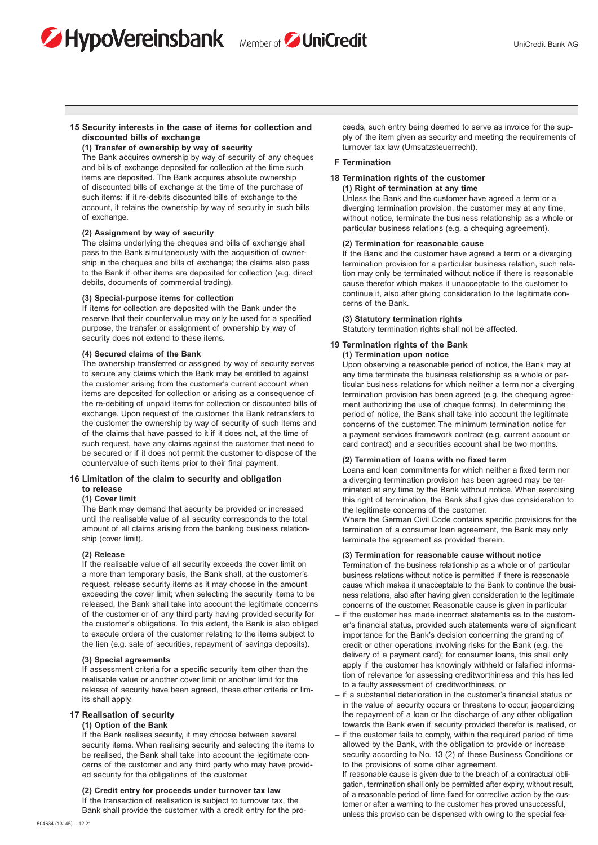

#### **15 Security interests in the case of items for collection and discounted bills of exchange**

#### **(1) Transfer of ownership by way of security**

 The Bank acquires ownership by way of security of any cheques and bills of exchange deposited for collection at the time such items are deposited. The Bank acquires absolute ownership of discounted bills of exchange at the time of the purchase of such items; if it re-debits discounted bills of exchange to the account, it retains the ownership by way of security in such bills of exchange.

#### **(2) Assignment by way of security**

 The claims underlying the cheques and bills of exchange shall pass to the Bank simultaneously with the acquisition of ownership in the cheques and bills of exchange; the claims also pass to the Bank if other items are deposited for collection (e.g. direct debits, documents of commercial trading).

#### **(3) Special-purpose items for collection**

 If items for collection are deposited with the Bank under the reserve that their countervalue may only be used for a specified purpose, the transfer or assignment of ownership by way of security does not extend to these items.

#### **(4) Secured claims of the Bank**

 The ownership transferred or assigned by way of security serves to secure any claims which the Bank may be entitled to against the customer arising from the customer's current account when items are deposited for collection or arising as a consequence of the re-debiting of unpaid items for collection or discounted bills of exchange. Upon request of the customer, the Bank retransfers to the customer the ownership by way of security of such items and of the claims that have passed to it if it does not, at the time of such request, have any claims against the customer that need to be secured or if it does not permit the customer to dispose of the countervalue of such items prior to their final payment.

#### **16 Limitation of the claim to security and obligation to release**

#### **(1) Cover limit**

 The Bank may demand that security be provided or increased until the realisable value of all security corresponds to the total amount of all claims arising from the banking business relationship (cover limit).

#### **(2) Release**

 If the realisable value of all security exceeds the cover limit on a more than temporary basis, the Bank shall, at the customer's request, release security items as it may choose in the amount exceeding the cover limit; when selecting the security items to be released, the Bank shall take into account the legitimate concerns of the customer or of any third party having provided security for the customer's obligations. To this extent, the Bank is also obliged to execute orders of the customer relating to the items subject to the lien (e.g. sale of securities, repayment of savings deposits).

#### **(3) Special agreements**

 If assessment criteria for a specific security item other than the realisable value or another cover limit or another limit for the release of security have been agreed, these other criteria or limits shall apply.

#### **17 Realisation of security**

#### **(1) Option of the Bank**

 If the Bank realises security, it may choose between several security items. When realising security and selecting the items to be realised, the Bank shall take into account the legitimate concerns of the customer and any third party who may have provided security for the obligations of the customer.

 **(2) Credit entry for proceeds under turnover tax law** If the transaction of realisation is subject to turnover tax, the Bank shall provide the customer with a credit entry for the proceeds, such entry being deemed to serve as invoice for the supply of the item given as security and meeting the requirements of turnover tax law (Umsatzsteuerrecht).

#### **F Termination**

### **18 Termination rights of the customer**

 **(1) Right of termination at any time**  Unless the Bank and the customer have agreed a term or a diverging termination provision, the customer may at any time, without notice, terminate the business relationship as a whole or particular business relations (e.g. a chequing agreement).

#### **(2) Termination for reasonable cause**

 If the Bank and the customer have agreed a term or a diverging termination provision for a particular business relation, such relation may only be terminated without notice if there is reasonable cause therefor which makes it unacceptable to the customer to continue it, also after giving consideration to the legitimate concerns of the Bank.

#### **(3) Statutory termination rights**

Statutory termination rights shall not be affected.

#### **19 Termination rights of the Bank (1) Termination upon notice**

 Upon observing a reasonable period of notice, the Bank may at any time terminate the business relationship as a whole or particular business relations for which neither a term nor a diverging termination provision has been agreed (e.g. the chequing agreement authorizing the use of cheque forms). In determining the period of notice, the Bank shall take into account the legitimate concerns of the customer. The minimum termination notice for a payment services framework contract (e.g. current account or card contract) and a securities account shall be two months.

#### **(2) Termination of loans with no fixed term**

 Loans and loan commitments for which neither a fixed term nor a diverging termination provision has been agreed may be terminated at any time by the Bank without notice. When exercising this right of termination, the Bank shall give due consideration to the legitimate concerns of the customer.

 Where the German Civil Code contains specific provisions for the termination of a consumer loan agreement, the Bank may only terminate the agreement as provided therein.

#### **(3) Termination for reasonable cause without notice**

 Termination of the business relationship as a whole or of particular business relations without notice is permitted if there is reasonable cause which makes it unacceptable to the Bank to continue the business relations, also after having given consideration to the legitimate concerns of the customer. Reasonable cause is given in particular

- if the customer has made incorrect statements as to the customer's financial status, provided such statements were of significant importance for the Bank's decision concerning the granting of credit or other operations involving risks for the Bank (e.g. the delivery of a payment card); for consumer loans, this shall only apply if the customer has knowingly withheld or falsified information of relevance for assessing creditworthiness and this has led to a faulty assessment of creditworthiness, or
- if a substantial deterioration in the customer's financial status or in the value of security occurs or threatens to occur, jeopardizing the repayment of a loan or the discharge of any other obligation towards the Bank even if security provided therefor is realised, or
- if the customer fails to comply, within the required period of time allowed by the Bank, with the obligation to provide or increase security according to No. 13 (2) of these Business Conditions or to the provisions of some other agreement.

If reasonable cause is given due to the breach of a contractual obligation, termination shall only be permitted after expiry, without result, of a reasonable period of time fixed for corrective action by the customer or after a warning to the customer has proved unsuccessful, unless this proviso can be dispensed with owing to the special fea-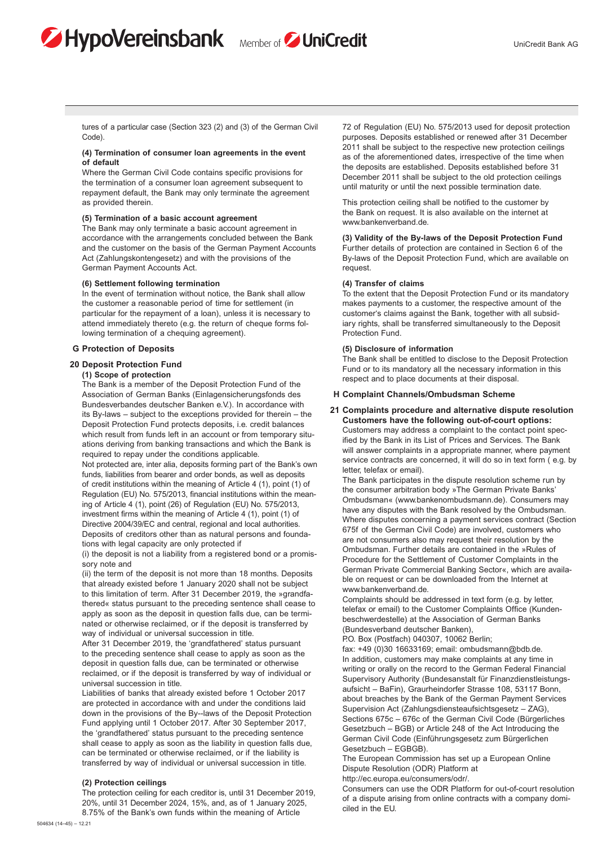tures of a particular case (Section 323 (2) and (3) of the German Civil Code).

#### **(4) Termination of consumer loan agreements in the event of default**

 Where the German Civil Code contains specific provisions for the termination of a consumer loan agreement subsequent to repayment default, the Bank may only terminate the agreement as provided therein.

#### **(5) Termination of a basic account agreement**

 The Bank may only terminate a basic account agreement in accordance with the arrangements concluded between the Bank and the customer on the basis of the German Payment Accounts Act (Zahlungskontengesetz) and with the provisions of the German Payment Accounts Act.

#### **(6) Settlement following termination**

 In the event of termination without notice, the Bank shall allow the customer a reasonable period of time for settlement (in particular for the repayment of a loan), unless it is necessary to attend immediately thereto (e.g. the return of cheque forms following termination of a chequing agreement).

#### **G Protection of Deposits**

#### **20 Deposit Protection Fund**

#### **(1) Scope of protection**

 The Bank is a member of the Deposit Protection Fund of the Association of German Banks (Einlagensicherungsfonds des Bundesverbandes deutscher Banken e.V.). In accordance with its By-laws – subject to the exceptions provided for therein – the Deposit Protection Fund protects deposits, i.e. credit balances which result from funds left in an account or from temporary situations deriving from banking transactions and which the Bank is required to repay under the conditions applicable.

 Not protected are, inter alia, deposits forming part of the Bank's own funds, liabilities from bearer and order bonds, as well as deposits of credit institutions within the meaning of Article 4 (1), point (1) of Regulation (EU) No. 575/2013, financial institutions within the meaning of Article 4 (1), point (26) of Regulation (EU) No. 575/2013, investment firms within the meaning of Article 4 (1), point (1) of Directive 2004/39/EC and central, regional and local authorities. Deposits of creditors other than as natural persons and foundations with legal capacity are only protected if

 (i) the deposit is not a liability from a registered bond or a promissory note and

 (ii) the term of the deposit is not more than 18 months. Deposits that already existed before 1 January 2020 shall not be subject to this limitation of term. After 31 December 2019, the »grandfathered« status pursuant to the preceding sentence shall cease to apply as soon as the deposit in question falls due, can be terminated or otherwise reclaimed, or if the deposit is transferred by way of individual or universal succession in title.

 After 31 December 2019, the 'grandfathered' status pursuant to the preceding sentence shall cease to apply as soon as the deposit in question falls due, can be terminated or otherwise reclaimed, or if the deposit is transferred by way of individual or universal succession in title.

 Liabilities of banks that already existed before 1 October 2017 are protected in accordance with and under the conditions laid down in the provisions of the By--laws of the Deposit Protection Fund applying until 1 October 2017. After 30 September 2017, the 'grandfathered' status pursuant to the preceding sentence shall cease to apply as soon as the liability in question falls due, can be terminated or otherwise reclaimed, or if the liability is transferred by way of individual or universal succession in title.

#### **(2) Protection ceilings**

 The protection ceiling for each creditor is, until 31 December 2019, 20%, until 31 December 2024, 15%, and, as of 1 January 2025, 8.75% of the Bank's own funds within the meaning of Article

72 of Regulation (EU) No. 575/2013 used for deposit protection purposes. Deposits established or renewed after 31 December 2011 shall be subject to the respective new protection ceilings as of the aforementioned dates, irrespective of the time when the deposits are established. Deposits established before 31 December 2011 shall be subject to the old protection ceilings until maturity or until the next possible termination date.

 This protection ceiling shall be notified to the customer by the Bank on request. It is also available on the internet at www.bankenverband.de.

#### **(3) Validity of the By-laws of the Deposit Protection Fund**

 Further details of protection are contained in Section 6 of the By-laws of the Deposit Protection Fund, which are available on request.

#### **(4) Transfer of claims**

 To the extent that the Deposit Protection Fund or its mandatory makes payments to a customer, the respective amount of the customer's claims against the Bank, together with all subsidiary rights, shall be transferred simultaneously to the Deposit Protection Fund.

#### **(5) Disclosure of information**

 The Bank shall be entitled to disclose to the Deposit Protection Fund or to its mandatory all the necessary information in this respect and to place documents at their disposal.

#### **H Complaint Channels/Ombudsman Scheme**

### **21 Complaints procedure and alternative dispute resolution**

**Customers have the following out-of-court options:** Customers may address a complaint to the contact point specified by the Bank in its List of Prices and Services. The Bank will answer complaints in a appropriate manner, where payment service contracts are concerned, it will do so in text form ( e.g. by letter, telefax or email).

 The Bank participates in the dispute resolution scheme run by the consumer arbitration body »The German Private Banks' Ombudsman« (www.bankenombudsmann.de). Consumers may have any disputes with the Bank resolved by the Ombudsman. Where disputes concerning a payment services contract (Section 675f of the German Civil Code) are involved, customers who are not consumers also may request their resolution by the Ombudsman. Further details are contained in the »Rules of Procedure for the Settlement of Customer Complaints in the German Private Commercial Banking Sector«, which are available on request or can be downloaded from the Internet at www.bankenverband.de.

 Complaints should be addressed in text form (e.g. by letter, telefax or email) to the Customer Complaints Office (Kundenbeschwerdestelle) at the Association of German Banks (Bundesverband deutscher Banken),

P.O. Box (Postfach) 040307, 10062 Berlin;

fax: +49 (0)30 16633169; email: ombudsmann@bdb.de. In addition, customers may make complaints at any time in writing or orally on the record to the German Federal Financial Supervisory Authority (Bundesanstalt für Finanzdienstleistungsaufsicht – BaFin), Graurheindorfer Strasse 108, 53117 Bonn, about breaches by the Bank of the German Payment Services Supervision Act (Zahlungsdiensteaufsichtsgesetz – ZAG), Sections 675c – 676c of the German Civil Code (Bürgerliches Gesetzbuch – BGB) or Article 248 of the Act Introducing the German Civil Code (Einführungsgesetz zum Bürgerlichen Gesetzbuch – EGBGB).

 The European Commission has set up a European Online Dispute Resolution (ODR) Platform at

http://ec.europa.eu/consumers/odr/.

 Consumers can use the ODR Platform for out-of-court resolution of a dispute arising from online contracts with a company domiciled in the EU.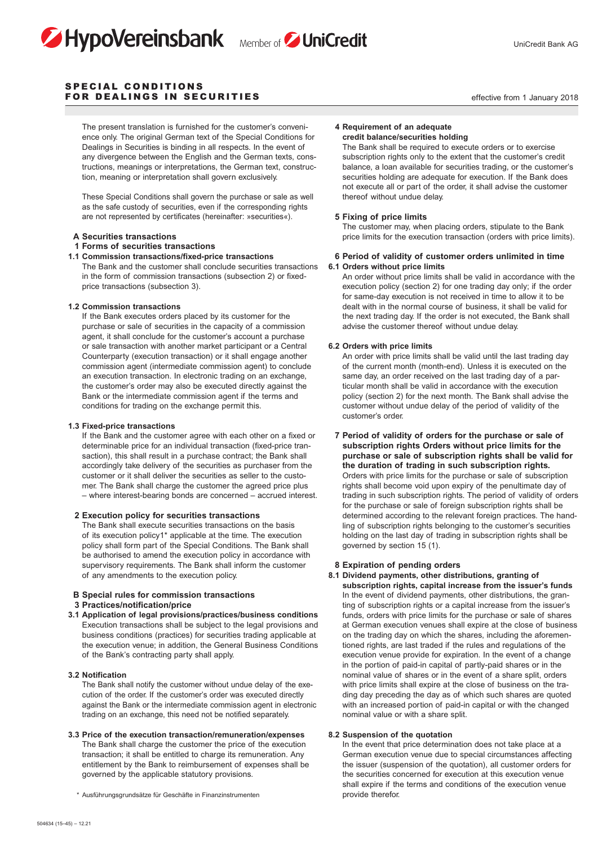

#### SPECIAL CONDITIONS **FOR DEALINGS IN SECURITIES Example 2018 Example 2018 effective from 1 January 2018**

 The present translation is furnished for the customer's convenience only. The original German text of the Special Conditions for Dealings in Securities is binding in all respects. In the event of any divergence between the English and the German texts, constructions, meanings or interpretations, the German text, construction, meaning or interpretation shall govern exclusively.

 These Special Conditions shall govern the purchase or sale as well as the safe custody of securities, even if the corresponding rights are not represented by certificates (hereinafter: »securities«).

#### **A Securities transactions**

#### **1 Forms of securities transactions**

**1.1 Commission transactions/fixed-price transactions** The Bank and the customer shall conclude securities transactions in the form of commission transactions (subsection 2) or fixedprice transactions (subsection 3).

#### **1.2 Commission transactions**

 If the Bank executes orders placed by its customer for the purchase or sale of securities in the capacity of a commission agent, it shall conclude for the customer's account a purchase or sale transaction with another market participant or a Central Counterparty (execution transaction) or it shall engage another commission agent (intermediate commission agent) to conclude an execution transaction. In electronic trading on an exchange, the customer's order may also be executed directly against the Bank or the intermediate commission agent if the terms and conditions for trading on the exchange permit this.

#### **1.3 Fixed-price transactions**

 If the Bank and the customer agree with each other on a fixed or determinable price for an individual transaction (fixed-price transaction), this shall result in a purchase contract; the Bank shall accordingly take delivery of the securities as purchaser from the customer or it shall deliver the securities as seller to the customer. The Bank shall charge the customer the agreed price plus – where interest-bearing bonds are concerned – accrued interest.

#### **2 Execution policy for securities transactions**

 The Bank shall execute securities transactions on the basis of its execution policy1\* applicable at the time. The execution policy shall form part of the Special Conditions. The Bank shall be authorised to amend the execution policy in accordance with supervisory requirements. The Bank shall inform the customer of any amendments to the execution policy.

### **B Special rules for commission transactions**

- **3 Practices/notification/price**
- **3.1 Application of legal provisions/practices/business conditions** Execution transactions shall be subject to the legal provisions and business conditions (practices) for securities trading applicable at the execution venue; in addition, the General Business Conditions of the Bank's contracting party shall apply.

#### **3.2 Notification**

 The Bank shall notify the customer without undue delay of the execution of the order. If the customer's order was executed directly against the Bank or the intermediate commission agent in electronic trading on an exchange, this need not be notified separately.

#### **3.3 Price of the execution transaction/remuneration/expenses**

- The Bank shall charge the customer the price of the execution transaction; it shall be entitled to charge its remuneration. Any entitlement by the Bank to reimbursement of expenses shall be governed by the applicable statutory provisions.
- \* Ausführungsgrundsätze für Geschäfte in Finanzinstrumenten

#### **4 Requirement of an adequate credit balance/securities holding**

 The Bank shall be required to execute orders or to exercise subscription rights only to the extent that the customer's credit balance, a loan available for securities trading, or the customer's securities holding are adequate for execution. If the Bank does not execute all or part of the order, it shall advise the customer thereof without undue delay.

#### **5 Fixing of price limits**

 The customer may, when placing orders, stipulate to the Bank price limits for the execution transaction (orders with price limits).

#### **6 Period of validity of customer orders unlimited in time 6.1 Orders without price limits**

 An order without price limits shall be valid in accordance with the execution policy (section 2) for one trading day only; if the order for same-day execution is not received in time to allow it to be dealt with in the normal course of business, it shall be valid for the next trading day. If the order is not executed, the Bank shall advise the customer thereof without undue delay.

#### **6.2 Orders with price limits**

 An order with price limits shall be valid until the last trading day of the current month (month-end). Unless it is executed on the same day, an order received on the last trading day of a particular month shall be valid in accordance with the execution policy (section 2) for the next month. The Bank shall advise the customer without undue delay of the period of validity of the customer's order.

**7 Period of validity of orders for the purchase or sale of subscription rights Orders without price limits for the purchase or sale of subscription rights shall be valid for the duration of trading in such subscription rights.** Orders with price limits for the purchase or sale of subscription rights shall become void upon expiry of the penultimate day of trading in such subscription rights. The period of validity of orders for the purchase or sale of foreign subscription rights shall be determined according to the relevant foreign practices. The handling of subscription rights belonging to the customer's securities holding on the last day of trading in subscription rights shall be governed by section 15 (1).

#### **8 Expiration of pending orders**

**8.1 Dividend payments, other distributions, granting of** 

**subscription rights, capital increase from the issuer's funds** In the event of dividend payments, other distributions, the granting of subscription rights or a capital increase from the issuer's funds, orders with price limits for the purchase or sale of shares at German execution venues shall expire at the close of business on the trading day on which the shares, including the aforementioned rights, are last traded if the rules and regulations of the execution venue provide for expiration. In the event of a change in the portion of paid-in capital of partly-paid shares or in the nominal value of shares or in the event of a share split, orders with price limits shall expire at the close of business on the trading day preceding the day as of which such shares are quoted with an increased portion of paid-in capital or with the changed nominal value or with a share split.

#### **8.2 Suspension of the quotation**

 In the event that price determination does not take place at a German execution venue due to special circumstances affecting the issuer (suspension of the quotation), all customer orders for the securities concerned for execution at this execution venue shall expire if the terms and conditions of the execution venue provide therefor.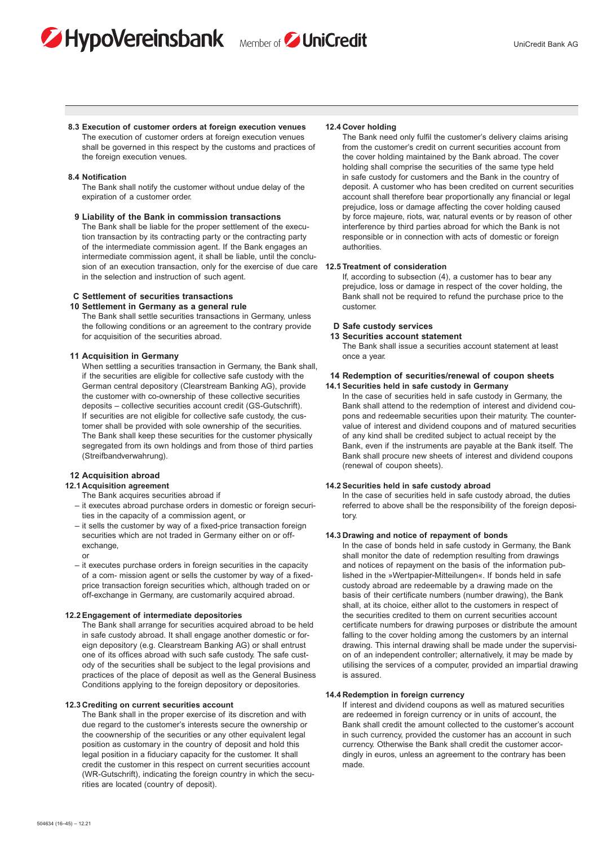

**8.3 Execution of customer orders at foreign execution venues** The execution of customer orders at foreign execution venues shall be governed in this respect by the customs and practices of the foreign execution venues.

#### **8.4 Notification**

 The Bank shall notify the customer without undue delay of the expiration of a customer order.

#### **9 Liability of the Bank in commission transactions**

 The Bank shall be liable for the proper settlement of the execution transaction by its contracting party or the contracting party of the intermediate commission agent. If the Bank engages an intermediate commission agent, it shall be liable, until the conclusion of an execution transaction, only for the exercise of due care in the selection and instruction of such agent.

#### **C Settlement of securities transactions**

#### **10 Settlement in Germany as a general rule**

 The Bank shall settle securities transactions in Germany, unless the following conditions or an agreement to the contrary provide for acquisition of the securities abroad.

#### **11 Acquisition in Germany**

 When settling a securities transaction in Germany, the Bank shall, if the securities are eligible for collective safe custody with the German central depository (Clearstream Banking AG), provide the customer with co-ownership of these collective securities deposits – collective securities account credit (GS-Gutschrift). If securities are not eligible for collective safe custody, the customer shall be provided with sole ownership of the securities. The Bank shall keep these securities for the customer physically segregated from its own holdings and from those of third parties (Streifbandverwahrung).

#### **12 Acquisition abroad**

#### **12.1 Acquisition agreement**

The Bank acquires securities abroad if

- it executes abroad purchase orders in domestic or foreign securities in the capacity of a commission agent, or
- it sells the customer by way of a fixed-price transaction foreign securities which are not traded in Germany either on or offexchange, or
- it executes purchase orders in foreign securities in the capacity of a com- mission agent or sells the customer by way of a fixedprice transaction foreign securities which, although traded on or off-exchange in Germany, are customarily acquired abroad.

#### **12.2 Engagement of intermediate depositories**

 The Bank shall arrange for securities acquired abroad to be held in safe custody abroad. It shall engage another domestic or foreign depository (e.g. Clearstream Banking AG) or shall entrust one of its offices abroad with such safe custody. The safe custody of the securities shall be subject to the legal provisions and practices of the place of deposit as well as the General Business Conditions applying to the foreign depository or depositories.

#### **12.3 Crediting on current securities account**

 The Bank shall in the proper exercise of its discretion and with due regard to the customer's interests secure the ownership or the coownership of the securities or any other equivalent legal position as customary in the country of deposit and hold this legal position in a fiduciary capacity for the customer. It shall credit the customer in this respect on current securities account (WR-Gutschrift), indicating the foreign country in which the securities are located (country of deposit).

#### **12.4 Cover holding**

 The Bank need only fulfil the customer's delivery claims arising from the customer's credit on current securities account from the cover holding maintained by the Bank abroad. The cover holding shall comprise the securities of the same type held in safe custody for customers and the Bank in the country of deposit. A customer who has been credited on current securities account shall therefore bear proportionally any financial or legal prejudice, loss or damage affecting the cover holding caused by force majeure, riots, war, natural events or by reason of other interference by third parties abroad for which the Bank is not responsible or in connection with acts of domestic or foreign authorities.

#### **12.5 Treatment of consideration**

 If, according to subsection (4), a customer has to bear any prejudice, loss or damage in respect of the cover holding, the Bank shall not be required to refund the purchase price to the customer.

#### **D Safe custody services**

**13 Securities account statement**

 The Bank shall issue a securities account statement at least once a year.

#### **14 Redemption of securities/renewal of coupon sheets 14.1 Securities held in safe custody in Germany**

 In the case of securities held in safe custody in Germany, the Bank shall attend to the redemption of interest and dividend coupons and redeemable securities upon their maturity. The countervalue of interest and dividend coupons and of matured securities of any kind shall be credited subject to actual receipt by the Bank, even if the instruments are payable at the Bank itself. The Bank shall procure new sheets of interest and dividend coupons (renewal of coupon sheets).

#### **14.2 Securities held in safe custody abroad**

 In the case of securities held in safe custody abroad, the duties referred to above shall be the responsibility of the foreign depository.

#### **14.3 Drawing and notice of repayment of bonds**

In the case of bonds held in safe custody in Germany, the Bank shall monitor the date of redemption resulting from drawings and notices of repayment on the basis of the information published in the »Wertpapier-Mitteilungen«. If bonds held in safe custody abroad are redeemable by a drawing made on the basis of their certificate numbers (number drawing), the Bank shall, at its choice, either allot to the customers in respect of the securities credited to them on current securities account certificate numbers for drawing purposes or distribute the amount falling to the cover holding among the customers by an internal drawing. This internal drawing shall be made under the supervision of an independent controller; alternatively, it may be made by utilising the services of a computer, provided an impartial drawing is assured.

#### **14.4 Redemption in foreign currency**

 If interest and dividend coupons as well as matured securities are redeemed in foreign currency or in units of account, the Bank shall credit the amount collected to the customer's account in such currency, provided the customer has an account in such currency. Otherwise the Bank shall credit the customer accordingly in euros, unless an agreement to the contrary has been made.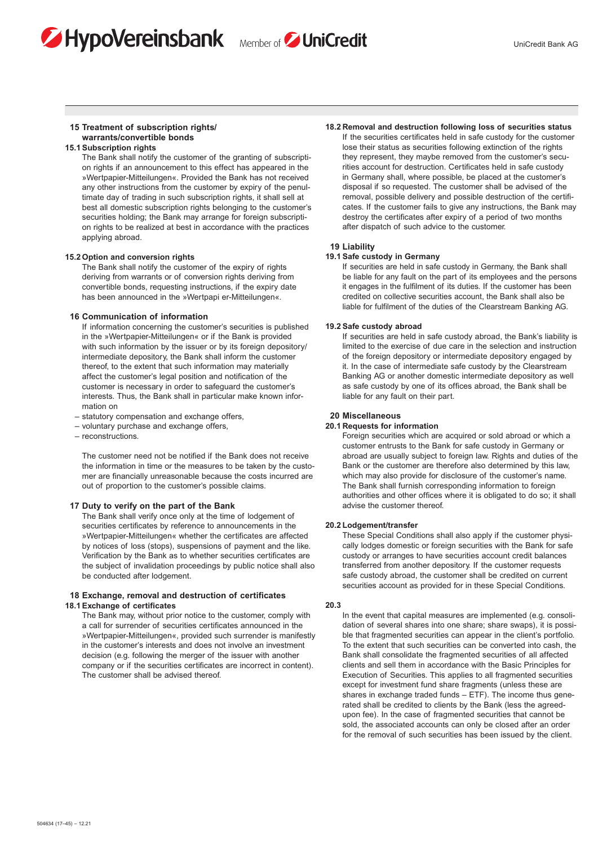

#### **15 Treatment of subscription rights/ warrants/convertible bonds**

#### **15.1 Subscription rights**

 The Bank shall notify the customer of the granting of subscription rights if an announcement to this effect has appeared in the »Wertpapier-Mitteilungen«. Provided the Bank has not received any other instructions from the customer by expiry of the penultimate day of trading in such subscription rights, it shall sell at best all domestic subscription rights belonging to the customer's securities holding; the Bank may arrange for foreign subscription rights to be realized at best in accordance with the practices applying abroad.

#### **15.2 Option and conversion rights**

 The Bank shall notify the customer of the expiry of rights deriving from warrants or of conversion rights deriving from convertible bonds, requesting instructions, if the expiry date has been announced in the »Wertpapi er-Mitteilungen«.

#### **16 Communication of information**

 If information concerning the customer's securities is published in the »Wertpapier-Mitteilungen« or if the Bank is provided with such information by the issuer or by its foreign depository/ intermediate depository, the Bank shall inform the customer thereof, to the extent that such information may materially affect the customer's legal position and notification of the customer is necessary in order to safeguard the customer's interests. Thus, the Bank shall in particular make known information on

- statutory compensation and exchange offers,
- voluntary purchase and exchange offers,
- reconstructions.

 The customer need not be notified if the Bank does not receive the information in time or the measures to be taken by the customer are financially unreasonable because the costs incurred are out of proportion to the customer's possible claims.

#### **17 Duty to verify on the part of the Bank**

 The Bank shall verify once only at the time of lodgement of securities certificates by reference to announcements in the »Wertpapier-Mitteilungen« whether the certificates are affected by notices of loss (stops), suspensions of payment and the like. Verification by the Bank as to whether securities certificates are the subject of invalidation proceedings by public notice shall also be conducted after lodgement.

#### **18 Exchange, removal and destruction of certificates 18.1 Exchange of certificates**

 The Bank may, without prior notice to the customer, comply with a call for surrender of securities certificates announced in the »Wertpapier-Mitteilungen«, provided such surrender is manifestly in the customer's interests and does not involve an investment decision (e.g. following the merger of the issuer with another company or if the securities certificates are incorrect in content). The customer shall be advised thereof.

#### **18.2 Removal and destruction following loss of securities status**

 If the securities certificates held in safe custody for the customer lose their status as securities following extinction of the rights they represent, they maybe removed from the customer's securities account for destruction. Certificates held in safe custody in Germany shall, where possible, be placed at the customer's disposal if so requested. The customer shall be advised of the removal, possible delivery and possible destruction of the certificates. If the customer fails to give any instructions, the Bank may destroy the certificates after expiry of a period of two months after dispatch of such advice to the customer.

#### **19 Liability**

#### **19.1 Safe custody in Germany**

 If securities are held in safe custody in Germany, the Bank shall be liable for any fault on the part of its employees and the persons it engages in the fulfilment of its duties. If the customer has been credited on collective securities account, the Bank shall also be liable for fulfilment of the duties of the Clearstream Banking AG.

#### **19.2 Safe custody abroad**

 If securities are held in safe custody abroad, the Bank's liability is limited to the exercise of due care in the selection and instruction of the foreign depository or intermediate depository engaged by it. In the case of intermediate safe custody by the Clearstream Banking AG or another domestic intermediate depository as well as safe custody by one of its offices abroad, the Bank shall be liable for any fault on their part.

#### **20 Miscellaneous**

#### **20.1 Requests for information**

 Foreign securities which are acquired or sold abroad or which a customer entrusts to the Bank for safe custody in Germany or abroad are usually subject to foreign law. Rights and duties of the Bank or the customer are therefore also determined by this law, which may also provide for disclosure of the customer's name. The Bank shall furnish corresponding information to foreign authorities and other offices where it is obligated to do so; it shall advise the customer thereof.

#### **20.2 Lodgement/transfer**

 These Special Conditions shall also apply if the customer physically lodges domestic or foreign securities with the Bank for safe custody or arranges to have securities account credit balances transferred from another depository. If the customer requests safe custody abroad, the customer shall be credited on current securities account as provided for in these Special Conditions.

#### **20.3**

 In the event that capital measures are implemented (e.g. consolidation of several shares into one share; share swaps), it is possible that fragmented securities can appear in the client's portfolio. To the extent that such securities can be converted into cash, the Bank shall consolidate the fragmented securities of all affected clients and sell them in accordance with the Basic Principles for Execution of Securities. This applies to all fragmented securities except for investment fund share fragments (unless these are shares in exchange traded funds – ETF). The income thus generated shall be credited to clients by the Bank (less the agreedupon fee). In the case of fragmented securities that cannot be sold, the associated accounts can only be closed after an order for the removal of such securities has been issued by the client.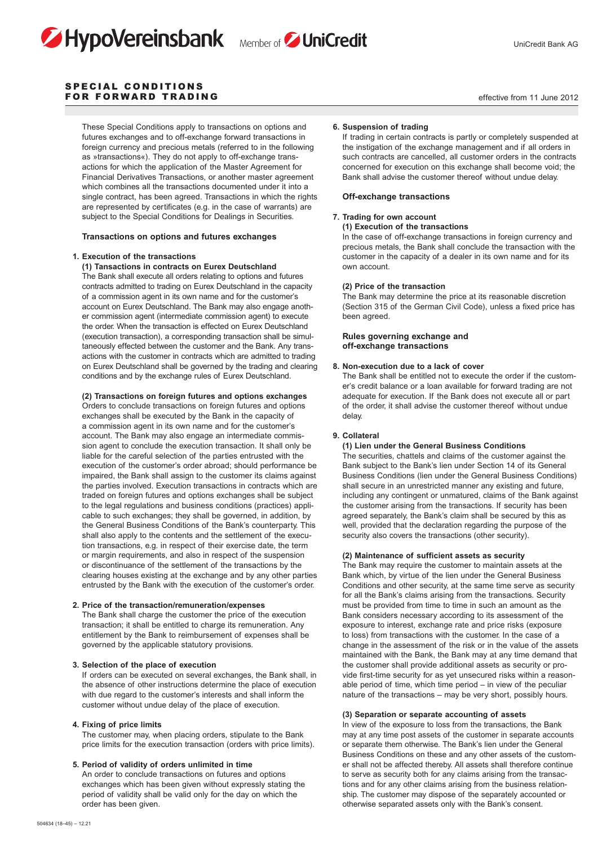

#### SPECIAL CONDITIONS **FOR FORWARD TRADING Example 2012 Example 2012 effective from 11 June 2012**

 These Special Conditions apply to transactions on options and futures exchanges and to off-exchange forward transactions in foreign currency and precious metals (referred to in the following as »transactions«). They do not apply to off-exchange transactions for which the application of the Master Agreement for Financial Derivatives Transactions, or another master agreement which combines all the transactions documented under it into a single contract, has been agreed. Transactions in which the rights are represented by certificates (e.g. in the case of warrants) are subject to the Special Conditions for Dealings in Securities.

#### **Transactions on options and futures exchanges**

#### **1. Execution of the transactions**

#### **(1) Tansactions in contracts on Eurex Deutschland**

 The Bank shall execute all orders relating to options and futures contracts admitted to trading on Eurex Deutschland in the capacity of a commission agent in its own name and for the customer's account on Eurex Deutschland. The Bank may also engage another commission agent (intermediate commission agent) to execute the order. When the transaction is effected on Eurex Deutschland (execution transaction), a corresponding transaction shall be simultaneously effected between the customer and the Bank. Any transactions with the customer in contracts which are admitted to trading on Eurex Deutschland shall be governed by the trading and clearing conditions and by the exchange rules of Eurex Deutschland.

#### **(2) Transactions on foreign futures and options exchanges**

 Orders to conclude transactions on foreign futures and options exchanges shall be executed by the Bank in the capacity of a commission agent in its own name and for the customer's account. The Bank may also engage an intermediate commission agent to conclude the execution transaction. It shall only be liable for the careful selection of the parties entrusted with the execution of the customer's order abroad; should performance be impaired, the Bank shall assign to the customer its claims against the parties involved. Execution transactions in contracts which are traded on foreign futures and options exchanges shall be subject to the legal regulations and business conditions (practices) applicable to such exchanges; they shall be governed, in addition, by the General Business Conditions of the Bank's counterparty. This shall also apply to the contents and the settlement of the execution transactions, e.g. in respect of their exercise date, the term or margin requirements, and also in respect of the suspension or discontinuance of the settlement of the transactions by the clearing houses existing at the exchange and by any other parties entrusted by the Bank with the execution of the customer's order.

#### **2. Price of the transaction/remuneration/expenses**

 The Bank shall charge the customer the price of the execution transaction; it shall be entitled to charge its remuneration. Any entitlement by the Bank to reimbursement of expenses shall be governed by the applicable statutory provisions.

#### **3. Selection of the place of execution**

 If orders can be executed on several exchanges, the Bank shall, in the absence of other instructions determine the place of execution with due regard to the customer's interests and shall inform the customer without undue delay of the place of execution.

#### **4. Fixing of price limits**

 The customer may, when placing orders, stipulate to the Bank price limits for the execution transaction (orders with price limits).

#### **5. Period of validity of orders unlimited in time**

 An order to conclude transactions on futures and options exchanges which has been given without expressly stating the period of validity shall be valid only for the day on which the order has been given.

 If trading in certain contracts is partly or completely suspended at the instigation of the exchange management and if all orders in such contracts are cancelled, all customer orders in the contracts concerned for execution on this exchange shall become void; the Bank shall advise the customer thereof without undue delay.

#### **Off-exchange transactions**

#### **7. Trading for own account**

 **(1) Execution of the transactions**

 In the case of off-exchange transactions in foreign currency and precious metals, the Bank shall conclude the transaction with the customer in the capacity of a dealer in its own name and for its own account.

#### **(2) Price of the transaction**

 The Bank may determine the price at its reasonable discretion (Section 315 of the German Civil Code), unless a fixed price has been agreed.

#### **Rules governing exchange and off-exchange transactions**

#### **8. Non-execution due to a lack of cover**

 The Bank shall be entitled not to execute the order if the customer's credit balance or a loan available for forward trading are not adequate for execution. If the Bank does not execute all or part of the order, it shall advise the customer thereof without undue delay.

#### **9. Collateral**

#### **(1) Lien under the General Business Conditions**

 The securities, chattels and claims of the customer against the Bank subject to the Bank's lien under Section 14 of its General Business Conditions (lien under the General Business Conditions) shall secure in an unrestricted manner any existing and future, including any contingent or unmatured, claims of the Bank against the customer arising from the transactions. If security has been agreed separately, the Bank's claim shall be secured by this as well, provided that the declaration regarding the purpose of the security also covers the transactions (other security).

#### **(2) Maintenance of sufficient assets as security**

 The Bank may require the customer to maintain assets at the Bank which, by virtue of the lien under the General Business Conditions and other security, at the same time serve as security for all the Bank's claims arising from the transactions. Security must be provided from time to time in such an amount as the Bank considers necessary according to its assessment of the exposure to interest, exchange rate and price risks (exposure to loss) from transactions with the customer. In the case of a change in the assessment of the risk or in the value of the assets maintained with the Bank, the Bank may at any time demand that the customer shall provide additional assets as security or provide first-time security for as yet unsecured risks within a reasonable period of time, which time period – in view of the peculiar nature of the transactions – may be very short, possibly hours.

#### **(3) Separation or separate accounting of assets**

 In view of the exposure to loss from the transactions, the Bank may at any time post assets of the customer in separate accounts or separate them otherwise. The Bank's lien under the General Business Conditions on these and any other assets of the customer shall not be affected thereby. All assets shall therefore continue to serve as security both for any claims arising from the transactions and for any other claims arising from the business relationship. The customer may dispose of the separately accounted or otherwise separated assets only with the Bank's consent.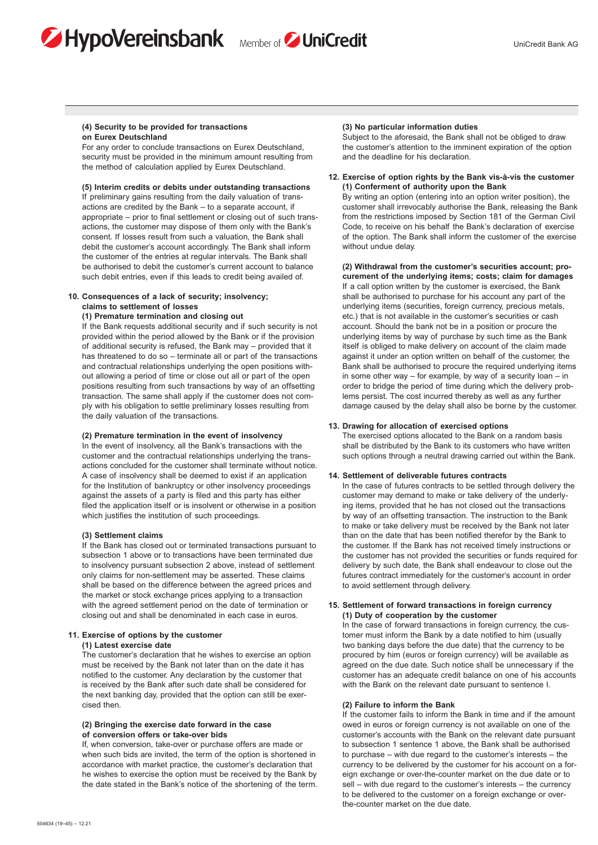

#### **(4) Security to be provided for transactions on Eurex Deutschland**

 For any order to conclude transactions on Eurex Deutschland, security must be provided in the minimum amount resulting from the method of calculation applied by Eurex Deutschland.

#### **(5) Interim credits or debits under outstanding transactions**

 If preliminary gains resulting from the daily valuation of transactions are credited by the Bank – to a separate account, if appropriate – prior to final settlement or closing out of such transactions, the customer may dispose of them only with the Bank's consent. If losses result from such a valuation, the Bank shall debit the customer's account accordingly. The Bank shall inform the customer of the entries at regular intervals. The Bank shall be authorised to debit the customer's current account to balance such debit entries, even if this leads to credit being availed of.

#### **10. Consequences of a lack of security; insolvency; claims to settlement of losses**

#### **(1) Premature termination and closing out**

 If the Bank requests additional security and if such security is not provided within the period allowed by the Bank or if the provision of additional security is refused, the Bank may – provided that it has threatened to do so – terminate all or part of the transactions and contractual relationships underlying the open positions without allowing a period of time or close out all or part of the open positions resulting from such transactions by way of an offsetting transaction. The same shall apply if the customer does not comply with his obligation to settle preliminary losses resulting from the daily valuation of the transactions.

#### **(2) Premature termination in the event of insolvency**

 In the event of insolvency, all the Bank's transactions with the customer and the contractual relationships underlying the transactions concluded for the customer shall terminate without notice. A case of insolvency shall be deemed to exist if an application for the Institution of bankruptcy or other insolvency proceedings against the assets of a party is filed and this party has either filed the application itself or is insolvent or otherwise in a position which justifies the institution of such proceedings.

#### **(3) Settlement claims**

 If the Bank has closed out or terminated transactions pursuant to subsection 1 above or to transactions have been terminated due to insolvency pursuant subsection 2 above, instead of settlement only claims for non-settlement may be asserted. These claims shall be based on the difference between the agreed prices and the market or stock exchange prices applying to a transaction with the agreed settlement period on the date of termination or closing out and shall be denominated in each case in euros.

#### **11. Exercise of options by the customer (1) Latest exercise date**

 The customer's declaration that he wishes to exercise an option must be received by the Bank not later than on the date it has notified to the customer. Any declaration by the customer that is received by the Bank after such date shall be considered for the next banking day, provided that the option can still be exercised then.

#### **(2) Bringing the exercise date forward in the case of conversion offers or take-over bids**

 If, when conversion, take-over or purchase offers are made or when such bids are invited, the term of the option is shortened in accordance with market practice, the customer's declaration that he wishes to exercise the option must be received by the Bank by the date stated in the Bank's notice of the shortening of the term.

#### **(3) No particular information duties**

 Subject to the aforesaid, the Bank shall not be obliged to draw the customer's attention to the imminent expiration of the option and the deadline for his declaration.

#### **12. Exercise of option rights by the Bank vis-à-vis the customer (1) Conferment of authority upon the Bank**

 By writing an option (entering into an option writer position), the customer shall irrevocably authorise the Bank, releasing the Bank from the restrictions imposed by Section 181 of the German Civil Code, to receive on his behalf the Bank's declaration of exercise of the option. The Bank shall inform the customer of the exercise without undue delay.

 **(2) Withdrawal from the customer's securities account; procurement of the underlying items; costs; claim for damages** If a call option written by the customer is exercised, the Bank shall be authorised to purchase for his account any part of the underlying items (securities, foreign currency, precious metals, etc.) that is not available in the customer's securities or cash account. Should the bank not be in a position or procure the underlying items by way of purchase by such time as the Bank itself is obliged to make delivery on account of the claim made against it under an option written on behalf of the customer, the Bank shall be authorised to procure the required underlying items in some other way – for example, by way of a security loan – in order to bridge the period of time during which the delivery problems persist. The cost incurred thereby as well as any further damage caused by the delay shall also be borne by the customer.

#### **13. Drawing for allocation of exercised options**

 The exercised options allocated to the Bank on a random basis shall be distributed by the Bank to its customers who have written such options through a neutral drawing carried out within the Bank.

#### **14. Settlement of deliverable futures contracts**

 In the case of futures contracts to be settled through delivery the customer may demand to make or take delivery of the underlying items, provided that he has not closed out the transactions by way of an offsetting transaction. The instruction to the Bank to make or take delivery must be received by the Bank not later than on the date that has been notified therefor by the Bank to the customer. If the Bank has not received timely instructions or the customer has not provided the securities or funds required for delivery by such date, the Bank shall endeavour to close out the futures contract immediately for the customer's account in order to avoid settlement through delivery.

#### **15. Settlement of forward transactions in foreign currency (1) Duty of cooperation by the customer**

 In the case of forward transactions in foreign currency, the customer must inform the Bank by a date notified to him (usually two banking days before the due date) that the currency to be procured by him (euros or foreign currency) will be available as agreed on the due date. Such notice shall be unnecessary if the customer has an adequate credit balance on one of his accounts with the Bank on the relevant date pursuant to sentence I.

#### **(2) Failure to inform the Bank**

 If the customer fails to inform the Bank in time and if the amount owed in euros or foreign currency is not available on one of the customer's accounts with the Bank on the relevant date pursuant to subsection 1 sentence 1 above, the Bank shall be authorised to purchase – with due regard to the customer's interests – the currency to be delivered by the customer for his account on a foreign exchange or over-the-counter market on the due date or to sell – with due regard to the customer's interests – the currency to be delivered to the customer on a foreign exchange or overthe-counter market on the due date.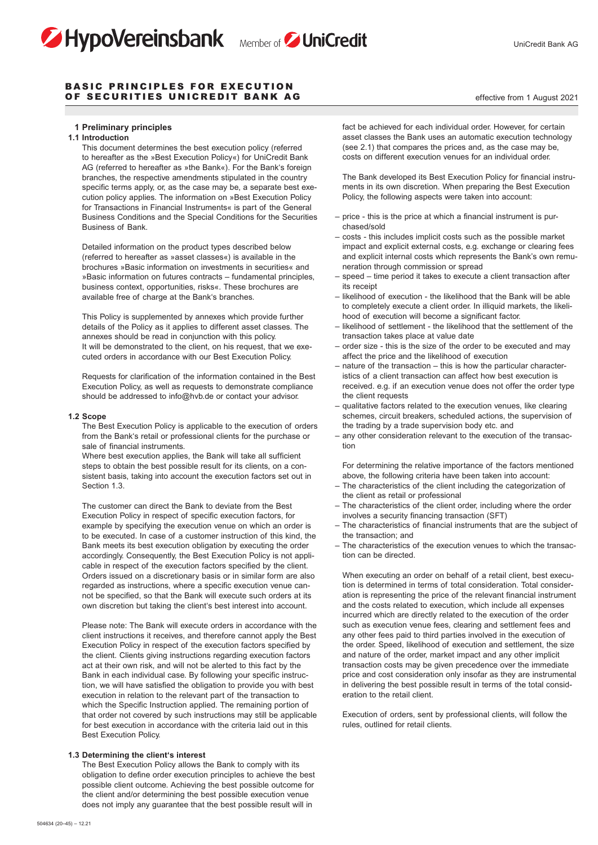

#### BASIC PRINCIPLES FOR EXECUTION OF SECURITIES UNICREDIT BANK AG **Example 2021** effective from 1 August 2021

#### **1 Preliminary principles**

#### **1.1 Introduction**

 This document determines the best execution policy (referred to hereafter as the »Best Execution Policy«) for UniCredit Bank AG (referred to hereafter as »the Bank«). For the Bank's foreign branches, the respective amendments stipulated in the country specific terms apply, or, as the case may be, a separate best execution policy applies. The information on »Best Execution Policy for Transactions in Financial Instruments« is part of the General Business Conditions and the Special Conditions for the Securities Business of Bank.

 Detailed information on the product types described below (referred to hereafter as »asset classes«) is available in the brochures »Basic information on investments in securities« and »Basic information on futures contracts – fundamental principles, business context, opportunities, risks«. These brochures are available free of charge at the Bank's branches.

 This Policy is supplemented by annexes which provide further details of the Policy as it applies to different asset classes. The annexes should be read in conjunction with this policy. It will be demonstrated to the client, on his request, that we executed orders in accordance with our Best Execution Policy.

 Requests for clarification of the information contained in the Best Execution Policy, as well as requests to demonstrate compliance should be addressed to info@hvb.de or contact your advisor.

#### **1.2 Scope**

 The Best Execution Policy is applicable to the execution of orders from the Bank's retail or professional clients for the purchase or sale of financial instruments.

 Where best execution applies, the Bank will take all sufficient steps to obtain the best possible result for its clients, on a consistent basis, taking into account the execution factors set out in Section 1.3.

 The customer can direct the Bank to deviate from the Best Execution Policy in respect of specific execution factors, for example by specifying the execution venue on which an order is to be executed. In case of a customer instruction of this kind, the Bank meets its best execution obligation by executing the order accordingly. Consequently, the Best Execution Policy is not applicable in respect of the execution factors specified by the client. Orders issued on a discretionary basis or in similar form are also regarded as instructions, where a specific execution venue cannot be specified, so that the Bank will execute such orders at its own discretion but taking the client's best interest into account.

 Please note: The Bank will execute orders in accordance with the client instructions it receives, and therefore cannot apply the Best Execution Policy in respect of the execution factors specified by the client. Clients giving instructions regarding execution factors act at their own risk, and will not be alerted to this fact by the Bank in each individual case. By following your specific instruction, we will have satisfied the obligation to provide you with best execution in relation to the relevant part of the transaction to which the Specific Instruction applied. The remaining portion of that order not covered by such instructions may still be applicable for best execution in accordance with the criteria laid out in this Best Execution Policy.

#### **1.3 Determining the client's interest**

 The Best Execution Policy allows the Bank to comply with its obligation to define order execution principles to achieve the best possible client outcome. Achieving the best possible outcome for the client and/or determining the best possible execution venue does not imply any guarantee that the best possible result will in

fact be achieved for each individual order. However, for certain asset classes the Bank uses an automatic execution technology (see 2.1) that compares the prices and, as the case may be, costs on different execution venues for an individual order.

 The Bank developed its Best Execution Policy for financial instruments in its own discretion. When preparing the Best Execution Policy, the following aspects were taken into account:

- price this is the price at which a financial instrument is purchased/sold
- costs this includes implicit costs such as the possible market impact and explicit external costs, e.g. exchange or clearing fees and explicit internal costs which represents the Bank's own remuneration through commission or spread
- speed time period it takes to execute a client transaction after its receipt
- likelihood of execution the likelihood that the Bank will be able to completely execute a client order. In illiquid markets, the likelihood of execution will become a significant factor.
- likelihood of settlement the likelihood that the settlement of the transaction takes place at value date
- order size this is the size of the order to be executed and may affect the price and the likelihood of execution
- nature of the transaction this is how the particular characteristics of a client transaction can affect how best execution is received. e.g. if an execution venue does not offer the order type the client requests
- qualitative factors related to the execution venues, like clearing schemes, circuit breakers, scheduled actions, the supervision of the trading by a trade supervision body etc. and
- any other consideration relevant to the execution of the transaction

 For determining the relative importance of the factors mentioned above, the following criteria have been taken into account:

- The characteristics of the client including the categorization of the client as retail or professional
- The characteristics of the client order, including where the order involves a security financing transaction (SFT)
- The characteristics of financial instruments that are the subject of the transaction; and
- The characteristics of the execution venues to which the transaction can be directed.

 When executing an order on behalf of a retail client, best execution is determined in terms of total consideration. Total consideration is representing the price of the relevant financial instrument and the costs related to execution, which include all expenses incurred which are directly related to the execution of the order such as execution venue fees, clearing and settlement fees and any other fees paid to third parties involved in the execution of the order. Speed, likelihood of execution and settlement, the size and nature of the order, market impact and any other implicit transaction costs may be given precedence over the immediate price and cost consideration only insofar as they are instrumental in delivering the best possible result in terms of the total consideration to the retail client.

 Execution of orders, sent by professional clients, will follow the rules, outlined for retail clients.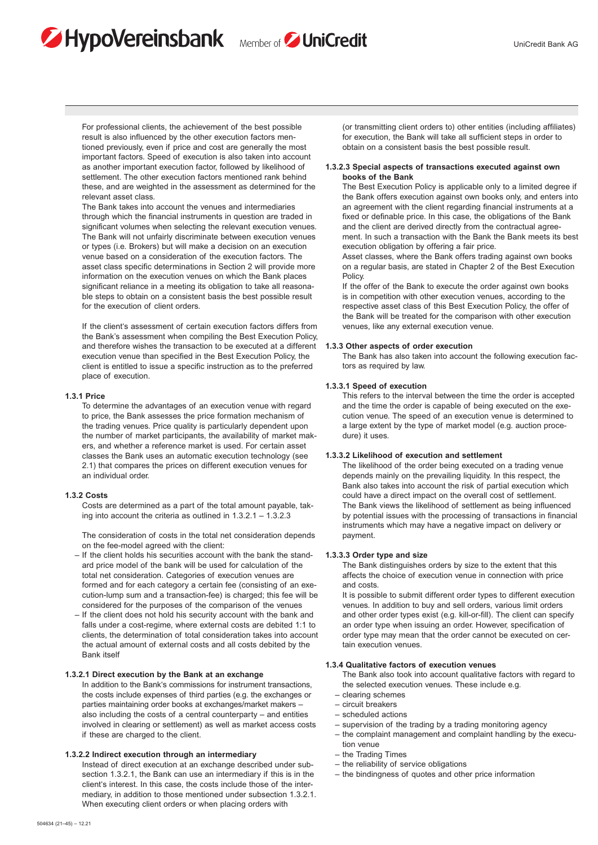UniCredit Bank AG

 For professional clients, the achievement of the best possible result is also influenced by the other execution factors mentioned previously, even if price and cost are generally the most important factors. Speed of execution is also taken into account as another important execution factor, followed by likelihood of settlement. The other execution factors mentioned rank behind these, and are weighted in the assessment as determined for the relevant asset class.

The Bank takes into account the venues and intermediaries through which the financial instruments in question are traded in significant volumes when selecting the relevant execution venues. The Bank will not unfairly discriminate between execution venues or types (i.e. Brokers) but will make a decision on an execution venue based on a consideration of the execution factors. The asset class specific determinations in Section 2 will provide more information on the execution venues on which the Bank places significant reliance in a meeting its obligation to take all reasonable steps to obtain on a consistent basis the best possible result for the execution of client orders.

 If the client's assessment of certain execution factors differs from the Bank's assessment when compiling the Best Execution Policy, and therefore wishes the transaction to be executed at a different execution venue than specified in the Best Execution Policy, the client is entitled to issue a specific instruction as to the preferred place of execution.

#### **1.3.1 Price**

 To determine the advantages of an execution venue with regard to price, the Bank assesses the price formation mechanism of the trading venues. Price quality is particularly dependent upon the number of market participants, the availability of market makers, and whether a reference market is used. For certain asset classes the Bank uses an automatic execution technology (see 2.1) that compares the prices on different execution venues for an individual order.

#### **1.3.2 Costs**

 Costs are determined as a part of the total amount payable, taking into account the criteria as outlined in 1.3.2.1 – 1.3.2.3

 The consideration of costs in the total net consideration depends on the fee-model agreed with the client:

- If the client holds his securities account with the bank the standard price model of the bank will be used for calculation of the total net consideration. Categories of execution venues are formed and for each category a certain fee (consisting of an execution-lump sum and a transaction-fee) is charged; this fee will be considered for the purposes of the comparison of the venues
- If the client does not hold his security account with the bank and falls under a cost-regime, where external costs are debited 1:1 to clients, the determination of total consideration takes into account the actual amount of external costs and all costs debited by the Bank itself

#### **1.3.2.1 Direct execution by the Bank at an exchange**

In addition to the Bank's commissions for instrument transactions, the costs include expenses of third parties (e.g. the exchanges or parties maintaining order books at exchanges/market makers – also including the costs of a central counterparty – and entities involved in clearing or settlement) as well as market access costs if these are charged to the client.

#### **1.3.2.2 Indirect execution through an intermediary**

 Instead of direct execution at an exchange described under subsection 1.3.2.1, the Bank can use an intermediary if this is in the client's interest. In this case, the costs include those of the intermediary, in addition to those mentioned under subsection 1.3.2.1. When executing client orders or when placing orders with

(or transmitting client orders to) other entities (including affiliates) for execution, the Bank will take all sufficient steps in order to obtain on a consistent basis the best possible result.

#### **1.3.2.3 Special aspects of transactions executed against own books of the Bank**

 The Best Execution Policy is applicable only to a limited degree if the Bank offers execution against own books only, and enters into an agreement with the client regarding financial instruments at a fixed or definable price. In this case, the obligations of the Bank and the client are derived directly from the contractual agreement. In such a transaction with the Bank the Bank meets its best execution obligation by offering a fair price.

 Asset classes, where the Bank offers trading against own books on a regular basis, are stated in Chapter 2 of the Best Execution Policy.

 If the offer of the Bank to execute the order against own books is in competition with other execution venues, according to the respective asset class of this Best Execution Policy, the offer of the Bank will be treated for the comparison with other execution venues, like any external execution venue.

#### **1.3.3 Other aspects of order execution**

 The Bank has also taken into account the following execution factors as required by law.

#### **1.3.3.1 Speed of execution**

 This refers to the interval between the time the order is accepted and the time the order is capable of being executed on the execution venue. The speed of an execution venue is determined to a large extent by the type of market model (e.g. auction procedure) it uses.

#### **1.3.3.2 Likelihood of execution and settlement**

 The likelihood of the order being executed on a trading venue depends mainly on the prevailing liquidity. In this respect, the Bank also takes into account the risk of partial execution which could have a direct impact on the overall cost of settlement. The Bank views the likelihood of settlement as being influenced by potential issues with the processing of transactions in financial instruments which may have a negative impact on delivery or payment.

#### **1.3.3.3 Order type and size**

 The Bank distinguishes orders by size to the extent that this affects the choice of execution venue in connection with price and costs.

 It is possible to submit different order types to different execution venues. In addition to buy and sell orders, various limit orders and other order types exist (e.g. kill-or-fill). The client can specify an order type when issuing an order. However, specification of order type may mean that the order cannot be executed on certain execution venues.

#### **1.3.4 Qualitative factors of execution venues**

 The Bank also took into account qualitative factors with regard to the selected execution venues. These include e.g.

- clearing schemes
- circuit breakers
- scheduled actions
- supervision of the trading by a trading monitoring agency
- the complaint management and complaint handling by the execution venue
- the Trading Times
- the reliability of service obligations
- the bindingness of quotes and other price information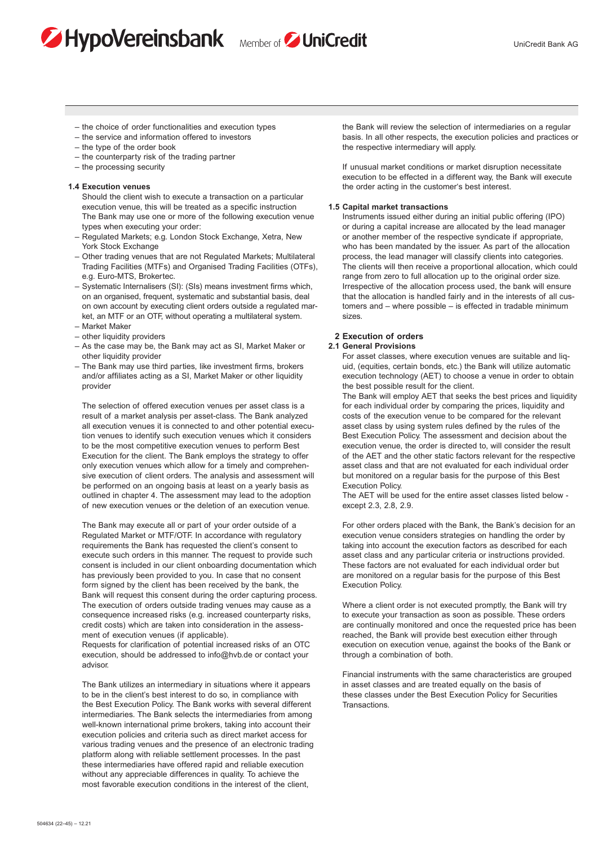- the choice of order functionalities and execution types
- the service and information offered to investors
- the type of the order book
- the counterparty risk of the trading partner
- the processing security

#### **1.4 Execution venues**

 Should the client wish to execute a transaction on a particular execution venue, this will be treated as a specific instruction The Bank may use one or more of the following execution venue types when executing your order:

- Regulated Markets; e.g. London Stock Exchange, Xetra, New York Stock Exchange
- Other trading venues that are not Regulated Markets; Multilateral Trading Facilities (MTFs) and Organised Trading Facilities (OTFs), e.g. Euro-MTS, Brokertec.
- Systematic Internalisers (SI): (SIs) means investment firms which, on an organised, frequent, systematic and substantial basis, deal on own account by executing client orders outside a regulated market, an MTF or an OTF, without operating a multilateral system.
- Market Maker
- other liquidity providers
- As the case may be, the Bank may act as SI, Market Maker or other liquidity provider
- The Bank may use third parties, like investment firms, brokers and/or affiliates acting as a SI, Market Maker or other liquidity provider

 The selection of offered execution venues per asset class is a result of a market analysis per asset-class. The Bank analyzed all execution venues it is connected to and other potential execution venues to identify such execution venues which it considers to be the most competitive execution venues to perform Best Execution for the client. The Bank employs the strategy to offer only execution venues which allow for a timely and comprehensive execution of client orders. The analysis and assessment will be performed on an ongoing basis at least on a yearly basis as outlined in chapter 4. The assessment may lead to the adoption of new execution venues or the deletion of an execution venue.

 The Bank may execute all or part of your order outside of a Regulated Market or MTF/OTF. In accordance with regulatory requirements the Bank has requested the client's consent to execute such orders in this manner. The request to provide such consent is included in our client onboarding documentation which has previously been provided to you. In case that no consent form signed by the client has been received by the bank, the Bank will request this consent during the order capturing process. The execution of orders outside trading venues may cause as a consequence increased risks (e.g. increased counterparty risks, credit costs) which are taken into consideration in the assessment of execution venues (if applicable).

 Requests for clarification of potential increased risks of an OTC execution, should be addressed to info@hvb.de or contact your advisor.

 The Bank utilizes an intermediary in situations where it appears to be in the client's best interest to do so, in compliance with the Best Execution Policy. The Bank works with several different intermediaries. The Bank selects the intermediaries from among well-known international prime brokers, taking into account their execution policies and criteria such as direct market access for various trading venues and the presence of an electronic trading platform along with reliable settlement processes. In the past these intermediaries have offered rapid and reliable execution without any appreciable differences in quality. To achieve the most favorable execution conditions in the interest of the client,

the Bank will review the selection of intermediaries on a regular basis. In all other respects, the execution policies and practices or the respective intermediary will apply.

 If unusual market conditions or market disruption necessitate execution to be effected in a different way, the Bank will execute the order acting in the customer's best interest.

#### **1.5 Capital market transactions**

 Instruments issued either during an initial public offering (IPO) or during a capital increase are allocated by the lead manager or another member of the respective syndicate if appropriate, who has been mandated by the issuer. As part of the allocation process, the lead manager will classify clients into categories. The clients will then receive a proportional allocation, which could range from zero to full allocation up to the original order size. Irrespective of the allocation process used, the bank will ensure that the allocation is handled fairly and in the interests of all customers and – where possible – is effected in tradable minimum sizes.

#### **2 Execution of orders**

#### **2.1 General Provisions**

For asset classes, where execution venues are suitable and liquid, (equities, certain bonds, etc.) the Bank will utilize automatic execution technology (AET) to choose a venue in order to obtain the best possible result for the client.

 The Bank will employ AET that seeks the best prices and liquidity for each individual order by comparing the prices, liquidity and costs of the execution venue to be compared for the relevant asset class by using system rules defined by the rules of the Best Execution Policy. The assessment and decision about the execution venue, the order is directed to, will consider the result of the AET and the other static factors relevant for the respective asset class and that are not evaluated for each individual order but monitored on a regular basis for the purpose of this Best Execution Policy.

 The AET will be used for the entire asset classes listed below except 2.3, 2.8, 2.9.

 For other orders placed with the Bank, the Bank's decision for an execution venue considers strategies on handling the order by taking into account the execution factors as described for each asset class and any particular criteria or instructions provided. These factors are not evaluated for each individual order but are monitored on a regular basis for the purpose of this Best Execution Policy.

 Where a client order is not executed promptly, the Bank will try to execute your transaction as soon as possible. These orders are continually monitored and once the requested price has been reached, the Bank will provide best execution either through execution on execution venue, against the books of the Bank or through a combination of both.

 Financial instruments with the same characteristics are grouped in asset classes and are treated equally on the basis of these classes under the Best Execution Policy for Securities **Transactions**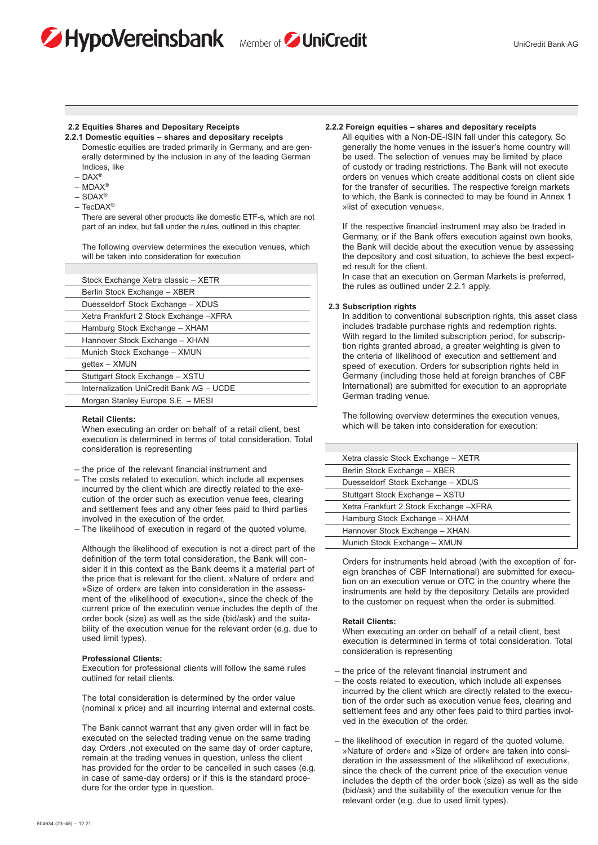#### **2.2 Equities Shares and Depositary Receipts**

- **2.2.1 Domestic equities shares and depositary receipts** Domestic equities are traded primarily in Germany, and are generally determined by the inclusion in any of the leading German Indices, like
	- $-$  DAX®
	- $-$  MDAX<sup>®</sup>
	- $-$  SDAX®
	- TecDAX®

 There are several other products like domestic ETF-s, which are not part of an index, but fall under the rules, outlined in this chapter.

 The following overview determines the execution venues, which will be taken into consideration for execution

| Stock Exchange Xetra classic - XETR      |
|------------------------------------------|
| Berlin Stock Exchange - XBER             |
| Duesseldorf Stock Exchange - XDUS        |
| Xetra Frankfurt 2 Stock Exchange -XFRA   |
| Hamburg Stock Exchange - XHAM            |
| Hannover Stock Exchange - XHAN           |
| Munich Stock Exchange - XMUN             |
| gettex - XMUN                            |
| Stuttgart Stock Exchange - XSTU          |
| Internalization UniCredit Bank AG - UCDE |
| Morgan Stanley Europe S.E. - MESI        |
|                                          |

#### **Retail Clients:**

 When executing an order on behalf of a retail client, best execution is determined in terms of total consideration. Total consideration is representing

- the price of the relevant financial instrument and
- The costs related to execution, which include all expenses incurred by the client which are directly related to the execution of the order such as execution venue fees, clearing and settlement fees and any other fees paid to third parties involved in the execution of the order.
- The likelihood of execution in regard of the quoted volume.

 Although the likelihood of execution is not a direct part of the definition of the term total consideration, the Bank will consider it in this context as the Bank deems it a material part of the price that is relevant for the client. »Nature of order« and »Size of order« are taken into consideration in the assessment of the »likelihood of execution«, since the check of the current price of the execution venue includes the depth of the order book (size) as well as the side (bid/ask) and the suitability of the execution venue for the relevant order (e.g. due to used limit types).

#### **Professional Clients:**

 Execution for professional clients will follow the same rules outlined for retail clients.

 The total consideration is determined by the order value (nominal x price) and all incurring internal and external costs.

 The Bank cannot warrant that any given order will in fact be executed on the selected trading venue on the same trading day. Orders ,not executed on the same day of order capture, remain at the trading venues in question, unless the client has provided for the order to be cancelled in such cases (e.g. in case of same-day orders) or if this is the standard procedure for the order type in question.

#### **2.2.2 Foreign equities – shares and depositary receipts**

 All equities with a Non-DE-ISIN fall under this category. So generally the home venues in the issuer's home country will be used. The selection of venues may be limited by place of custody or trading restrictions. The Bank will not execute orders on venues which create additional costs on client side for the transfer of securities. The respective foreign markets to which, the Bank is connected to may be found in Annex 1 »list of execution venues«.

 If the respective financial instrument may also be traded in Germany, or if the Bank offers execution against own books, the Bank will decide about the execution venue by assessing the depository and cost situation, to achieve the best expected result for the client.

 In case that an execution on German Markets is preferred, the rules as outlined under 2.2.1 apply.

#### **2.3 Subscription rights**

 In addition to conventional subscription rights, this asset class includes tradable purchase rights and redemption rights. With regard to the limited subscription period, for subscription rights granted abroad, a greater weighting is given to the criteria of likelihood of execution and settlement and speed of execution. Orders for subscription rights held in Germany (including those held at foreign branches of CBF International) are submitted for execution to an appropriate German trading venue.

 The following overview determines the execution venues, which will be taken into consideration for execution:

| Xetra classic Stock Exchange - XETR    |
|----------------------------------------|
| Berlin Stock Exchange - XBER           |
| Duesseldorf Stock Exchange - XDUS      |
| Stuttgart Stock Exchange - XSTU        |
| Xetra Frankfurt 2 Stock Exchange -XFRA |
| Hamburg Stock Exchange - XHAM          |
| Hannover Stock Exchange - XHAN         |
| Munich Stock Exchange - XMUN           |

 Orders for instruments held abroad (with the exception of foreign branches of CBF International) are submitted for execution on an execution venue or OTC in the country where the instruments are held by the depository. Details are provided to the customer on request when the order is submitted.

#### **Retail Clients:**

 When executing an order on behalf of a retail client, best execution is determined in terms of total consideration. Total consideration is representing

- the price of the relevant financial instrument and
- the costs related to execution, which include all expenses incurred by the client which are directly related to the execution of the order such as execution venue fees, clearing and settlement fees and any other fees paid to third parties involved in the execution of the order.
- the likelihood of execution in regard of the quoted volume. »Nature of order« and »Size of order« are taken into consideration in the assessment of the »likelihood of execution«, since the check of the current price of the execution venue includes the depth of the order book (size) as well as the side (bid/ask) and the suitability of the execution venue for the relevant order (e.g. due to used limit types).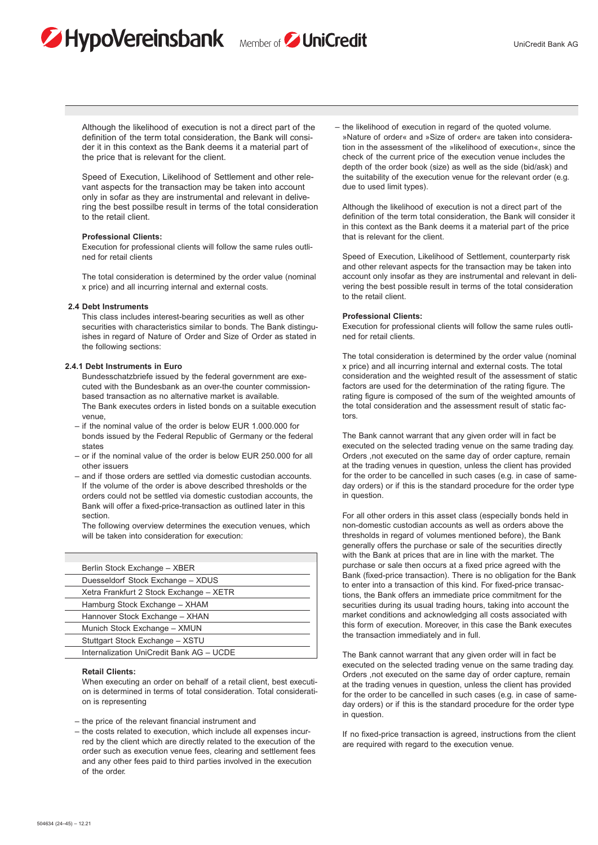

 Although the likelihood of execution is not a direct part of the definition of the term total consideration, the Bank will consider it in this context as the Bank deems it a material part of the price that is relevant for the client.

 Speed of Execution, Likelihood of Settlement and other relevant aspects for the transaction may be taken into account only in sofar as they are instrumental and relevant in delivering the best possilbe result in terms of the total consideration to the retail client.

#### **Professional Clients:**

 Execution for professional clients will follow the same rules outlined for retail clients

 The total consideration is determined by the order value (nominal x price) and all incurring internal and external costs.

#### **2.4 Debt Instruments**

 This class includes interest-bearing securities as well as other securities with characteristics similar to bonds. The Bank distinguishes in regard of Nature of Order and Size of Order as stated in the following sections:

#### **2.4.1 Debt Instruments in Euro**

 Bundesschatzbriefe issued by the federal government are executed with the Bundesbank as an over-the counter commissionbased transaction as no alternative market is available. The Bank executes orders in listed bonds on a suitable execution venue,

- if the nominal value of the order is below EUR 1.000.000 for bonds issued by the Federal Republic of Germany or the federal states
- or if the nominal value of the order is below EUR 250.000 for all other issuers
- and if those orders are settled via domestic custodian accounts. If the volume of the order is above described thresholds or the orders could not be settled via domestic custodian accounts, the Bank will offer a fixed-price-transaction as outlined later in this section.

 The following overview determines the execution venues, which will be taken into consideration for execution:

| Berlin Stock Exchange - XBER             |
|------------------------------------------|
| Duesseldorf Stock Exchange - XDUS        |
| Xetra Frankfurt 2 Stock Exchange - XETR  |
| Hamburg Stock Exchange - XHAM            |
| Hannover Stock Exchange - XHAN           |
| Munich Stock Exchange - XMUN             |
| Stuttgart Stock Exchange - XSTU          |
| Internalization UniCredit Bank AG - UCDE |

#### **Retail Clients:**

 When executing an order on behalf of a retail client, best execution is determined in terms of total consideration. Total consideration is representing

– the price of the relevant financial instrument and

– the costs related to execution, which include all expenses incurred by the client which are directly related to the execution of the order such as execution venue fees, clearing and settlement fees and any other fees paid to third parties involved in the execution of the order.

– the likelihood of execution in regard of the quoted volume. »Nature of order« and »Size of order« are taken into consideration in the assessment of the »likelihood of execution«, since the check of the current price of the execution venue includes the depth of the order book (size) as well as the side (bid/ask) and the suitability of the execution venue for the relevant order (e.g. due to used limit types).

 Although the likelihood of execution is not a direct part of the definition of the term total consideration, the Bank will consider it in this context as the Bank deems it a material part of the price that is relevant for the client.

 Speed of Execution, Likelihood of Settlement, counterparty risk and other relevant aspects for the transaction may be taken into account only insofar as they are instrumental and relevant in delivering the best possible result in terms of the total consideration to the retail client.

#### **Professional Clients:**

 Execution for professional clients will follow the same rules outlined for retail clients.

 The total consideration is determined by the order value (nominal x price) and all incurring internal and external costs. The total consideration and the weighted result of the assessment of static factors are used for the determination of the rating figure. The rating figure is composed of the sum of the weighted amounts of the total consideration and the assessment result of static factors.

 The Bank cannot warrant that any given order will in fact be executed on the selected trading venue on the same trading day. Orders ,not executed on the same day of order capture, remain at the trading venues in question, unless the client has provided for the order to be cancelled in such cases (e.g. in case of sameday orders) or if this is the standard procedure for the order type in question.

 For all other orders in this asset class (especially bonds held in non-domestic custodian accounts as well as orders above the thresholds in regard of volumes mentioned before), the Bank generally offers the purchase or sale of the securities directly with the Bank at prices that are in line with the market. The purchase or sale then occurs at a fixed price agreed with the Bank (fixed-price transaction). There is no obligation for the Bank to enter into a transaction of this kind. For fixed-price transactions, the Bank offers an immediate price commitment for the securities during its usual trading hours, taking into account the market conditions and acknowledging all costs associated with this form of execution. Moreover, in this case the Bank executes the transaction immediately and in full.

 The Bank cannot warrant that any given order will in fact be executed on the selected trading venue on the same trading day. Orders ,not executed on the same day of order capture, remain at the trading venues in question, unless the client has provided for the order to be cancelled in such cases (e.g. in case of sameday orders) or if this is the standard procedure for the order type in question.

 If no fixed-price transaction is agreed, instructions from the client are required with regard to the execution venue.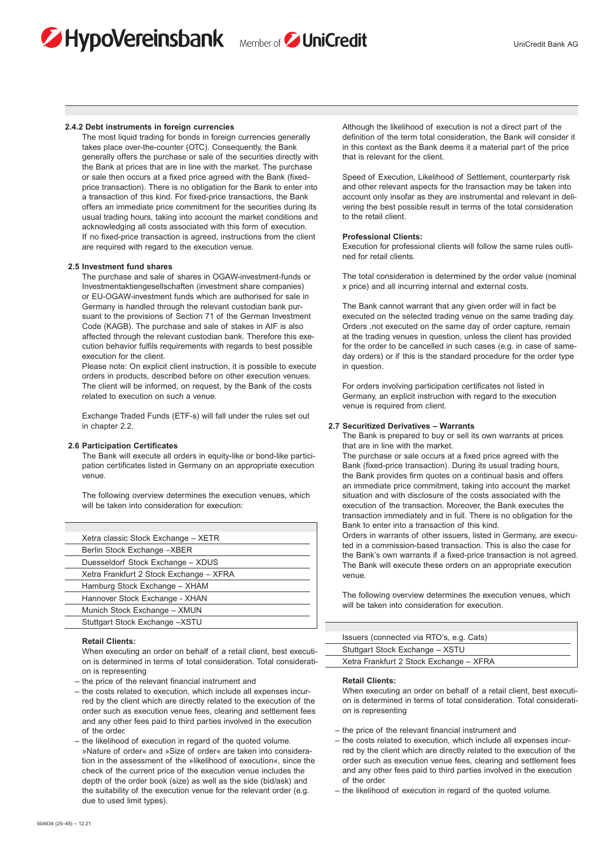

#### **2.4.2 Debt instruments in foreign currencies**

 The most liquid trading for bonds in foreign currencies generally takes place over-the-counter (OTC). Consequently, the Bank generally offers the purchase or sale of the securities directly with the Bank at prices that are in line with the market. The purchase or sale then occurs at a fixed price agreed with the Bank (fixedprice transaction). There is no obligation for the Bank to enter into a transaction of this kind. For fixed-price transactions, the Bank offers an immediate price commitment for the securities during its usual trading hours, taking into account the market conditions and acknowledging all costs associated with this form of execution. If no fixed-price transaction is agreed, instructions from the client are required with regard to the execution venue.

#### **2.5 Investment fund shares**

 The purchase and sale of shares in OGAW-investment-funds or Investmentaktiengesellschaften (investment share companies) or EU-OGAW-investment funds which are authorised for sale in Germany is handled through the relevant custodian bank pursuant to the provisions of Section 71 of the German Investment Code (KAGB). The purchase and sale of stakes in AIF is also affected through the relevant custodian bank. Therefore this execution behavior fulfils requirements with regards to best possible execution for the client.

 Please note: On explicit client instruction, it is possible to execute orders in products, described before on other execution venues. The client will be informed, on request, by the Bank of the costs related to execution on such a venue.

 Exchange Traded Funds (ETF-s) will fall under the rules set out in chapter 2.2.

#### **2.6 Participation Certificates**

 The Bank will execute all orders in equity-like or bond-like participation certificates listed in Germany on an appropriate execution venue.

 The following overview determines the execution venues, which will be taken into consideration for execution:

| Xetra classic Stock Exchange - XETR     |
|-----------------------------------------|
| Berlin Stock Exchange -XBER             |
| Duesseldorf Stock Exchange - XDUS       |
| Xetra Frankfurt 2 Stock Exchange - XFRA |
| Hamburg Stock Exchange - XHAM           |
| Hannover Stock Exchange - XHAN          |
| Munich Stock Exchange - XMUN            |
| Stuttgart Stock Exchange -XSTU          |

#### **Retail Clients:**

 When executing an order on behalf of a retail client, best execution is determined in terms of total consideration. Total consideration is representing

- the price of the relevant financial instrument and
- the costs related to execution, which include all expenses incurred by the client which are directly related to the execution of the order such as execution venue fees, clearing and settlement fees and any other fees paid to third parties involved in the execution of the order.
- the likelihood of execution in regard of the quoted volume. »Nature of order« and »Size of order« are taken into consideration in the assessment of the »likelihood of execution«, since the check of the current price of the execution venue includes the depth of the order book (size) as well as the side (bid/ask) and the suitability of the execution venue for the relevant order (e.g. due to used limit types).

 Although the likelihood of execution is not a direct part of the definition of the term total consideration, the Bank will consider it in this context as the Bank deems it a material part of the price that is relevant for the client.

 Speed of Execution, Likelihood of Settlement, counterparty risk and other relevant aspects for the transaction may be taken into account only insofar as they are instrumental and relevant in delivering the best possible result in terms of the total consideration to the retail client.

#### **Professional Clients:**

 Execution for professional clients will follow the same rules outlined for retail clients.

 The total consideration is determined by the order value (nominal x price) and all incurring internal and external costs.

 The Bank cannot warrant that any given order will in fact be executed on the selected trading venue on the same trading day. Orders ,not executed on the same day of order capture, remain at the trading venues in question, unless the client has provided for the order to be cancelled in such cases (e.g. in case of sameday orders) or if this is the standard procedure for the order type in question.

 For orders involving participation certificates not listed in Germany, an explicit instruction with regard to the execution venue is required from client.

#### **2.7 Securitized Derivatives – Warrants**

 The Bank is prepared to buy or sell its own warrants at prices that are in line with the market.

 The purchase or sale occurs at a fixed price agreed with the Bank (fixed-price transaction). During its usual trading hours, the Bank provides firm quotes on a continual basis and offers an immediate price commitment, taking into account the market situation and with disclosure of the costs associated with the execution of the transaction. Moreover, the Bank executes the transaction immediately and in full. There is no obligation for the Bank to enter into a transaction of this kind.

 Orders in warrants of other issuers, listed in Germany, are executed in a commission-based transaction. This is also the case for the Bank's own warrants if a fixed-price transaction is not agreed. The Bank will execute these orders on an appropriate execution venue.

 The following overview determines the execution venues, which will be taken into consideration for execution.

| Issuers (connected via RTO's, e.g. Cats) |  |
|------------------------------------------|--|
| Stuttgart Stock Exchange - XSTU          |  |
| Xetra Frankfurt 2 Stock Exchange - XFRA  |  |

#### **Retail Clients:**

 When executing an order on behalf of a retail client, best execution is determined in terms of total consideration. Total consideration is representing

- the price of the relevant financial instrument and
- the costs related to execution, which include all expenses incurred by the client which are directly related to the execution of the order such as execution venue fees, clearing and settlement fees and any other fees paid to third parties involved in the execution of the order.
- the likelihood of execution in regard of the quoted volume.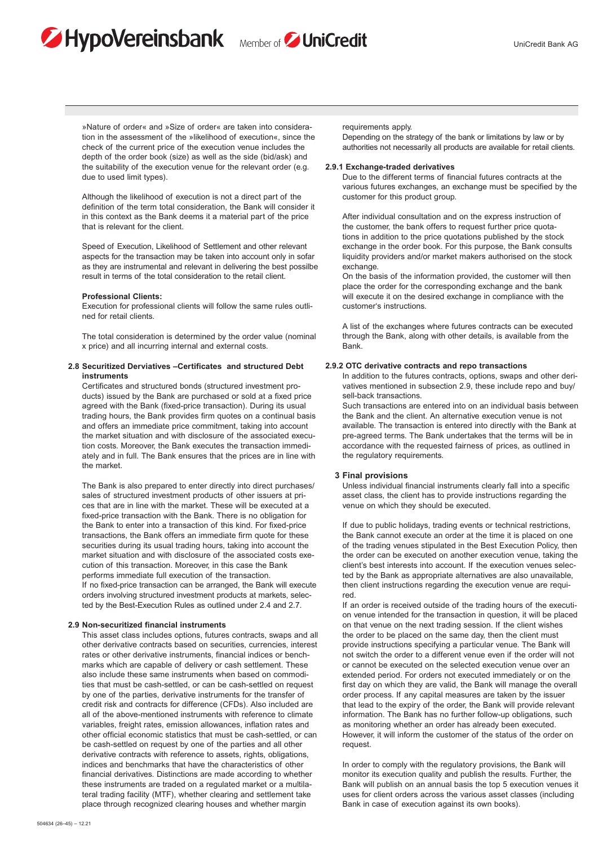»Nature of order« and »Size of order« are taken into consideration in the assessment of the »likelihood of execution«, since the check of the current price of the execution venue includes the depth of the order book (size) as well as the side (bid/ask) and the suitability of the execution venue for the relevant order (e.g. due to used limit types).

 Although the likelihood of execution is not a direct part of the definition of the term total consideration, the Bank will consider it in this context as the Bank deems it a material part of the price that is relevant for the client.

 Speed of Execution, Likelihood of Settlement and other relevant aspects for the transaction may be taken into account only in sofar as they are instrumental and relevant in delivering the best possilbe result in terms of the total consideration to the retail client.

#### **Professional Clients:**

 Execution for professional clients will follow the same rules outlined for retail clients.

 The total consideration is determined by the order value (nominal x price) and all incurring internal and external costs.

#### **2.8 Securitized Derviatives –Certificates and structured Debt instruments**

 Certificates and structured bonds (structured investment products) issued by the Bank are purchased or sold at a fixed price agreed with the Bank (fixed-price transaction). During its usual trading hours, the Bank provides firm quotes on a continual basis and offers an immediate price commitment, taking into account the market situation and with disclosure of the associated execution costs. Moreover, the Bank executes the transaction immediately and in full. The Bank ensures that the prices are in line with the market.

 The Bank is also prepared to enter directly into direct purchases/ sales of structured investment products of other issuers at prices that are in line with the market. These will be executed at a fixed-price transaction with the Bank. There is no obligation for the Bank to enter into a transaction of this kind. For fixed-price transactions, the Bank offers an immediate firm quote for these securities during its usual trading hours, taking into account the market situation and with disclosure of the associated costs execution of this transaction. Moreover, in this case the Bank performs immediate full execution of the transaction. If no fixed-price transaction can be arranged, the Bank will execute orders involving structured investment products at markets, selected by the Best-Execution Rules as outlined under 2.4 and 2.7.

#### **2.9 Non-securitized financial instruments**

 This asset class includes options, futures contracts, swaps and all other derivative contracts based on securities, currencies, interest rates or other derivative instruments, financial indices or benchmarks which are capable of delivery or cash settlement. These also include these same instruments when based on commodities that must be cash-settled, or can be cash-settled on request by one of the parties, derivative instruments for the transfer of credit risk and contracts for difference (CFDs). Also included are all of the above-mentioned instruments with reference to climate variables, freight rates, emission allowances, inflation rates and other official economic statistics that must be cash-settled, or can be cash-settled on request by one of the parties and all other derivative contracts with reference to assets, rights, obligations, indices and benchmarks that have the characteristics of other financial derivatives. Distinctions are made according to whether these instruments are traded on a regulated market or a multilateral trading facility (MTF), whether clearing and settlement take place through recognized clearing houses and whether margin

requirements apply.

 Depending on the strategy of the bank or limitations by law or by authorities not necessarily all products are available for retail clients.

#### **2.9.1 Exchange-traded derivatives**

 Due to the different terms of financial futures contracts at the various futures exchanges, an exchange must be specified by the customer for this product group.

 After individual consultation and on the express instruction of the customer, the bank offers to request further price quotations in addition to the price quotations published by the stock exchange in the order book. For this purpose, the Bank consults liquidity providers and/or market makers authorised on the stock exchange.

 On the basis of the information provided, the customer will then place the order for the corresponding exchange and the bank will execute it on the desired exchange in compliance with the customer's instructions.

 A list of the exchanges where futures contracts can be executed through the Bank, along with other details, is available from the Bank.

#### **2.9.2 OTC derivative contracts and repo transactions**

 In addition to the futures contracts, options, swaps and other derivatives mentioned in subsection 2.9, these include repo and buy/ sell-back transactions.

 Such transactions are entered into on an individual basis between the Bank and the client. An alternative execution venue is not available. The transaction is entered into directly with the Bank at pre-agreed terms. The Bank undertakes that the terms will be in accordance with the requested fairness of prices, as outlined in the regulatory requirements.

#### **3 Final provisions**

 Unless individual financial instruments clearly fall into a specific asset class, the client has to provide instructions regarding the venue on which they should be executed.

 If due to public holidays, trading events or technical restrictions, the Bank cannot execute an order at the time it is placed on one of the trading venues stipulated in the Best Execution Policy, then the order can be executed on another execution venue, taking the client's best interests into account. If the execution venues selected by the Bank as appropriate alternatives are also unavailable, then client instructions regarding the execution venue are required.

 If an order is received outside of the trading hours of the execution venue intended for the transaction in question, it will be placed on that venue on the next trading session. If the client wishes the order to be placed on the same day, then the client must provide instructions specifying a particular venue. The Bank will not switch the order to a different venue even if the order will not or cannot be executed on the selected execution venue over an extended period. For orders not executed immediately or on the first day on which they are valid, the Bank will manage the overall order process. If any capital measures are taken by the issuer that lead to the expiry of the order, the Bank will provide relevant information. The Bank has no further follow-up obligations, such as monitoring whether an order has already been executed. However, it will inform the customer of the status of the order on request

 In order to comply with the regulatory provisions, the Bank will monitor its execution quality and publish the results. Further, the Bank will publish on an annual basis the top 5 execution venues it uses for client orders across the various asset classes (including Bank in case of execution against its own books).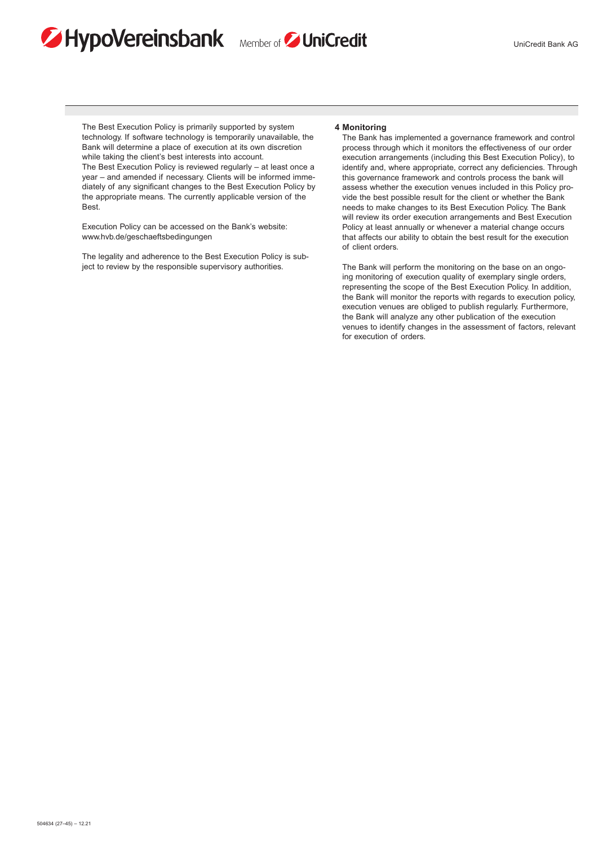



 The Best Execution Policy is primarily supported by system technology. If software technology is temporarily unavailable, the Bank will determine a place of execution at its own discretion while taking the client's best interests into account. The Best Execution Policy is reviewed regularly – at least once a year – and amended if necessary. Clients will be informed immediately of any significant changes to the Best Execution Policy by the appropriate means. The currently applicable version of the Best.

 Execution Policy can be accessed on the Bank's website: www.hvb.de/geschaeftsbedingungen

 The legality and adherence to the Best Execution Policy is subject to review by the responsible supervisory authorities.

#### **4 Monitoring**

 The Bank has implemented a governance framework and control process through which it monitors the effectiveness of our order execution arrangements (including this Best Execution Policy), to identify and, where appropriate, correct any deficiencies. Through this governance framework and controls process the bank will assess whether the execution venues included in this Policy provide the best possible result for the client or whether the Bank needs to make changes to its Best Execution Policy. The Bank will review its order execution arrangements and Best Execution Policy at least annually or whenever a material change occurs that affects our ability to obtain the best result for the execution of client orders.

 The Bank will perform the monitoring on the base on an ongoing monitoring of execution quality of exemplary single orders, representing the scope of the Best Execution Policy. In addition, the Bank will monitor the reports with regards to execution policy, execution venues are obliged to publish regularly. Furthermore, the Bank will analyze any other publication of the execution venues to identify changes in the assessment of factors, relevant for execution of orders.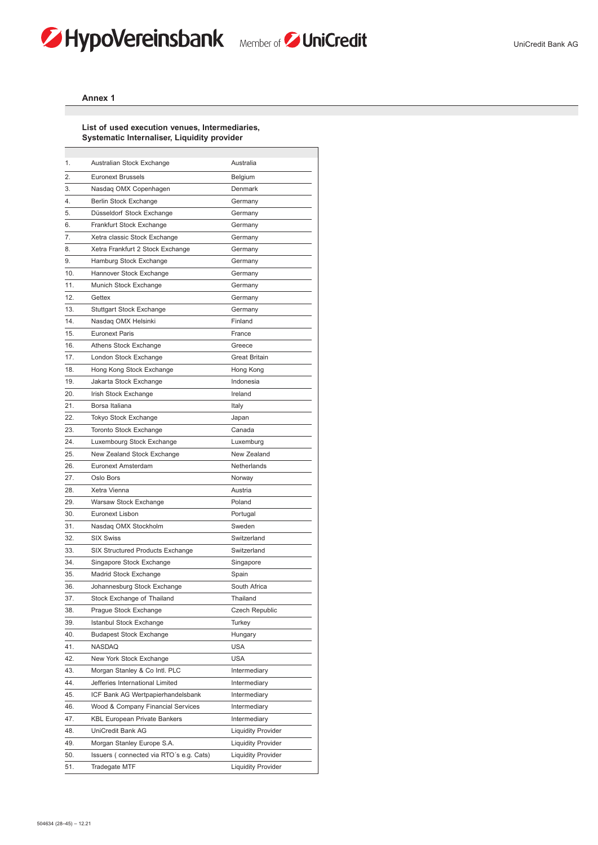

#### **Annex 1**

#### **List of used execution venues, Intermediaries, Systematic Internaliser, Liquidity provider**

| 1.  | Australian Stock Exchange               | Australia                 |
|-----|-----------------------------------------|---------------------------|
| 2.  | <b>Euronext Brussels</b>                | Belgium                   |
| 3.  | Nasdag OMX Copenhagen                   | Denmark                   |
| 4.  | Berlin Stock Exchange                   | Germany                   |
| 5.  | Düsseldorf Stock Exchange               | Germany                   |
| 6.  | Frankfurt Stock Exchange                | Germany                   |
| 7.  | Xetra classic Stock Exchange            | Germany                   |
| 8.  | Xetra Frankfurt 2 Stock Exchange        | Germany                   |
| 9.  | Hamburg Stock Exchange                  | Germany                   |
| 10. | Hannover Stock Exchange                 | Germany                   |
| 11. | Munich Stock Exchange                   | Germany                   |
| 12. | Gettex                                  | Germany                   |
| 13. | <b>Stuttgart Stock Exchange</b>         | Germany                   |
| 14. | Nasdaq OMX Helsinki                     | Finland                   |
| 15. | <b>Euronext Paris</b>                   | France                    |
| 16. | Athens Stock Exchange                   | Greece                    |
| 17. | London Stock Exchange                   | <b>Great Britain</b>      |
| 18. | Hong Kong Stock Exchange                | Hong Kong                 |
| 19. | Jakarta Stock Exchange                  | Indonesia                 |
| 20. | Irish Stock Exchange                    | Ireland                   |
| 21. | Borsa Italiana                          | Italy                     |
| 22. | <b>Tokyo Stock Exchange</b>             | Japan                     |
| 23. | <b>Toronto Stock Exchange</b>           | Canada                    |
| 24. | Luxembourg Stock Exchange               | Luxemburg                 |
| 25. | New Zealand Stock Exchange              | New Zealand               |
| 26. | <b>Euronext Amsterdam</b>               | Netherlands               |
|     |                                         |                           |
| 27. | Oslo Bors                               | Norway                    |
| 28. | Xetra Vienna                            | Austria                   |
| 29. | Warsaw Stock Exchange                   | Poland                    |
| 30. | <b>Euronext Lisbon</b>                  | Portugal                  |
| 31. | Nasdaq OMX Stockholm                    | Sweden                    |
| 32. | <b>SIX Swiss</b>                        | Switzerland               |
| 33. | <b>SIX Structured Products Exchange</b> | Switzerland               |
| 34. | Singapore Stock Exchange                | Singapore                 |
| 35. | Madrid Stock Exchange                   | Spain                     |
| 36. | Johannesburg Stock Exchange             | South Africa              |
| 37. | Stock Exchange of Thailand              | Thailand                  |
| 38. | Prague Stock Exchange                   | Czech Republic            |
| 39. | Istanbul Stock Exchange                 | Turkey                    |
| 40. | <b>Budapest Stock Exchange</b>          | Hungary                   |
| 41. | NASDAQ                                  | USA                       |
| 42. | New York Stock Exchange                 | USA                       |
| 43. | Morgan Stanley & Co Intl. PLC           | Intermediary              |
| 44. | Jefferies International Limited         | Intermediary              |
| 45. | ICF Bank AG Wertpapierhandelsbank       | Intermediary              |
| 46. | Wood & Company Financial Services       | Intermediary              |
| 47. | <b>KBL European Private Bankers</b>     | Intermediary              |
| 48. | UniCredit Bank AG                       | <b>Liquidity Provider</b> |
| 49. | Morgan Stanley Europe S.A.              | <b>Liquidity Provider</b> |
| 50. | Issuers (connected via RTO's e.g. Cats) | <b>Liquidity Provider</b> |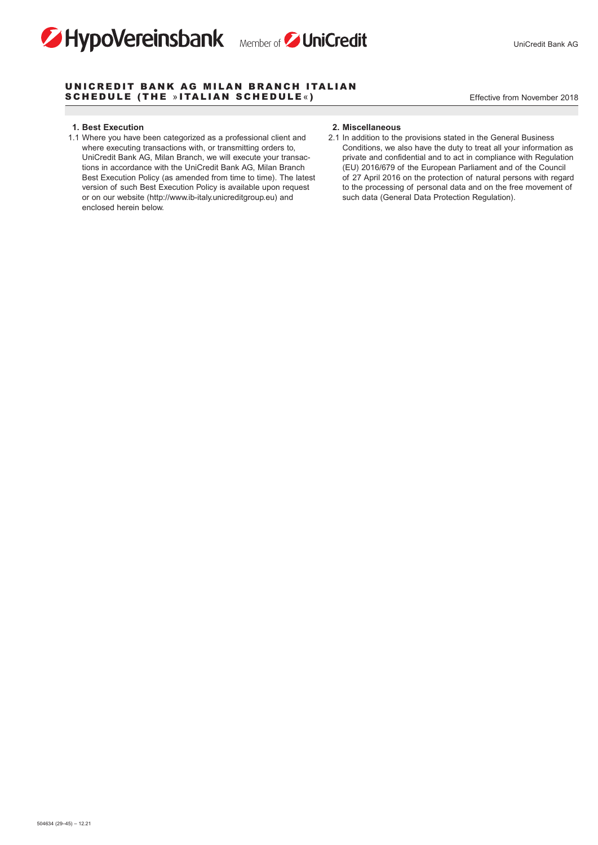



#### UNICREDIT BANK AG MILAN BRANCH ITALIAN SCHEDULE (THE »ITALIAN SCHEDULE«)

Effective from November 2018

#### **1. Best Execution**

1.1 Where you have been categorized as a professional client and where executing transactions with, or transmitting orders to, UniCredit Bank AG, Milan Branch, we will execute your transactions in accordance with the UniCredit Bank AG, Milan Branch Best Execution Policy (as amended from time to time). The latest version of such Best Execution Policy is available upon request or on our website (http://www.ib-italy.unicreditgroup.eu) and enclosed herein below.

#### **2. Miscellaneous**

2.1 In addition to the provisions stated in the General Business Conditions, we also have the duty to treat all your information as private and confidential and to act in compliance with Regulation (EU) 2016/679 of the European Parliament and of the Council of 27 April 2016 on the protection of natural persons with regard to the processing of personal data and on the free movement of such data (General Data Protection Regulation).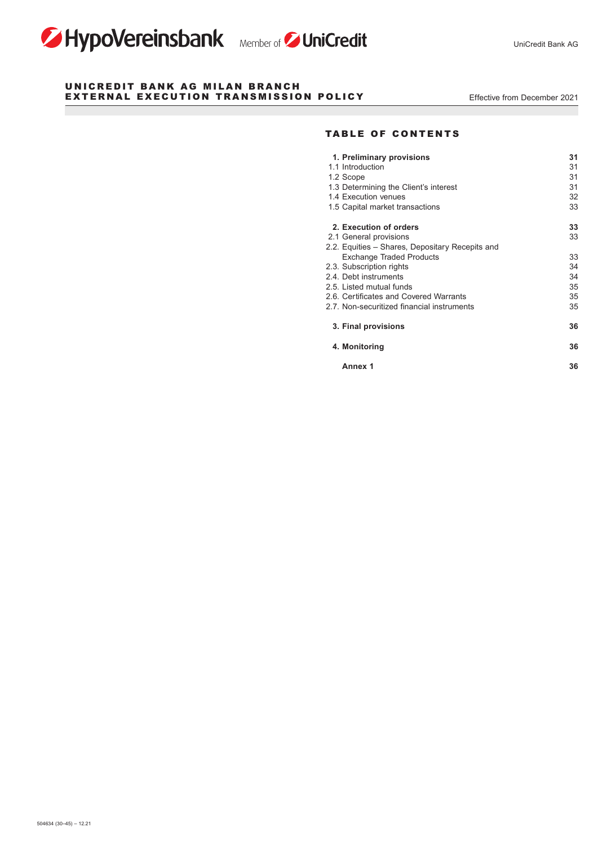



#### UNICREDIT BANK AG MILAN BRANCH EXTERNAL EXECUTION TRANSMISSION POLICY

Effective from December 2021

### TABLE OF CONTENTS

| 1. Preliminary provisions                       | 31 |
|-------------------------------------------------|----|
| 1.1 Introduction                                | 31 |
| 1.2 Scope                                       | 31 |
| 1.3 Determining the Client's interest           | 31 |
| 1.4 Execution venues                            | 32 |
| 1.5 Capital market transactions                 | 33 |
| 2. Execution of orders                          | 33 |
| 2.1 General provisions                          | 33 |
| 2.2. Equities - Shares, Depositary Recepits and |    |
| <b>Exchange Traded Products</b>                 | 33 |
| 2.3. Subscription rights                        | 34 |
| 2.4. Debt instruments                           | 34 |
| 2.5. Listed mutual funds                        | 35 |
| 2.6. Certificates and Covered Warrants          | 35 |
| 2.7. Non-securitized financial instruments      | 35 |
| 3. Final provisions                             | 36 |
| 4. Monitoring                                   | 36 |
| <b>Annex 1</b>                                  | 36 |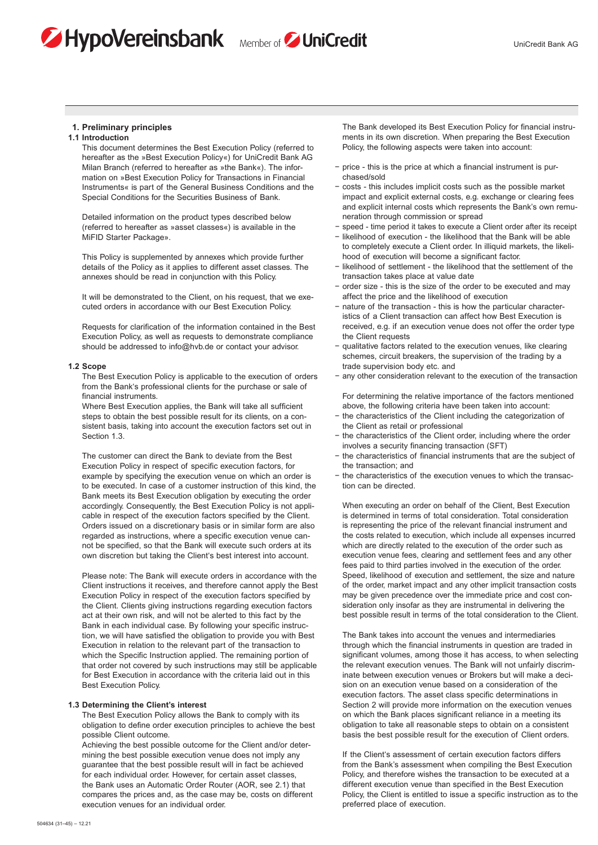

#### **1. Preliminary principles**

#### **1.1 Introduction**

 This document determines the Best Execution Policy (referred to hereafter as the »Best Execution Policy«) for UniCredit Bank AG Milan Branch (referred to hereafter as »the Bank«). The information on »Best Execution Policy for Transactions in Financial Instruments« is part of the General Business Conditions and the Special Conditions for the Securities Business of Bank.

 Detailed information on the product types described below (referred to hereafter as »asset classes«) is available in the MiFID Starter Package».

 This Policy is supplemented by annexes which provide further details of the Policy as it applies to different asset classes. The annexes should be read in conjunction with this Policy.

 It will be demonstrated to the Client, on his request, that we executed orders in accordance with our Best Execution Policy.

 Requests for clarification of the information contained in the Best Execution Policy, as well as requests to demonstrate compliance should be addressed to info@hvb.de or contact your advisor.

#### **1.2 Scope**

 The Best Execution Policy is applicable to the execution of orders from the Bank's professional clients for the purchase or sale of financial instruments.

 Where Best Execution applies, the Bank will take all sufficient steps to obtain the best possible result for its clients, on a consistent basis, taking into account the execution factors set out in Section 1.3.

 The customer can direct the Bank to deviate from the Best Execution Policy in respect of specific execution factors, for example by specifying the execution venue on which an order is to be executed. In case of a customer instruction of this kind, the Bank meets its Best Execution obligation by executing the order accordingly. Consequently, the Best Execution Policy is not applicable in respect of the execution factors specified by the Client. Orders issued on a discretionary basis or in similar form are also regarded as instructions, where a specific execution venue cannot be specified, so that the Bank will execute such orders at its own discretion but taking the Client's best interest into account.

 Please note: The Bank will execute orders in accordance with the Client instructions it receives, and therefore cannot apply the Best Execution Policy in respect of the execution factors specified by the Client. Clients giving instructions regarding execution factors act at their own risk, and will not be alerted to this fact by the Bank in each individual case. By following your specific instruction, we will have satisfied the obligation to provide you with Best Execution in relation to the relevant part of the transaction to which the Specific Instruction applied. The remaining portion of that order not covered by such instructions may still be applicable for Best Execution in accordance with the criteria laid out in this Best Execution Policy.

#### **1.3 Determining the Client's interest**

 The Best Execution Policy allows the Bank to comply with its obligation to define order execution principles to achieve the best possible Client outcome.

 Achieving the best possible outcome for the Client and/or determining the best possible execution venue does not imply any guarantee that the best possible result will in fact be achieved for each individual order. However, for certain asset classes, the Bank uses an Automatic Order Router (AOR, see 2.1) that compares the prices and, as the case may be, costs on different execution venues for an individual order.

 The Bank developed its Best Execution Policy for financial instruments in its own discretion. When preparing the Best Execution Policy, the following aspects were taken into account:

- − price this is the price at which a financial instrument is purchased/sold
- − costs this includes implicit costs such as the possible market impact and explicit external costs, e.g. exchange or clearing fees and explicit internal costs which represents the Bank's own remuneration through commission or spread
- − speed time period it takes to execute a Client order after its receipt − likelihood of execution - the likelihood that the Bank will be able to completely execute a Client order. In illiquid markets, the likeli-
- hood of execution will become a significant factor. − likelihood of settlement - the likelihood that the settlement of the transaction takes place at value date
- − order size this is the size of the order to be executed and may affect the price and the likelihood of execution
- − nature of the transaction this is how the particular characteristics of a Client transaction can affect how Best Execution is received, e.g. if an execution venue does not offer the order type the Client requests
- − qualitative factors related to the execution venues, like clearing schemes, circuit breakers, the supervision of the trading by a trade supervision body etc. and
- − any other consideration relevant to the execution of the transaction

 For determining the relative importance of the factors mentioned above, the following criteria have been taken into account:

- − the characteristics of the Client including the categorization of the Client as retail or professional
- − the characteristics of the Client order, including where the order involves a security financing transaction (SFT)
- − the characteristics of financial instruments that are the subject of the transaction; and
- − the characteristics of the execution venues to which the transaction can be directed.

 When executing an order on behalf of the Client, Best Execution is determined in terms of total consideration. Total consideration is representing the price of the relevant financial instrument and the costs related to execution, which include all expenses incurred which are directly related to the execution of the order such as execution venue fees, clearing and settlement fees and any other fees paid to third parties involved in the execution of the order. Speed, likelihood of execution and settlement, the size and nature of the order, market impact and any other implicit transaction costs may be given precedence over the immediate price and cost consideration only insofar as they are instrumental in delivering the best possible result in terms of the total consideration to the Client.

 The Bank takes into account the venues and intermediaries through which the financial instruments in question are traded in significant volumes, among those it has access, to when selecting the relevant execution venues. The Bank will not unfairly discriminate between execution venues or Brokers but will make a decision on an execution venue based on a consideration of the execution factors. The asset class specific determinations in Section 2 will provide more information on the execution venues on which the Bank places significant reliance in a meeting its obligation to take all reasonable steps to obtain on a consistent basis the best possible result for the execution of Client orders.

 If the Client's assessment of certain execution factors differs from the Bank's assessment when compiling the Best Execution Policy, and therefore wishes the transaction to be executed at a different execution venue than specified in the Best Execution Policy, the Client is entitled to issue a specific instruction as to the preferred place of execution.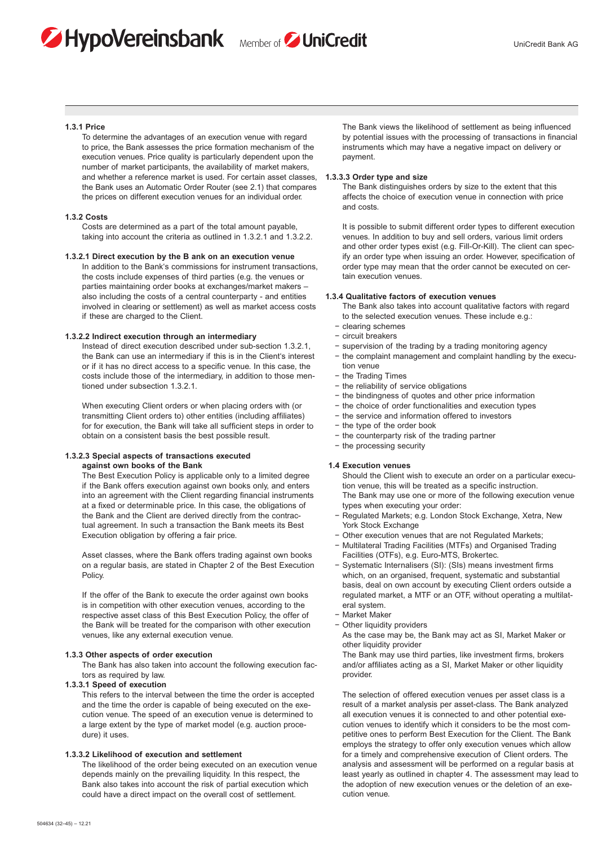

#### **1.3.1 Price**

 To determine the advantages of an execution venue with regard to price, the Bank assesses the price formation mechanism of the execution venues. Price quality is particularly dependent upon the number of market participants, the availability of market makers, and whether a reference market is used. For certain asset classes, the Bank uses an Automatic Order Router (see 2.1) that compares the prices on different execution venues for an individual order.

#### **1.3.2 Costs**

 Costs are determined as a part of the total amount payable, taking into account the criteria as outlined in 1.3.2.1 and 1.3.2.2.

#### **1.3.2.1 Direct execution by the B ank on an execution venue**

 In addition to the Bank's commissions for instrument transactions, the costs include expenses of third parties (e.g. the venues or parties maintaining order books at exchanges/market makers – also including the costs of a central counterparty - and entities involved in clearing or settlement) as well as market access costs if these are charged to the Client.

#### **1.3.2.2 Indirect execution through an intermediary**

 Instead of direct execution described under sub-section 1.3.2.1, the Bank can use an intermediary if this is in the Client's interest or if it has no direct access to a specific venue. In this case, the costs include those of the intermediary, in addition to those mentioned under subsection 1.3.2.1.

 When executing Client orders or when placing orders with (or transmitting Client orders to) other entities (including affiliates) for for execution, the Bank will take all sufficient steps in order to obtain on a consistent basis the best possible result.

#### **1.3.2.3 Special aspects of transactions executed against own books of the Bank**

 The Best Execution Policy is applicable only to a limited degree if the Bank offers execution against own books only, and enters into an agreement with the Client regarding financial instruments at a fixed or determinable price. In this case, the obligations of the Bank and the Client are derived directly from the contractual agreement. In such a transaction the Bank meets its Best Execution obligation by offering a fair price.

 Asset classes, where the Bank offers trading against own books on a regular basis, are stated in Chapter 2 of the Best Execution Policy.

 If the offer of the Bank to execute the order against own books is in competition with other execution venues, according to the respective asset class of this Best Execution Policy, the offer of the Bank will be treated for the comparison with other execution venues, like any external execution venue.

#### **1.3.3 Other aspects of order execution**

 The Bank has also taken into account the following execution factors as required by law.

#### **1.3.3.1 Speed of execution**

 This refers to the interval between the time the order is accepted and the time the order is capable of being executed on the execution venue. The speed of an execution venue is determined to a large extent by the type of market model (e.g. auction procedure) it uses.

#### **1.3.3.2 Likelihood of execution and settlement**

 The likelihood of the order being executed on an execution venue depends mainly on the prevailing liquidity. In this respect, the Bank also takes into account the risk of partial execution which could have a direct impact on the overall cost of settlement.

 The Bank views the likelihood of settlement as being influenced by potential issues with the processing of transactions in financial instruments which may have a negative impact on delivery or payment.

#### **1.3.3.3 Order type and size**

 The Bank distinguishes orders by size to the extent that this affects the choice of execution venue in connection with price and costs.

 It is possible to submit different order types to different execution venues. In addition to buy and sell orders, various limit orders and other order types exist (e.g. Fill-Or-Kill). The client can specify an order type when issuing an order. However, specification of order type may mean that the order cannot be executed on certain execution venues.

#### **1.3.4 Qualitative factors of execution venues**

 The Bank also takes into account qualitative factors with regard to the selected execution venues. These include e.g.:

- − clearing schemes
- − circuit breakers
- − supervision of the trading by a trading monitoring agency
- − the complaint management and complaint handling by the execution venue
- − the Trading Times
- − the reliability of service obligations
- − the bindingness of quotes and other price information
- − the choice of order functionalities and execution types
- − the service and information offered to investors
- − the type of the order book
- − the counterparty risk of the trading partner
- − the processing security

#### **1.4 Execution venues**

 Should the Client wish to execute an order on a particular execution venue, this will be treated as a specific instruction. The Bank may use one or more of the following execution venue types when executing your order:

- − Regulated Markets; e.g. London Stock Exchange, Xetra, New York Stock Exchange
- − Other execution venues that are not Regulated Markets;
- − Multilateral Trading Facilities (MTFs) and Organised Trading Facilities (OTFs), e.g. Euro-MTS, Brokertec.
- − Systematic Internalisers (SI): (SIs) means investment firms which, on an organised, frequent, systematic and substantial basis, deal on own account by executing Client orders outside a regulated market, a MTF or an OTF, without operating a multilateral system.
- − Market Maker
- − Other liquidity providers

 As the case may be, the Bank may act as SI, Market Maker or other liquidity provider

 The Bank may use third parties, like investment firms, brokers and/or affiliates acting as a SI, Market Maker or other liquidity provider.

 The selection of offered execution venues per asset class is a result of a market analysis per asset-class. The Bank analyzed all execution venues it is connected to and other potential execution venues to identify which it considers to be the most competitive ones to perform Best Execution for the Client. The Bank employs the strategy to offer only execution venues which allow for a timely and comprehensive execution of Client orders. The analysis and assessment will be performed on a regular basis at least yearly as outlined in chapter 4. The assessment may lead to the adoption of new execution venues or the deletion of an execution venue.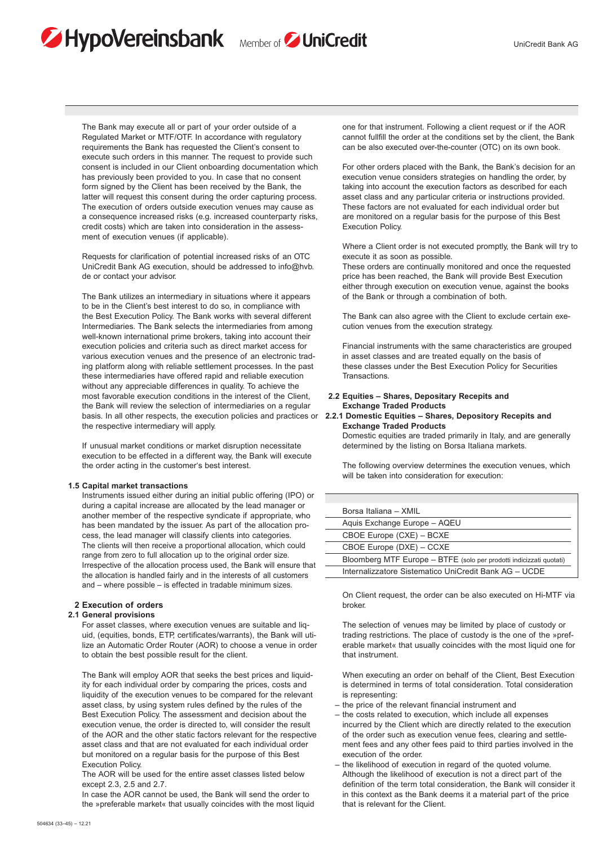#### UniCredit Bank AG

## HypoVereinsbank Member of JuniCredit



 The Bank may execute all or part of your order outside of a Regulated Market or MTF/OTF. In accordance with regulatory requirements the Bank has requested the Client's consent to execute such orders in this manner. The request to provide such consent is included in our Client onboarding documentation which has previously been provided to you. In case that no consent form signed by the Client has been received by the Bank, the latter will request this consent during the order capturing process. The execution of orders outside execution venues may cause as a consequence increased risks (e.g. increased counterparty risks, credit costs) which are taken into consideration in the assessment of execution venues (if applicable).

 Requests for clarification of potential increased risks of an OTC UniCredit Bank AG execution, should be addressed to info@hvb. de or contact your advisor.

 The Bank utilizes an intermediary in situations where it appears to be in the Client's best interest to do so, in compliance with the Best Execution Policy. The Bank works with several different Intermediaries. The Bank selects the intermediaries from among well-known international prime brokers, taking into account their execution policies and criteria such as direct market access for various execution venues and the presence of an electronic trading platform along with reliable settlement processes. In the past these intermediaries have offered rapid and reliable execution without any appreciable differences in quality. To achieve the most favorable execution conditions in the interest of the Client, the Bank will review the selection of intermediaries on a regular basis. In all other respects, the execution policies and practices or the respective intermediary will apply.

 If unusual market conditions or market disruption necessitate execution to be effected in a different way, the Bank will execute the order acting in the customer's best interest.

#### **1.5 Capital market transactions**

 Instruments issued either during an initial public offering (IPO) or during a capital increase are allocated by the lead manager or another member of the respective syndicate if appropriate, who has been mandated by the issuer. As part of the allocation process, the lead manager will classify clients into categories. The clients will then receive a proportional allocation, which could range from zero to full allocation up to the original order size. Irrespective of the allocation process used, the Bank will ensure that the allocation is handled fairly and in the interests of all customers and – where possible – is effected in tradable minimum sizes.

#### **2 Execution of orders**

#### **2.1 General provisions**

 For asset classes, where execution venues are suitable and liquid, (equities, bonds, ETP, certificates/warrants), the Bank will utilize an Automatic Order Router (AOR) to choose a venue in order to obtain the best possible result for the client.

 The Bank will employ AOR that seeks the best prices and liquidity for each individual order by comparing the prices, costs and liquidity of the execution venues to be compared for the relevant asset class, by using system rules defined by the rules of the Best Execution Policy. The assessment and decision about the execution venue, the order is directed to, will consider the result of the AOR and the other static factors relevant for the respective asset class and that are not evaluated for each individual order but monitored on a regular basis for the purpose of this Best Execution Policy.

 The AOR will be used for the entire asset classes listed below except 2.3, 2.5 and 2.7.

 In case the AOR cannot be used, the Bank will send the order to the »preferable market« that usually coincides with the most liquid one for that instrument. Following a client request or if the AOR cannot fullfill the order at the conditions set by the client, the Bank can be also executed over-the-counter (OTC) on its own book.

 For other orders placed with the Bank, the Bank's decision for an execution venue considers strategies on handling the order, by taking into account the execution factors as described for each asset class and any particular criteria or instructions provided. These factors are not evaluated for each individual order but are monitored on a regular basis for the purpose of this Best Execution Policy.

 Where a Client order is not executed promptly, the Bank will try to execute it as soon as possible.

 These orders are continually monitored and once the requested price has been reached, the Bank will provide Best Execution either through execution on execution venue, against the books of the Bank or through a combination of both.

 The Bank can also agree with the Client to exclude certain execution venues from the execution strategy.

 Financial instruments with the same characteristics are grouped in asset classes and are treated equally on the basis of these classes under the Best Execution Policy for Securities Transactions.

#### **2.2 Equities – Shares, Depositary Recepits and Exchange Traded Products**

#### **2.2.1 Domestic Equities – Shares, Depository Recepits and Exchange Traded Products**

 Domestic equities are traded primarily in Italy, and are generally determined by the listing on Borsa Italiana markets.

 The following overview determines the execution venues, which will be taken into consideration for execution:

| Borsa Italiana – XMII                                               |
|---------------------------------------------------------------------|
| Aquis Exchange Europe - AQEU                                        |
| CBOE Europe (CXE) - BCXE                                            |
| CBOE Europe (DXE) - CCXE                                            |
| Bloomberg MTF Europe - BTFE (solo per prodotti indicizzati quotati) |
| Internalizzatore Sistematico UniCredit Bank AG - UCDE               |

 On Client request, the order can be also executed on Hi-MTF via broker.

 The selection of venues may be limited by place of custody or trading restrictions. The place of custody is the one of the »preferable market« that usually coincides with the most liquid one for that instrument.

 When executing an order on behalf of the Client, Best Execution is determined in terms of total consideration. Total consideration is representing:

- the price of the relevant financial instrument and
- the costs related to execution, which include all expenses incurred by the Client which are directly related to the execution of the order such as execution venue fees, clearing and settlement fees and any other fees paid to third parties involved in the execution of the order.
- the likelihood of execution in regard of the quoted volume. Although the likelihood of execution is not a direct part of the definition of the term total consideration, the Bank will consider it in this context as the Bank deems it a material part of the price that is relevant for the Client.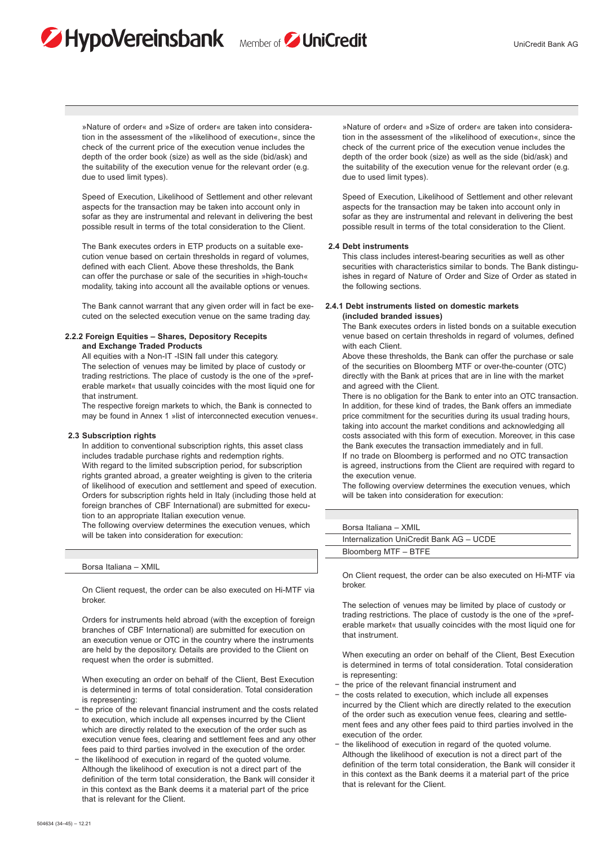

 »Nature of order« and »Size of order« are taken into consideration in the assessment of the »likelihood of execution«, since the check of the current price of the execution venue includes the depth of the order book (size) as well as the side (bid/ask) and the suitability of the execution venue for the relevant order (e.g. due to used limit types).

 Speed of Execution, Likelihood of Settlement and other relevant aspects for the transaction may be taken into account only in sofar as they are instrumental and relevant in delivering the best possible result in terms of the total consideration to the Client.

 The Bank executes orders in ETP products on a suitable execution venue based on certain thresholds in regard of volumes, defined with each Client. Above these thresholds, the Bank can offer the purchase or sale of the securities in »high-touch« modality, taking into account all the available options or venues.

 The Bank cannot warrant that any given order will in fact be executed on the selected execution venue on the same trading day.

#### **2.2.2 Foreign Equities – Shares, Depository Recepits and Exchange Traded Products**

 All equities with a Non-IT -ISIN fall under this category. The selection of venues may be limited by place of custody or trading restrictions. The place of custody is the one of the »preferable market« that usually coincides with the most liquid one for that instrument.

 The respective foreign markets to which, the Bank is connected to may be found in Annex 1 »list of interconnected execution venues«.

#### **2.3 Subscription rights**

 In addition to conventional subscription rights, this asset class includes tradable purchase rights and redemption rights. With regard to the limited subscription period, for subscription rights granted abroad, a greater weighting is given to the criteria of likelihood of execution and settlement and speed of execution. Orders for subscription rights held in Italy (including those held at foreign branches of CBF International) are submitted for execution to an appropriate Italian execution venue.

 The following overview determines the execution venues, which will be taken into consideration for execution:

#### Borsa Italiana – XMIL

 On Client request, the order can be also executed on Hi-MTF via broker.

 Orders for instruments held abroad (with the exception of foreign branches of CBF International) are submitted for execution on an execution venue or OTC in the country where the instruments are held by the depository. Details are provided to the Client on request when the order is submitted.

 When executing an order on behalf of the Client, Best Execution is determined in terms of total consideration. Total consideration is representing:

− the price of the relevant financial instrument and the costs related to execution, which include all expenses incurred by the Client which are directly related to the execution of the order such as execution venue fees, clearing and settlement fees and any other fees paid to third parties involved in the execution of the order.

− the likelihood of execution in regard of the quoted volume. Although the likelihood of execution is not a direct part of the definition of the term total consideration, the Bank will consider it in this context as the Bank deems it a material part of the price that is relevant for the Client.

 »Nature of order« and »Size of order« are taken into consideration in the assessment of the »likelihood of execution«, since the check of the current price of the execution venue includes the depth of the order book (size) as well as the side (bid/ask) and the suitability of the execution venue for the relevant order (e.g. due to used limit types).

 Speed of Execution, Likelihood of Settlement and other relevant aspects for the transaction may be taken into account only in sofar as they are instrumental and relevant in delivering the best possible result in terms of the total consideration to the Client.

#### **2.4 Debt instruments**

 This class includes interest-bearing securities as well as other securities with characteristics similar to bonds. The Bank distinguishes in regard of Nature of Order and Size of Order as stated in the following sections.

#### **2.4.1 Debt instruments listed on domestic markets (included branded issues)**

 The Bank executes orders in listed bonds on a suitable execution venue based on certain thresholds in regard of volumes, defined with each Client.

 Above these thresholds, the Bank can offer the purchase or sale of the securities on Bloomberg MTF or over-the-counter (OTC) directly with the Bank at prices that are in line with the market and agreed with the Client.

 There is no obligation for the Bank to enter into an OTC transaction. In addition, for these kind of trades, the Bank offers an immediate price commitment for the securities during its usual trading hours, taking into account the market conditions and acknowledging all costs associated with this form of execution. Moreover, in this case the Bank executes the transaction immediately and in full. If no trade on Bloomberg is performed and no OTC transaction is agreed, instructions from the Client are required with regard to the execution venue.

 The following overview determines the execution venues, which will be taken into consideration for execution:

| Borsa Italiana – XMII                    |
|------------------------------------------|
| Internalization UniCredit Bank AG - UCDE |
| Bloomberg MTF - BTFE                     |
|                                          |

 On Client request, the order can be also executed on Hi-MTF via broker.

 The selection of venues may be limited by place of custody or trading restrictions. The place of custody is the one of the »preferable market« that usually coincides with the most liquid one for that instrument.

 When executing an order on behalf of the Client, Best Execution is determined in terms of total consideration. Total consideration is representing:

- − the price of the relevant financial instrument and
- − the costs related to execution, which include all expenses incurred by the Client which are directly related to the execution of the order such as execution venue fees, clearing and settlement fees and any other fees paid to third parties involved in the execution of the order.
- − the likelihood of execution in regard of the quoted volume. Although the likelihood of execution is not a direct part of the definition of the term total consideration, the Bank will consider it in this context as the Bank deems it a material part of the price that is relevant for the Client.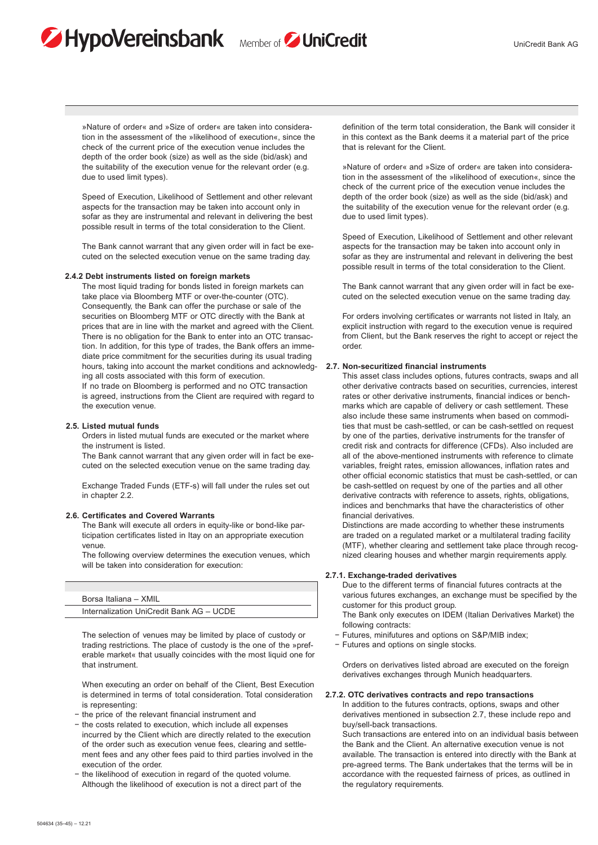

 »Nature of order« and »Size of order« are taken into consideration in the assessment of the »likelihood of execution«, since the check of the current price of the execution venue includes the depth of the order book (size) as well as the side (bid/ask) and the suitability of the execution venue for the relevant order (e.g. due to used limit types).

 Speed of Execution, Likelihood of Settlement and other relevant aspects for the transaction may be taken into account only in sofar as they are instrumental and relevant in delivering the best possible result in terms of the total consideration to the Client.

 The Bank cannot warrant that any given order will in fact be executed on the selected execution venue on the same trading day.

#### **2.4.2 Debt instruments listed on foreign markets**

 The most liquid trading for bonds listed in foreign markets can take place via Bloomberg MTF or over-the-counter (OTC). Consequently, the Bank can offer the purchase or sale of the securities on Bloomberg MTF or OTC directly with the Bank at prices that are in line with the market and agreed with the Client. There is no obligation for the Bank to enter into an OTC transaction. In addition, for this type of trades, the Bank offers an immediate price commitment for the securities during its usual trading hours, taking into account the market conditions and acknowledging all costs associated with this form of execution. If no trade on Bloomberg is performed and no OTC transaction

is agreed, instructions from the Client are required with regard to the execution venue.

#### **2.5. Listed mutual funds**

 Orders in listed mutual funds are executed or the market where the instrument is listed.

 The Bank cannot warrant that any given order will in fact be executed on the selected execution venue on the same trading day.

 Exchange Traded Funds (ETF-s) will fall under the rules set out in chapter 2.2.

#### **2.6. Certificates and Covered Warrants**

 The Bank will execute all orders in equity-like or bond-like participation certificates listed in Itay on an appropriate execution venue.

 The following overview determines the execution venues, which will be taken into consideration for execution:

| Borsa Italiana - XMIL                    |  |
|------------------------------------------|--|
| Internalization UniCredit Bank AG - UCDE |  |

 The selection of venues may be limited by place of custody or trading restrictions. The place of custody is the one of the »preferable market« that usually coincides with the most liquid one for that instrument.

 When executing an order on behalf of the Client, Best Execution is determined in terms of total consideration. Total consideration is representing:

- − the price of the relevant financial instrument and
- − the costs related to execution, which include all expenses incurred by the Client which are directly related to the execution of the order such as execution venue fees, clearing and settlement fees and any other fees paid to third parties involved in the execution of the order.
- − the likelihood of execution in regard of the quoted volume. Although the likelihood of execution is not a direct part of the

definition of the term total consideration, the Bank will consider it in this context as the Bank deems it a material part of the price that is relevant for the Client.

 »Nature of order« and »Size of order« are taken into consideration in the assessment of the »likelihood of execution«, since the check of the current price of the execution venue includes the depth of the order book (size) as well as the side (bid/ask) and the suitability of the execution venue for the relevant order (e.g. due to used limit types).

 Speed of Execution, Likelihood of Settlement and other relevant aspects for the transaction may be taken into account only in sofar as they are instrumental and relevant in delivering the best possible result in terms of the total consideration to the Client.

 The Bank cannot warrant that any given order will in fact be executed on the selected execution venue on the same trading day.

 For orders involving certificates or warrants not listed in Italy, an explicit instruction with regard to the execution venue is required from Client, but the Bank reserves the right to accept or reject the order.

#### **2.7. Non-securitized financial instruments**

 This asset class includes options, futures contracts, swaps and all other derivative contracts based on securities, currencies, interest rates or other derivative instruments, financial indices or benchmarks which are capable of delivery or cash settlement. These also include these same instruments when based on commodities that must be cash-settled, or can be cash-settled on request by one of the parties, derivative instruments for the transfer of credit risk and contracts for difference (CFDs). Also included are all of the above-mentioned instruments with reference to climate variables, freight rates, emission allowances, inflation rates and other official economic statistics that must be cash-settled, or can be cash-settled on request by one of the parties and all other derivative contracts with reference to assets, rights, obligations, indices and benchmarks that have the characteristics of other financial derivatives.

 Distinctions are made according to whether these instruments are traded on a regulated market or a multilateral trading facility (MTF), whether clearing and settlement take place through recognized clearing houses and whether margin requirements apply.

#### **2.7.1. Exchange-traded derivatives**

 Due to the different terms of financial futures contracts at the various futures exchanges, an exchange must be specified by the customer for this product group.

 The Bank only executes on IDEM (Italian Derivatives Market) the following contracts:

- − Futures, minifutures and options on S&P/MIB index;
- − Futures and options on single stocks.

 Orders on derivatives listed abroad are executed on the foreign derivatives exchanges through Munich headquarters.

#### **2.7.2. OTC derivatives contracts and repo transactions**

 In addition to the futures contracts, options, swaps and other derivatives mentioned in subsection 2.7, these include repo and buy/sell-back transactions.

 Such transactions are entered into on an individual basis between the Bank and the Client. An alternative execution venue is not available. The transaction is entered into directly with the Bank at pre-agreed terms. The Bank undertakes that the terms will be in accordance with the requested fairness of prices, as outlined in the regulatory requirements.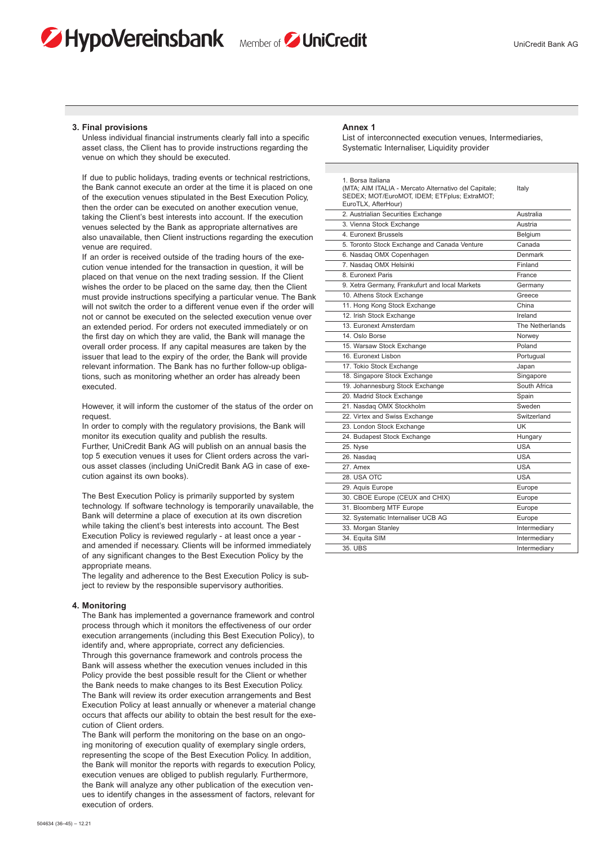#### **3. Final provisions**

 Unless individual financial instruments clearly fall into a specific asset class, the Client has to provide instructions regarding the venue on which they should be executed.

 If due to public holidays, trading events or technical restrictions, the Bank cannot execute an order at the time it is placed on one of the execution venues stipulated in the Best Execution Policy, then the order can be executed on another execution venue, taking the Client's best interests into account. If the execution venues selected by the Bank as appropriate alternatives are also unavailable, then Client instructions regarding the execution venue are required.

 If an order is received outside of the trading hours of the execution venue intended for the transaction in question, it will be placed on that venue on the next trading session. If the Client wishes the order to be placed on the same day, then the Client must provide instructions specifying a particular venue. The Bank will not switch the order to a different venue even if the order will not or cannot be executed on the selected execution venue over an extended period. For orders not executed immediately or on the first day on which they are valid, the Bank will manage the overall order process. If any capital measures are taken by the issuer that lead to the expiry of the order, the Bank will provide relevant information. The Bank has no further follow-up obligations, such as monitoring whether an order has already been executed.

 However, it will inform the customer of the status of the order on request.

 In order to comply with the regulatory provisions, the Bank will monitor its execution quality and publish the results.

 Further, UniCredit Bank AG will publish on an annual basis the top 5 execution venues it uses for Client orders across the various asset classes (including UniCredit Bank AG in case of execution against its own books).

 The Best Execution Policy is primarily supported by system technology. If software technology is temporarily unavailable, the Bank will determine a place of execution at its own discretion while taking the client's best interests into account. The Best Execution Policy is reviewed regularly - at least once a year and amended if necessary. Clients will be informed immediately of any significant changes to the Best Execution Policy by the appropriate means.

 The legality and adherence to the Best Execution Policy is subject to review by the responsible supervisory authorities.

#### **4. Monitoring**

 The Bank has implemented a governance framework and control process through which it monitors the effectiveness of our order execution arrangements (including this Best Execution Policy), to identify and, where appropriate, correct any deficiencies. Through this governance framework and controls process the Bank will assess whether the execution venues included in this Policy provide the best possible result for the Client or whether the Bank needs to make changes to its Best Execution Policy. The Bank will review its order execution arrangements and Best Execution Policy at least annually or whenever a material change occurs that affects our ability to obtain the best result for the execution of Client orders.

 The Bank will perform the monitoring on the base on an ongoing monitoring of execution quality of exemplary single orders, representing the scope of the Best Execution Policy. In addition, the Bank will monitor the reports with regards to execution Policy, execution venues are obliged to publish regularly. Furthermore, the Bank will analyze any other publication of the execution venues to identify changes in the assessment of factors, relevant for execution of orders.

#### **Annex 1**

 List of interconnected execution venues, Intermediaries, Systematic Internaliser, Liquidity provider

| 1. Borsa Italiana<br>(MTA; AIM ITALIA - Mercato Alternativo del Capitale;<br>SEDEX; MOT/EuroMOT, IDEM; ETFplus; ExtraMOT;<br>EuroTLX, AfterHour) | Italy           |
|--------------------------------------------------------------------------------------------------------------------------------------------------|-----------------|
| 2. Austrialian Securities Exchange                                                                                                               | Australia       |
| 3. Vienna Stock Exchange                                                                                                                         | Austria         |
| 4. Euronext Brussels                                                                                                                             | Belgium         |
| 5. Toronto Stock Exchange and Canada Venture                                                                                                     | Canada          |
| 6. Nasdag OMX Copenhagen                                                                                                                         | Denmark         |
| 7. Nasdaq OMX Helsinki                                                                                                                           | Finland         |
| 8. Euronext Paris                                                                                                                                | France          |
| 9. Xetra Germany, Frankufurt and local Markets                                                                                                   | Germany         |
| 10. Athens Stock Exchange                                                                                                                        | Greece          |
| 11. Hong Kong Stock Exchange                                                                                                                     | China           |
| 12. Irish Stock Exchange                                                                                                                         | Ireland         |
| 13. Euronext Amsterdam                                                                                                                           | The Netherlands |
| 14. Oslo Borse                                                                                                                                   | Norwey          |
| 15. Warsaw Stock Exchange                                                                                                                        | Poland          |
| 16. Euronext Lisbon                                                                                                                              | Portugual       |
| 17. Tokio Stock Exchange                                                                                                                         | Japan           |
| 18. Singapore Stock Exchange                                                                                                                     | Singapore       |
| 19. Johannesburg Stock Exchange                                                                                                                  | South Africa    |
| 20. Madrid Stock Exchange                                                                                                                        | Spain           |
| 21. Nasdag OMX Stockholm                                                                                                                         | Sweden          |
| 22. Virtex and Swiss Exchange                                                                                                                    | Switzerland     |
| 23. London Stock Exchange                                                                                                                        | UK              |
| 24. Budapest Stock Exchange                                                                                                                      | Hungary         |
| 25. Nyse                                                                                                                                         | USA             |
| 26. Nasdag                                                                                                                                       | <b>USA</b>      |
| 27. Amex                                                                                                                                         | <b>USA</b>      |
| 28. USA OTC                                                                                                                                      | <b>USA</b>      |
| 29. Aquis Europe                                                                                                                                 | Europe          |
| 30. CBOE Europe (CEUX and CHIX)                                                                                                                  | Europe          |
| 31. Bloomberg MTF Europe                                                                                                                         | Europe          |
| 32. Systematic Internaliser UCB AG                                                                                                               | Europe          |
| 33. Morgan Stanley                                                                                                                               | Intermediary    |
| 34. Equita SIM                                                                                                                                   | Intermediary    |
| 35. UBS                                                                                                                                          | Intermediary    |
|                                                                                                                                                  |                 |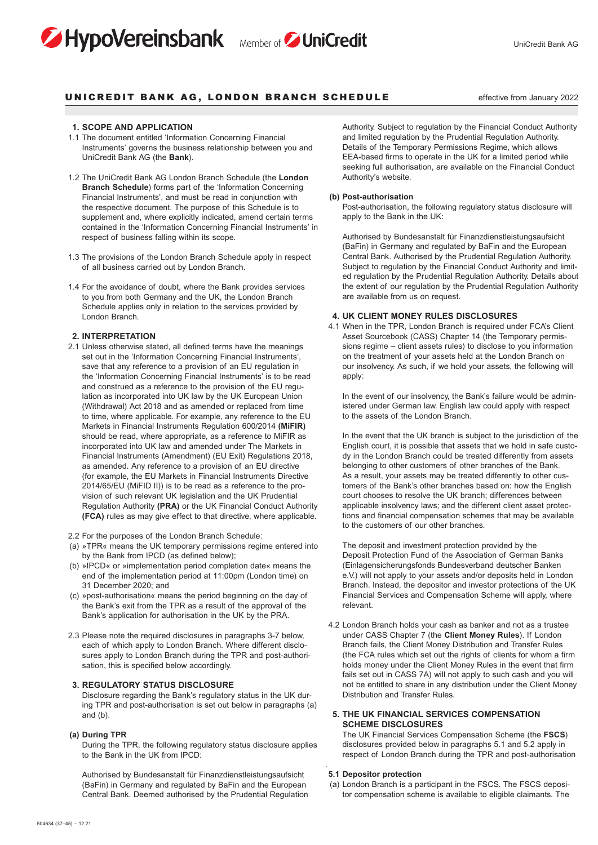

UniCredit Bank AG

effective from January 2022

#### UNICREDIT BANK AG, LONDON BRANCH SCHEDULE

**1. SCOPE AND APPLICATION** 

- 1.1 The document entitled 'Information Concerning Financial Instruments' governs the business relationship between you and UniCredit Bank AG (the **Bank**).
- 1.2 The UniCredit Bank AG London Branch Schedule (the **London Branch Schedule**) forms part of the 'Information Concerning Financial Instruments', and must be read in conjunction with the respective document. The purpose of this Schedule is to supplement and, where explicitly indicated, amend certain terms contained in the 'Information Concerning Financial Instruments' in respect of business falling within its scope.
- 1.3 The provisions of the London Branch Schedule apply in respect of all business carried out by London Branch.
- 1.4 For the avoidance of doubt, where the Bank provides services to you from both Germany and the UK, the London Branch Schedule applies only in relation to the services provided by London Branch.

#### **2. INTERPRETATION**

2.1 Unless otherwise stated, all defined terms have the meanings set out in the 'Information Concerning Financial Instruments', save that any reference to a provision of an EU regulation in the 'Information Concerning Financial Instruments' is to be read and construed as a reference to the provision of the EU regulation as incorporated into UK law by the UK European Union (Withdrawal) Act 2018 and as amended or replaced from time to time, where applicable. For example, any reference to the EU Markets in Financial Instruments Regulation 600/2014 **(MiFIR)**  should be read, where appropriate, as a reference to MiFIR as incorporated into UK law and amended under The Markets in Financial Instruments (Amendment) (EU Exit) Regulations 2018, as amended. Any reference to a provision of an EU directive (for example, the EU Markets in Financial Instruments Directive 2014/65/EU (MiFID II)) is to be read as a reference to the provision of such relevant UK legislation and the UK Prudential Regulation Authority **(PRA)** or the UK Financial Conduct Authority **(FCA)** rules as may give effect to that directive, where applicable.

2.2 For the purposes of the London Branch Schedule:

- (a) »TPR« means the UK temporary permissions regime entered into by the Bank from IPCD (as defined below);
- (b) »IPCD« or »implementation period completion date« means the end of the implementation period at 11:00pm (London time) on 31 December 2020; and
- (c) »post-authorisation« means the period beginning on the day of the Bank's exit from the TPR as a result of the approval of the Bank's application for authorisation in the UK by the PRA.
- 2.3 Please note the required disclosures in paragraphs 3-7 below, each of which apply to London Branch. Where different disclosures apply to London Branch during the TPR and post-authorisation, this is specified below accordingly.

#### **3. REGULATORY STATUS DISCLOSURE**

 Disclosure regarding the Bank's regulatory status in the UK during TPR and post-authorisation is set out below in paragraphs (a) and (b).

#### **(a) During TPR**

 During the TPR, the following regulatory status disclosure applies to the Bank in the UK from IPCD:

 Authorised by Bundesanstalt für Finanzdienstleistungsaufsicht (BaFin) in Germany and regulated by BaFin and the European Central Bank. Deemed authorised by the Prudential Regulation and limited regulation by the Prudential Regulation Authority. Details of the Temporary Permissions Regime, which allows EEA-based firms to operate in the UK for a limited period while seeking full authorisation, are available on the Financial Conduct Authority's website.

apply to the Bank in the UK:

are available from us on request.

#### **4. UK CLIENT MONEY RULES DISCLOSURES**

4.1 When in the TPR, London Branch is required under FCA's Client Asset Sourcebook (CASS) Chapter 14 (the Temporary permissions regime – client assets rules) to disclose to you information on the treatment of your assets held at the London Branch on our insolvency. As such, if we hold your assets, the following will apply:

 In the event of our insolvency, the Bank's failure would be administered under German law. English law could apply with respect to the assets of the London Branch.

 In the event that the UK branch is subject to the jurisdiction of the English court, it is possible that assets that we hold in safe custody in the London Branch could be treated differently from assets belonging to other customers of other branches of the Bank. As a result, your assets may be treated differently to other customers of the Bank's other branches based on: how the English court chooses to resolve the UK branch; differences between applicable insolvency laws; and the different client asset protections and financial compensation schemes that may be available to the customers of our other branches.

 The deposit and investment protection provided by the Deposit Protection Fund of the Association of German Banks (Einlagensicherungsfonds Bundesverband deutscher Banken e.V.) will not apply to your assets and/or deposits held in London Branch. Instead, the depositor and investor protections of the UK Financial Services and Compensation Scheme will apply, where relevant.

4.2 London Branch holds your cash as banker and not as a trustee under CASS Chapter 7 (the **Client Money Rules**). If London Branch fails, the Client Money Distribution and Transfer Rules (the FCA rules which set out the rights of clients for whom a firm holds money under the Client Money Rules in the event that firm fails set out in CASS 7A) will not apply to such cash and you will not be entitled to share in any distribution under the Client Money Distribution and Transfer Rules.

#### **5. THE UK FINANCIAL SERVICES COMPENSATION SCHEME DISCLOSURES**

 The UK Financial Services Compensation Scheme (the **FSCS**) disclosures provided below in paragraphs 5.1 and 5.2 apply in respect of London Branch during the TPR and post-authorisation

#### **5.1 Depositor protection**

.

(a) London Branch is a participant in the FSCS. The FSCS depositor compensation scheme is available to eligible claimants. The

Authority. Subject to regulation by the Financial Conduct Authority

#### **(b) Post-authorisation**

Post-authorisation, the following regulatory status disclosure will

 Authorised by Bundesanstalt für Finanzdienstleistungsaufsicht (BaFin) in Germany and regulated by BaFin and the European Central Bank. Authorised by the Prudential Regulation Authority. Subject to regulation by the Financial Conduct Authority and limited regulation by the Prudential Regulation Authority. Details about the extent of our regulation by the Prudential Regulation Authority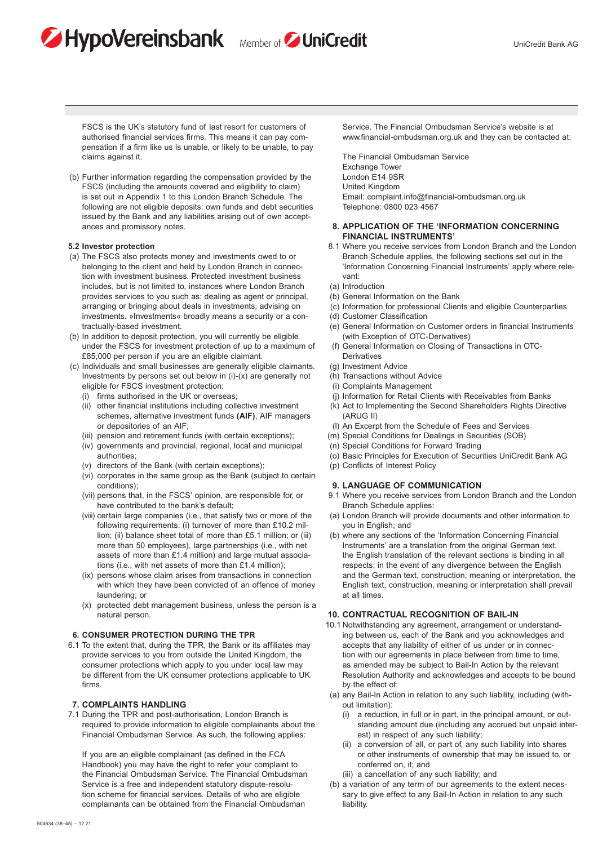FSCS is the UK's statutory fund of last resort for customers of authorised financial services firms. This means it can pay compensation if a firm like us is unable, or likely to be unable, to pay claims against it.

(b) Further information regarding the compensation provided by the FSCS (including the amounts covered and eligibility to claim) is set out in Appendix 1 to this London Branch Schedule. The following are not eligible deposits: own funds and debt securities issued by the Bank and any liabilities arising out of own acceptances and promissory notes.

#### **5.2 Investor protection**

- (a) The FSCS also protects money and investments owed to or belonging to the client and held by London Branch in connection with investment business. Protected investment business includes, but is not limited to, instances where London Branch provides services to you such as: dealing as agent or principal, arranging or bringing about deals in investments, advising on investments. »Investments« broadly means a security or a contractually-based investment.
- (b) In addition to deposit protection, you will currently be eligible under the FSCS for investment protection of up to a maximum of £85,000 per person if you are an eligible claimant.
- (c) Individuals and small businesses are generally eligible claimants. Investments by persons set out below in (i)-(x) are generally not eligible for FSCS investment protection:
	- (i) firms authorised in the UK or overseas;
	- (ii) other financial institutions including collective investment schemes, alternative investment funds **(AIF)**, AIF managers or depositories of an AIF;
	- (iii) pension and retirement funds (with certain exceptions);
	- (iv) governments and provincial, regional, local and municipal authorities;
	- (v) directors of the Bank (with certain exceptions);
	- (vi) corporates in the same group as the Bank (subject to certain conditions);
	- (vii) persons that, in the FSCS' opinion, are responsible for, or have contributed to the bank's default;
	- (viii) certain large companies (i.e., that satisfy two or more of the following requirements: (i) turnover of more than £10.2 million; (ii) balance sheet total of more than £5.1 million; or (iii) more than 50 employees), large partnerships (i.e., with net assets of more than £1.4 million) and large mutual associations (i.e., with net assets of more than £1.4 million);
	- (ix) persons whose claim arises from transactions in connection with which they have been convicted of an offence of money laundering; or
	- (x) protected debt management business, unless the person is a natural person.

#### **6. CONSUMER PROTECTION DURING THE TPR**

6.1 To the extent that, during the TPR, the Bank or its affiliates may provide services to you from outside the United Kingdom, the consumer protections which apply to you under local law may be different from the UK consumer protections applicable to UK firms.

#### **7. COMPLAINTS HANDLING**

7.1 During the TPR and post-authorisation, London Branch is required to provide information to eligible complainants about the Financial Ombudsman Service. As such, the following applies:

 If you are an eligible complainant (as defined in the FCA Handbook) you may have the right to refer your complaint to the Financial Ombudsman Service. The Financial Ombudsman Service is a free and independent statutory dispute-resolution scheme for financial services. Details of who are eligible complainants can be obtained from the Financial Ombudsman

Service. The Financial Ombudsman Service's website is at www.financial-ombudsman.org.uk and they can be contacted at:

 The Financial Ombudsman Service Exchange Tower London E14 9SR United Kingdom Email: complaint.info@financial-ombudsman.org.uk Telephone: 0800 023 4567

#### **8. APPLICATION OF THE 'INFORMATION CONCERNING FINANCIAL INSTRUMENTS'**

- 8.1 Where you receive services from London Branch and the London Branch Schedule applies, the following sections set out in the 'Information Concerning Financial Instruments' apply where relevant:
- (a) Introduction
- (b) General Information on the Bank
- (c) Information for professional Clients and eligible Counterparties
- (d) Customer Classification
- (e) General Information on Customer orders in financial Instruments (with Exception of OTC-Derivatives)
- (f) General Information on Closing of Transactions in OTC-**Derivatives**
- (g) Investment Advice
- (h) Transactions without Advice
- (i) Complaints Management
- (j) Information for Retail Clients with Receivables from Banks
- (k) Act to Implementing the Second Shareholders Rights Directive (ARUG II)
- (l) An Excerpt from the Schedule of Fees and Services
- (m) Special Conditions for Dealings in Securities (SOB)
- (n) Special Conditions for Forward Trading
- (o) Basic Principles for Execution of Securities UniCredit Bank AG
- (p) Conflicts of Interest Policy

#### **9. LANGUAGE OF COMMUNICATION**

- 9.1 Where you receive services from London Branch and the London Branch Schedule applies:
- (a) London Branch will provide documents and other information to you in English; and
- (b) where any sections of the 'Information Concerning Financial Instruments' are a translation from the original German text, the English translation of the relevant sections is binding in all respects; in the event of any divergence between the English and the German text, construction, meaning or interpretation, the English text, construction, meaning or interpretation shall prevail at all times.

#### **10. CONTRACTUAL RECOGNITION OF BAIL-IN**

- 10.1 Notwithstanding any agreement, arrangement or understanding between us, each of the Bank and you acknowledges and accepts that any liability of either of us under or in connection with our agreements in place between from time to time, as amended may be subject to Bail-In Action by the relevant Resolution Authority and acknowledges and accepts to be bound by the effect of:
- (a) any Bail-In Action in relation to any such liability, including (without limitation):
	- (i) a reduction, in full or in part, in the principal amount, or outstanding amount due (including any accrued but unpaid interest) in respect of any such liability;
	- (ii) a conversion of all, or part of, any such liability into shares or other instruments of ownership that may be issued to, or conferred on, it; and
- (iii) a cancellation of any such liability; and
- (b) a variation of any term of our agreements to the extent necessary to give effect to any Bail-In Action in relation to any such liability.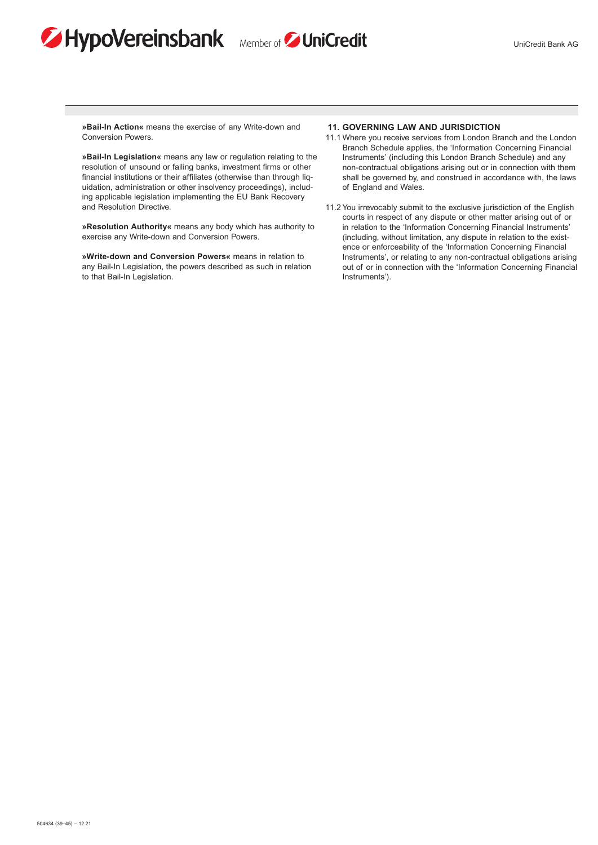**»Bail-In Action«** means the exercise of any Write-down and Conversion Powers.

**»Bail-In Legislation«** means any law or regulation relating to the resolution of unsound or failing banks, investment firms or other financial institutions or their affiliates (otherwise than through liquidation, administration or other insolvency proceedings), including applicable legislation implementing the EU Bank Recovery and Resolution Directive.

 **»Resolution Authority«** means any body which has authority to exercise any Write-down and Conversion Powers.

 **»Write-down and Conversion Powers«** means in relation to any Bail-In Legislation, the powers described as such in relation to that Bail-In Legislation.

#### **11. GOVERNING LAW AND JURISDICTION**

- 11.1 Where you receive services from London Branch and the London Branch Schedule applies, the 'Information Concerning Financial Instruments' (including this London Branch Schedule) and any non-contractual obligations arising out or in connection with them shall be governed by, and construed in accordance with, the laws of England and Wales.
- 11.2 You irrevocably submit to the exclusive jurisdiction of the English courts in respect of any dispute or other matter arising out of or in relation to the 'Information Concerning Financial Instruments' (including, without limitation, any dispute in relation to the existence or enforceability of the 'Information Concerning Financial Instruments', or relating to any non-contractual obligations arising out of or in connection with the 'Information Concerning Financial Instruments').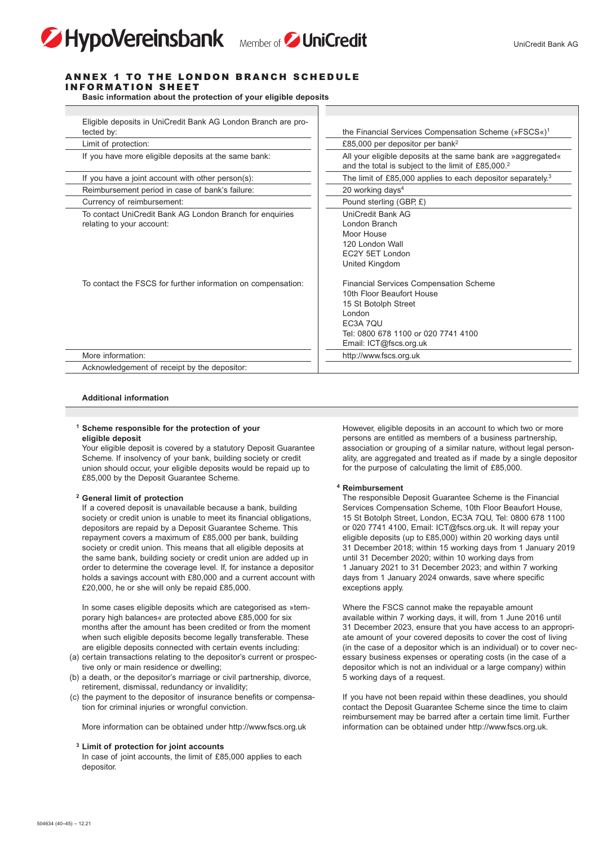



#### ANNEX 1 TO THE LONDON BRANCH SCHEDULE INFORMATION SHEET

 **Basic information about the protection of your eligible deposits**

| Eligible deposits in UniCredit Bank AG London Branch are pro-<br>tected by:           | the Financial Services Compensation Scheme (»FSCS«) <sup>1</sup>                                                                                                                          |
|---------------------------------------------------------------------------------------|-------------------------------------------------------------------------------------------------------------------------------------------------------------------------------------------|
| Limit of protection:                                                                  | £85,000 per depositor per bank <sup>2</sup>                                                                                                                                               |
| If you have more eligible deposits at the same bank:                                  | All your eligible deposits at the same bank are »aggregated«<br>and the total is subject to the limit of £85,000. <sup>2</sup>                                                            |
| If you have a joint account with other person(s):                                     | The limit of £85,000 applies to each depositor separately. <sup>3</sup>                                                                                                                   |
| Reimbursement period in case of bank's failure:                                       | 20 working days $4$                                                                                                                                                                       |
| Currency of reimbursement:                                                            | Pound sterling (GBP, £)                                                                                                                                                                   |
| To contact UniCredit Bank AG London Branch for enquiries<br>relating to your account: | <b>UniCredit Bank AG</b><br>London Branch<br>Moor House<br>120 London Wall<br>EC2Y 5ET London<br>United Kingdom                                                                           |
| To contact the FSCS for further information on compensation:                          | <b>Financial Services Compensation Scheme</b><br>10th Floor Beaufort House<br>15 St Botolph Street<br>London<br>EC3A 7QU<br>Tel: 0800 678 1100 or 020 7741 4100<br>Email: ICT@fscs.org.uk |
| More information:                                                                     | http://www.fscs.org.uk                                                                                                                                                                    |
| Acknowledgement of receipt by the depositor:                                          |                                                                                                                                                                                           |

#### **Additional information**

#### **<sup>1</sup> Scheme responsible for the protection of your eligible deposit**

 Your eligible deposit is covered by a statutory Deposit Guarantee Scheme. If insolvency of your bank, building society or credit union should occur, your eligible deposits would be repaid up to £85,000 by the Deposit Guarantee Scheme.

#### **<sup>2</sup> General limit of protection**

 If a covered deposit is unavailable because a bank, building society or credit union is unable to meet its financial obligations, depositors are repaid by a Deposit Guarantee Scheme. This repayment covers a maximum of £85,000 per bank, building society or credit union. This means that all eligible deposits at the same bank, building society or credit union are added up in order to determine the coverage level. If, for instance a depositor holds a savings account with £80,000 and a current account with £20,000, he or she will only be repaid £85,000.

In some cases eligible deposits which are categorised as »temporary high balances« are protected above £85,000 for six months after the amount has been credited or from the moment when such eligible deposits become legally transferable. These are eligible deposits connected with certain events including:

- (a) certain transactions relating to the depositor's current or prospective only or main residence or dwelling;
- (b) a death, or the depositor's marriage or civil partnership, divorce, retirement, dismissal, redundancy or invalidity;
- (c) the payment to the depositor of insurance benefits or compensation for criminal injuries or wrongful conviction.

More information can be obtained under http://www.fscs.org.uk

#### **<sup>3</sup> Limit of protection for joint accounts**

In case of joint accounts, the limit of £85,000 applies to each depositor.

 However, eligible deposits in an account to which two or more persons are entitled as members of a business partnership, association or grouping of a similar nature, without legal personality, are aggregated and treated as if made by a single depositor for the purpose of calculating the limit of £85,000.

#### **<sup>4</sup> Reimbursement**

 The responsible Deposit Guarantee Scheme is the Financial Services Compensation Scheme, 10th Floor Beaufort House, 15 St Botolph Street, London, EC3A 7QU, Tel: 0800 678 1100 or 020 7741 4100, Email: ICT@fscs.org.uk. It will repay your eligible deposits (up to £85,000) within 20 working days until 31 December 2018; within 15 working days from 1 January 2019 until 31 December 2020; within 10 working days from 1 January 2021 to 31 December 2023; and within 7 working days from 1 January 2024 onwards, save where specific exceptions apply.

 Where the FSCS cannot make the repayable amount available within 7 working days, it will, from 1 June 2016 until 31 December 2023, ensure that you have access to an appropriate amount of your covered deposits to cover the cost of living (in the case of a depositor which is an individual) or to cover necessary business expenses or operating costs (in the case of a depositor which is not an individual or a large company) within 5 working days of a request.

 If you have not been repaid within these deadlines, you should contact the Deposit Guarantee Scheme since the time to claim reimbursement may be barred after a certain time limit. Further information can be obtained under http://www.fscs.org.uk.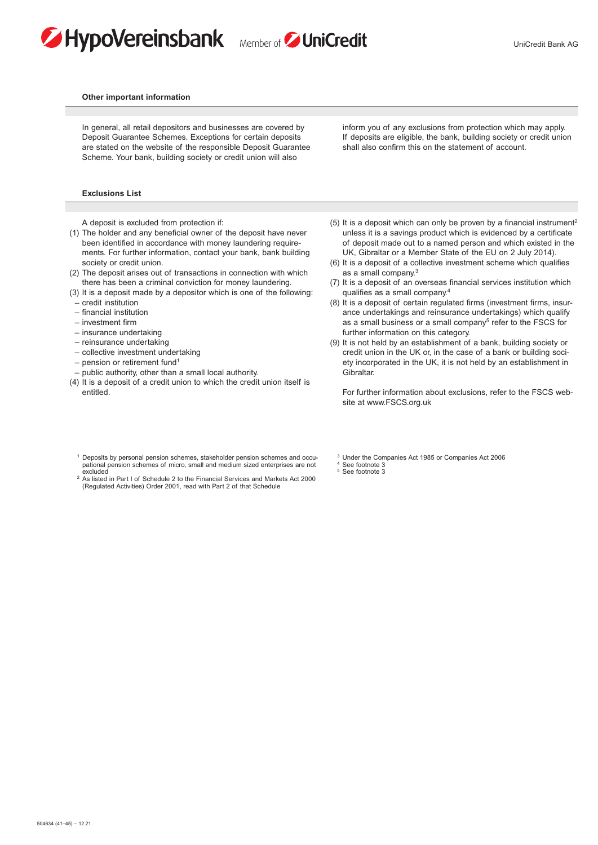

#### **Other important information**

 In general, all retail depositors and businesses are covered by Deposit Guarantee Schemes. Exceptions for certain deposits are stated on the website of the responsible Deposit Guarantee Scheme. Your bank, building society or credit union will also

#### **Exclusions List**

A deposit is excluded from protection if:

- (1) The holder and any beneficial owner of the deposit have never been identified in accordance with money laundering requirements. For further information, contact your bank, bank building society or credit union.
- (2) The deposit arises out of transactions in connection with which there has been a criminal conviction for money laundering.
- (3) It is a deposit made by a depositor which is one of the following: – credit institution
- financial institution
- investment firm
- insurance undertaking
- reinsurance undertaking
- collective investment undertaking
- pension or retirement fund1
- public authority, other than a small local authority.
- (4) It is a deposit of a credit union to which the credit union itself is entitled.

inform you of any exclusions from protection which may apply. If deposits are eligible, the bank, building society or credit union shall also confirm this on the statement of account.

- (5) It is a deposit which can only be proven by a financial instrument<sup>2</sup> unless it is a savings product which is evidenced by a certificate of deposit made out to a named person and which existed in the UK, Gibraltar or a Member State of the EU on 2 July 2014).
- (6) It is a deposit of a collective investment scheme which qualifies as a small company.3
- (7) It is a deposit of an overseas financial services institution which qualifies as a small company.4
- (8) It is a deposit of certain regulated firms (investment firms, insurance undertakings and reinsurance undertakings) which qualify as a small business or a small company<sup>5</sup> refer to the FSCS for further information on this category.
- (9) It is not held by an establishment of a bank, building society or credit union in the UK or, in the case of a bank or building society incorporated in the UK, it is not held by an establishment in Gibraltar.

 For further information about exclusions, refer to the FSCS website at www.FSCS.org.uk

- <sup>1</sup> Deposits by personal pension schemes, stakeholder pension schemes and occupational pension schemes of micro, small and medium sized enterprises are not .<br>Avcluded
- <sup>2</sup> As listed in Part I of Schedule 2 to the Financial Services and Markets Act 2000 (Regulated Activities) Order 2001, read with Part 2 of that Schedule
- <sup>3</sup> Under the Companies Act 1985 or Companies Act 2006
- <sup>4</sup> See footnote 3 <sup>5</sup> See footnote 3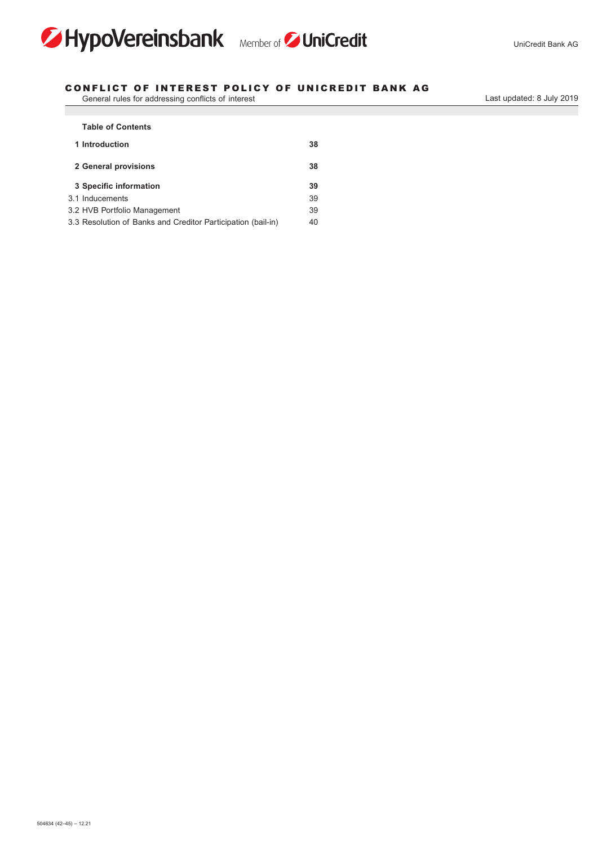

### CONFLICT OF INTEREST POLICY OF UNICREDIT BANK AG

| General rules for addressing conflicts of interest | updated: 8 July 2019، ن<br>. |
|----------------------------------------------------|------------------------------|
|                                                    |                              |

| <b>Table of Contents</b>                                     |    |
|--------------------------------------------------------------|----|
| 1 Introduction                                               | 38 |
| 2 General provisions                                         | 38 |
| 3 Specific information                                       | 39 |
| 3.1 Inducements                                              | 39 |
| 3.2 HVB Portfolio Management                                 | 39 |
| 3.3 Resolution of Banks and Creditor Participation (bail-in) | 40 |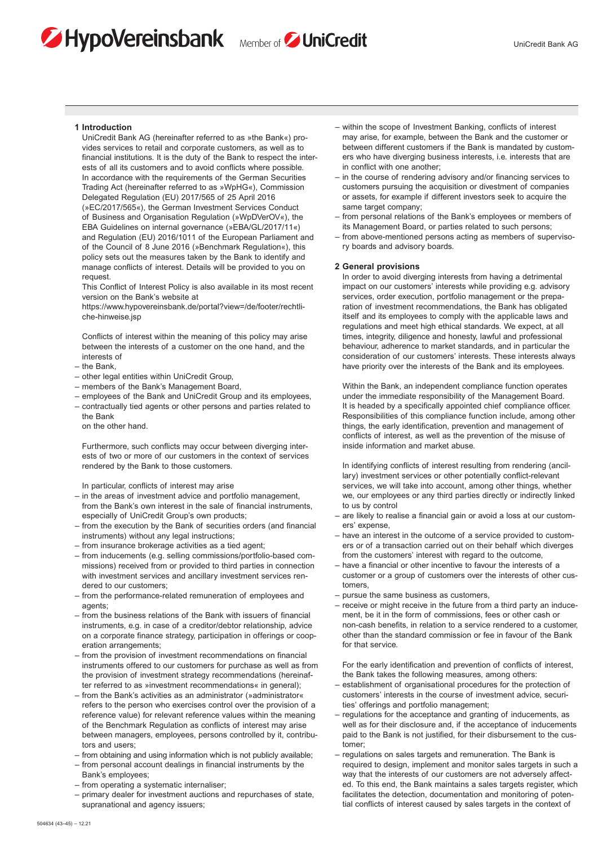

#### **1 Introduction**

 UniCredit Bank AG (hereinafter referred to as »the Bank«) provides services to retail and corporate customers, as well as to financial institutions. It is the duty of the Bank to respect the interests of all its customers and to avoid conflicts where possible. In accordance with the requirements of the German Securities Trading Act (hereinafter referred to as »WpHG«), Commission Delegated Regulation (EU) 2017/565 of 25 April 2016 (»EC/2017/565«), the German Investment Services Conduct of Business and Organisation Regulation (»WpDVerOV«), the EBA Guidelines on internal governance (»EBA/GL/2017/11«) and Regulation (EU) 2016/1011 of the European Parliament and of the Council of 8 June 2016 (»Benchmark Regulation«), this policy sets out the measures taken by the Bank to identify and manage conflicts of interest. Details will be provided to you on request.

 This Conflict of Interest Policy is also available in its most recent version on the Bank's website at

 https://www.hypovereinsbank.de/portal?view=/de/footer/rechtliche-hinweise.jsp

 Conflicts of interest within the meaning of this policy may arise between the interests of a customer on the one hand, and the interests of

- the Bank,
- other legal entities within UniCredit Group,
- members of the Bank's Management Board,
- employees of the Bank and UniCredit Group and its employees, – contractually tied agents or other persons and parties related to the Bank
	- on the other hand.

 Furthermore, such conflicts may occur between diverging interests of two or more of our customers in the context of services rendered by the Bank to those customers.

In particular, conflicts of interest may arise

- in the areas of investment advice and portfolio management, from the Bank's own interest in the sale of financial instruments, especially of UniCredit Group's own products;
- from the execution by the Bank of securities orders (and financial instruments) without any legal instructions;
- from insurance brokerage activities as a tied agent;
- from inducements (e.g. selling commissions/portfolio-based commissions) received from or provided to third parties in connection with investment services and ancillary investment services rendered to our customers;
- from the performance-related remuneration of employees and agents;
- from the business relations of the Bank with issuers of financial instruments, e.g. in case of a creditor/debtor relationship, advice on a corporate finance strategy, participation in offerings or cooperation arrangements;
- from the provision of investment recommendations on financial instruments offered to our customers for purchase as well as from the provision of investment strategy recommendations (hereinafter referred to as »investment recommendations« in general);
- from the Bank's activities as an administrator (»administrator« refers to the person who exercises control over the provision of a reference value) for relevant reference values within the meaning of the Benchmark Regulation as conflicts of interest may arise between managers, employees, persons controlled by it, contributors and users;
- from obtaining and using information which is not publicly available; – from personal account dealings in financial instruments by the
- Bank's employees;
- from operating a systematic internaliser;
- primary dealer for investment auctions and repurchases of state, supranational and agency issuers;
- within the scope of Investment Banking, conflicts of interest may arise, for example, between the Bank and the customer or between different customers if the Bank is mandated by customers who have diverging business interests, i.e. interests that are in conflict with one another;
- in the course of rendering advisory and/or financing services to customers pursuing the acquisition or divestment of companies or assets, for example if different investors seek to acquire the same target company;
- from personal relations of the Bank's employees or members of its Management Board, or parties related to such persons;
- from above-mentioned persons acting as members of supervisory boards and advisory boards.

#### **2 General provisions**

 In order to avoid diverging interests from having a detrimental impact on our customers' interests while providing e.g. advisory services, order execution, portfolio management or the preparation of investment recommendations, the Bank has obligated itself and its employees to comply with the applicable laws and regulations and meet high ethical standards. We expect, at all times, integrity, diligence and honesty, lawful and professional behaviour, adherence to market standards, and in particular the consideration of our customers' interests. These interests always have priority over the interests of the Bank and its employees.

 Within the Bank, an independent compliance function operates under the immediate responsibility of the Management Board. It is headed by a specifically appointed chief compliance officer. Responsibilities of this compliance function include, among other things, the early identification, prevention and management of conflicts of interest, as well as the prevention of the misuse of inside information and market abuse.

 In identifying conflicts of interest resulting from rendering (ancillary) investment services or other potentially conflict-relevant services, we will take into account, among other things, whether we, our employees or any third parties directly or indirectly linked to us by control

- are likely to realise a financial gain or avoid a loss at our customers' expense,
- have an interest in the outcome of a service provided to customers or of a transaction carried out on their behalf which diverges from the customers' interest with regard to the outcome,
- have a financial or other incentive to favour the interests of a customer or a group of customers over the interests of other customers,
- pursue the same business as customers,
- receive or might receive in the future from a third party an inducement, be it in the form of commissions, fees or other cash or non-cash benefits, in relation to a service rendered to a customer, other than the standard commission or fee in favour of the Bank for that service.

 For the early identification and prevention of conflicts of interest, the Bank takes the following measures, among others:

- establishment of organisational procedures for the protection of customers' interests in the course of investment advice, securities' offerings and portfolio management;
- regulations for the acceptance and granting of inducements, as well as for their disclosure and, if the acceptance of inducements paid to the Bank is not justified, for their disbursement to the customer;
- regulations on sales targets and remuneration. The Bank is required to design, implement and monitor sales targets in such a way that the interests of our customers are not adversely affected. To this end, the Bank maintains a sales targets register, which facilitates the detection, documentation and monitoring of potential conflicts of interest caused by sales targets in the context of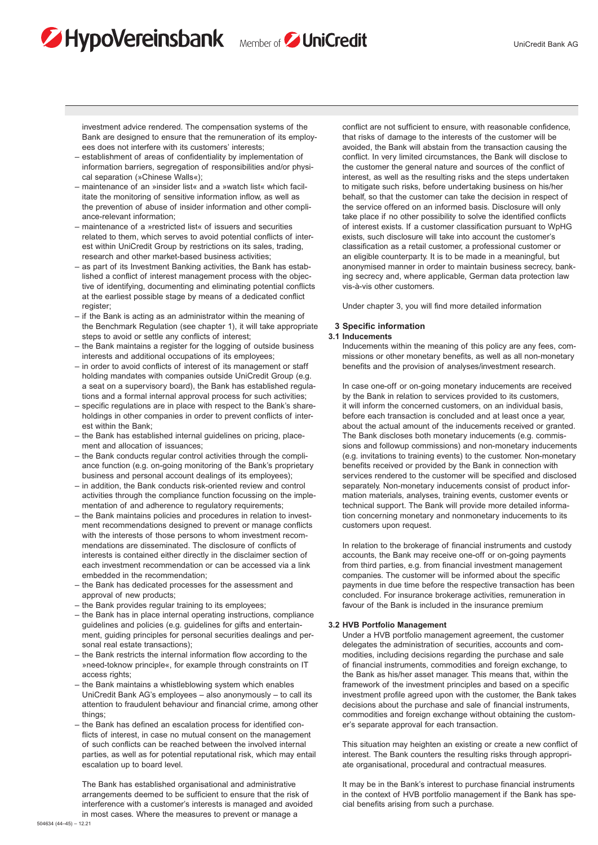investment advice rendered. The compensation systems of the Bank are designed to ensure that the remuneration of its employees does not interfere with its customers' interests;

HypoVereinsbank Member of JuniCredit

- establishment of areas of confidentiality by implementation of information barriers, segregation of responsibilities and/or physical separation (»Chinese Walls«);
- maintenance of an »insider list« and a »watch list« which facilitate the monitoring of sensitive information inflow, as well as the prevention of abuse of insider information and other compliance-relevant information;
- maintenance of a »restricted list« of issuers and securities related to them, which serves to avoid potential conflicts of interest within UniCredit Group by restrictions on its sales, trading, research and other market-based business activities;
- as part of its Investment Banking activities, the Bank has established a conflict of interest management process with the objective of identifying, documenting and eliminating potential conflicts at the earliest possible stage by means of a dedicated conflict register;
- if the Bank is acting as an administrator within the meaning of the Benchmark Regulation (see chapter 1), it will take appropriate steps to avoid or settle any conflicts of interest;
- the Bank maintains a register for the logging of outside business interests and additional occupations of its employees;
- in order to avoid conflicts of interest of its management or staff holding mandates with companies outside UniCredit Group (e.g. a seat on a supervisory board), the Bank has established regulations and a formal internal approval process for such activities;
- specific regulations are in place with respect to the Bank's shareholdings in other companies in order to prevent conflicts of interest within the Bank;
- the Bank has established internal guidelines on pricing, placement and allocation of issuances;
- the Bank conducts regular control activities through the compliance function (e.g. on-going monitoring of the Bank's proprietary business and personal account dealings of its employees);
- in addition, the Bank conducts risk-oriented review and control activities through the compliance function focussing on the implementation of and adherence to regulatory requirements;
- the Bank maintains policies and procedures in relation to investment recommendations designed to prevent or manage conflicts with the interests of those persons to whom investment recommendations are disseminated. The disclosure of conflicts of interests is contained either directly in the disclaimer section of each investment recommendation or can be accessed via a link embedded in the recommendation;
- the Bank has dedicated processes for the assessment and approval of new products;
- the Bank provides regular training to its employees;
- the Bank has in place internal operating instructions, compliance guidelines and policies (e.g. guidelines for gifts and entertainment, guiding principles for personal securities dealings and personal real estate transactions);
- the Bank restricts the internal information flow according to the »need-toknow principle«, for example through constraints on IT access rights;
- the Bank maintains a whistleblowing system which enables UniCredit Bank AG's employees – also anonymously – to call its attention to fraudulent behaviour and financial crime, among other things;
- the Bank has defined an escalation process for identified conflicts of interest, in case no mutual consent on the management of such conflicts can be reached between the involved internal parties, as well as for potential reputational risk, which may entail escalation up to board level.

 The Bank has established organisational and administrative arrangements deemed to be sufficient to ensure that the risk of interference with a customer's interests is managed and avoided in most cases. Where the measures to prevent or manage a

 conflict are not sufficient to ensure, with reasonable confidence, that risks of damage to the interests of the customer will be avoided, the Bank will abstain from the transaction causing the conflict. In very limited circumstances, the Bank will disclose to the customer the general nature and sources of the conflict of interest, as well as the resulting risks and the steps undertaken to mitigate such risks, before undertaking business on his/her behalf, so that the customer can take the decision in respect of the service offered on an informed basis. Disclosure will only take place if no other possibility to solve the identified conflicts of interest exists. If a customer classification pursuant to WpHG exists, such disclosure will take into account the customer's classification as a retail customer, a professional customer or an eligible counterparty. It is to be made in a meaningful, but anonymised manner in order to maintain business secrecy, banking secrecy and, where applicable, German data protection law vis-à-vis other customers.

Under chapter 3, you will find more detailed information

#### **3 Specific information 3.1 Inducements**

 Inducements within the meaning of this policy are any fees, commissions or other monetary benefits, as well as all non-monetary benefits and the provision of analyses/investment research.

 In case one-off or on-going monetary inducements are received by the Bank in relation to services provided to its customers, it will inform the concerned customers, on an individual basis, before each transaction is concluded and at least once a year, about the actual amount of the inducements received or granted. The Bank discloses both monetary inducements (e.g. commissions and followup commissions) and non-monetary inducements (e.g. invitations to training events) to the customer. Non-monetary benefits received or provided by the Bank in connection with services rendered to the customer will be specified and disclosed separately. Non-monetary inducements consist of product information materials, analyses, training events, customer events or technical support. The Bank will provide more detailed information concerning monetary and nonmonetary inducements to its customers upon request.

 In relation to the brokerage of financial instruments and custody accounts, the Bank may receive one-off or on-going payments from third parties, e.g. from financial investment management companies. The customer will be informed about the specific payments in due time before the respective transaction has been concluded. For insurance brokerage activities, remuneration in favour of the Bank is included in the insurance premium

#### **3.2 HVB Portfolio Management**

 Under a HVB portfolio management agreement, the customer delegates the administration of securities, accounts and commodities, including decisions regarding the purchase and sale of financial instruments, commodities and foreign exchange, to the Bank as his/her asset manager. This means that, within the framework of the investment principles and based on a specific investment profile agreed upon with the customer, the Bank takes decisions about the purchase and sale of financial instruments, commodities and foreign exchange without obtaining the customer's separate approval for each transaction.

 This situation may heighten an existing or create a new conflict of interest. The Bank counters the resulting risks through appropriate organisational, procedural and contractual measures.

 It may be in the Bank's interest to purchase financial instruments in the context of HVB portfolio management if the Bank has special benefits arising from such a purchase.